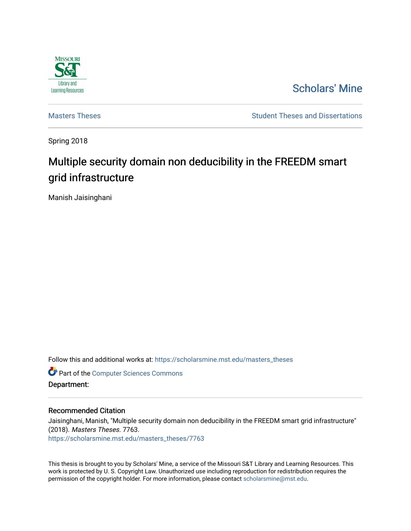

[Scholars' Mine](https://scholarsmine.mst.edu/) 

[Masters Theses](https://scholarsmine.mst.edu/masters_theses) **Student Theses and Dissertations** Student Theses and Dissertations

Spring 2018

# Multiple security domain non deducibility in the FREEDM smart grid infrastructure

Manish Jaisinghani

Follow this and additional works at: [https://scholarsmine.mst.edu/masters\\_theses](https://scholarsmine.mst.edu/masters_theses?utm_source=scholarsmine.mst.edu%2Fmasters_theses%2F7763&utm_medium=PDF&utm_campaign=PDFCoverPages) 

**Part of the [Computer Sciences Commons](http://network.bepress.com/hgg/discipline/142?utm_source=scholarsmine.mst.edu%2Fmasters_theses%2F7763&utm_medium=PDF&utm_campaign=PDFCoverPages)** 

Department:

#### Recommended Citation

Jaisinghani, Manish, "Multiple security domain non deducibility in the FREEDM smart grid infrastructure" (2018). Masters Theses. 7763. [https://scholarsmine.mst.edu/masters\\_theses/7763](https://scholarsmine.mst.edu/masters_theses/7763?utm_source=scholarsmine.mst.edu%2Fmasters_theses%2F7763&utm_medium=PDF&utm_campaign=PDFCoverPages) 

This thesis is brought to you by Scholars' Mine, a service of the Missouri S&T Library and Learning Resources. This work is protected by U. S. Copyright Law. Unauthorized use including reproduction for redistribution requires the permission of the copyright holder. For more information, please contact [scholarsmine@mst.edu](mailto:scholarsmine@mst.edu).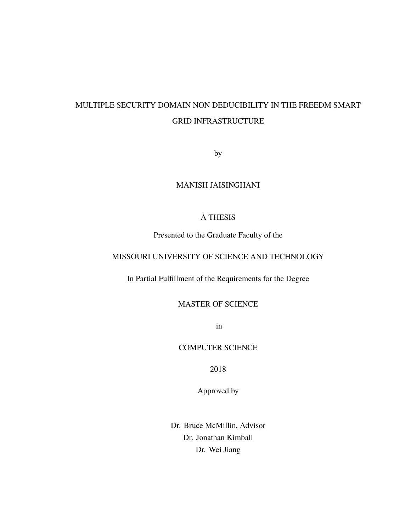## MULTIPLE SECURITY DOMAIN NON DEDUCIBILITY IN THE FREEDM SMART GRID INFRASTRUCTURE

by

## MANISH JAISINGHANI

## A THESIS

Presented to the Graduate Faculty of the

## MISSOURI UNIVERSITY OF SCIENCE AND TECHNOLOGY

In Partial Fulfillment of the Requirements for the Degree

## MASTER OF SCIENCE

in

## COMPUTER SCIENCE

2018

Approved by

Dr. Bruce McMillin, Advisor Dr. Jonathan Kimball Dr. Wei Jiang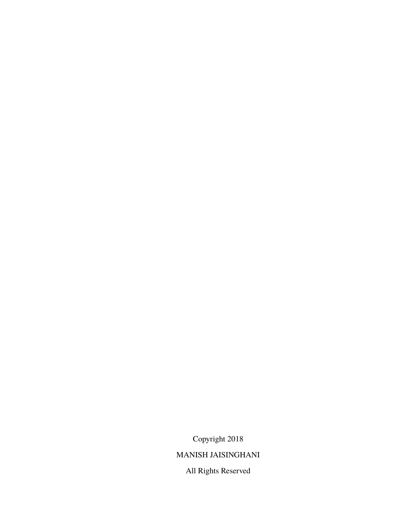Copyright 2018

## MANISH JAISINGHANI

All Rights Reserved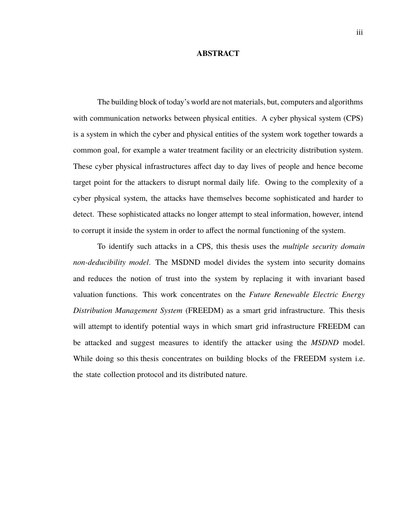#### **ABSTRACT**

The building block of today's world are not materials, but, computers and algorithms with communication networks between physical entities. A cyber physical system (CPS) is a system in which the cyber and physical entities of the system work together towards a common goal, for example a water treatment facility or an electricity distribution system. These cyber physical infrastructures affect day to day lives of people and hence become target point for the attackers to disrupt normal daily life. Owing to the complexity of a cyber physical system, the attacks have themselves become sophisticated and harder to detect. These sophisticated attacks no longer attempt to steal information, however, intend to corrupt it inside the system in order to affect the normal functioning of the system.

To identify such attacks in a CPS, this thesis uses the *multiple security domain non-deducibility model*. The MSDND model divides the system into security domains and reduces the notion of trust into the system by replacing it with invariant based valuation functions. This work concentrates on the *Future Renewable Electric Energy Distribution Management System* (FREEDM) as a smart grid infrastructure. This thesis will attempt to identify potential ways in which smart grid infrastructure FREEDM can be attacked and suggest measures to identify the attacker using the *MSDND* model. While doing so this thesis concentrates on building blocks of the FREEDM system *i.e.* the state collection protocol and its distributed nature.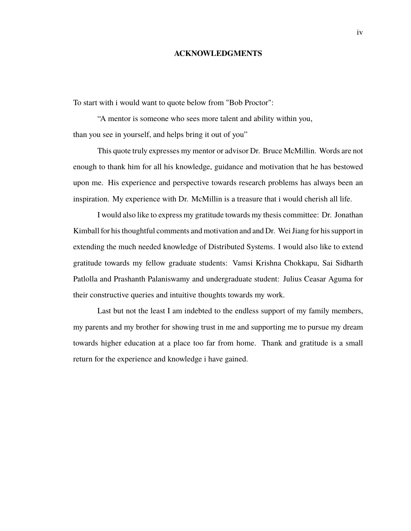#### **ACKNOWLEDGMENTS**

To start with i would want to quote below from "Bob Proctor":

"A mentor is someone who sees more talent and ability within you, than you see in yourself, and helps bring it out of you"

This quote truly expresses my mentor or advisor Dr. Bruce McMillin. Words are not enough to thank him for all his knowledge, guidance and motivation that he has bestowed upon me. His experience and perspective towards research problems has always been an inspiration. My experience with Dr. McMillin is a treasure that i would cherish all life.

I would also like to express my gratitude towards my thesis committee: Dr. Jonathan Kimball for his thoughtful comments and motivation and and Dr. Wei Jiang for his support in extending the much needed knowledge of Distributed Systems. I would also like to extend gratitude towards my fellow graduate students: Vamsi Krishna Chokkapu, Sai Sidharth Patlolla and Prashanth Palaniswamy and undergraduate student: Julius Ceasar Aguma for their constructive queries and intuitive thoughts towards my work.

Last but not the least I am indebted to the endless support of my family members, my parents and my brother for showing trust in me and supporting me to pursue my dream towards higher education at a place too far from home. Thank and gratitude is a small return for the experience and knowledge i have gained.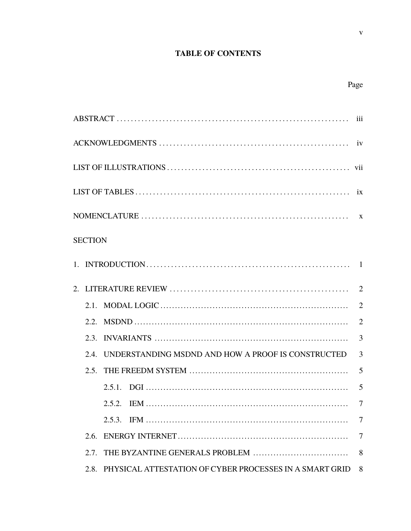## **TABLE OF CONTENTS**

| <b>SECTION</b> |                                                              |                |
|----------------|--------------------------------------------------------------|----------------|
|                |                                                              |                |
|                |                                                              |                |
|                |                                                              | $\overline{2}$ |
|                |                                                              | $\overline{2}$ |
| 2.3.           |                                                              | 3              |
| 2.4            | UNDERSTANDING MSDND AND HOW A PROOF IS CONSTRUCTED           | 3              |
| 2.5            |                                                              | 5              |
|                |                                                              | 5              |
|                |                                                              | 7              |
|                |                                                              | 7              |
|                |                                                              | 7              |
| 2.7            |                                                              | 8              |
|                | 2.8. PHYSICAL ATTESTATION OF CYBER PROCESSES IN A SMART GRID | 8              |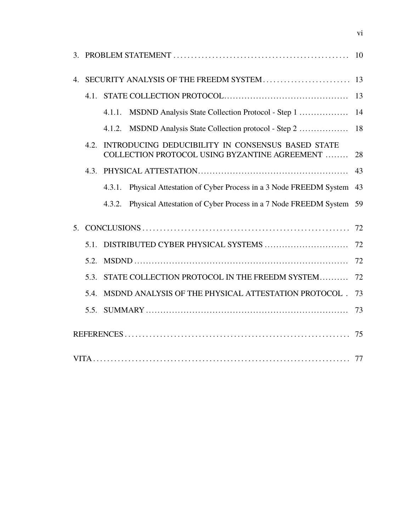| 4.             |      |        | SECURITY ANALYSIS OF THE FREEDM SYSTEM                                                             | 13 |
|----------------|------|--------|----------------------------------------------------------------------------------------------------|----|
|                | 4.1. |        |                                                                                                    | 13 |
|                |      | 4.1.1. | MSDND Analysis State Collection Protocol - Step 1                                                  | 14 |
|                |      | 4.1.2. | MSDND Analysis State Collection protocol - Step 2                                                  | 18 |
|                | 4.2. |        | INTRODUCING DEDUCIBILITY IN CONSENSUS BASED STATE<br>COLLECTION PROTOCOL USING BYZANTINE AGREEMENT | 28 |
|                | 4.3. |        |                                                                                                    | 43 |
|                |      | 4.3.1. | Physical Attestation of Cyber Process in a 3 Node FREEDM System                                    | 43 |
|                |      | 4.3.2. | Physical Attestation of Cyber Process in a 7 Node FREEDM System                                    | 59 |
| 5 <sub>1</sub> |      |        |                                                                                                    | 72 |
|                | 5.1. |        |                                                                                                    | 72 |
|                | 5.2. |        |                                                                                                    | 72 |
|                | 5.3. |        | STATE COLLECTION PROTOCOL IN THE FREEDM SYSTEM                                                     | 72 |
|                | 5.4. |        | MSDND ANALYSIS OF THE PHYSICAL ATTESTATION PROTOCOL .                                              | 73 |
|                | 5.5. |        |                                                                                                    | 73 |
|                |      |        |                                                                                                    |    |
|                |      |        |                                                                                                    |    |

vi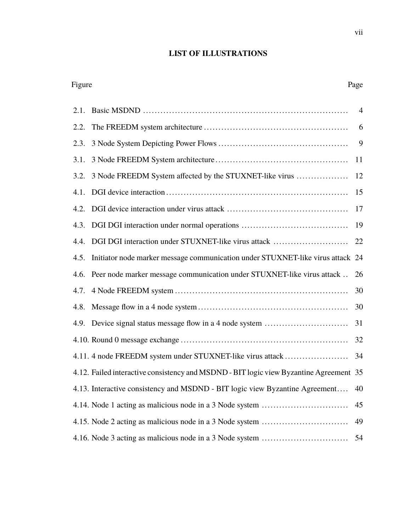#### **LIST OF ILLUSTRATIONS**

# 2.1. Basic MSDND ....................................................................... 4 2.2. The FREEDM system architecture .................................................. 6 2.3. 3 Node System Depicting Power Flows ............................................. 9 3.1. 3 Node FREEDM System architecture .............................................. 11 3.2. 3 Node FREEDM System affected by the STUXNET-like virus .................. 12 4.1. DGI device interaction ............................................................... 15 4.2. DGI device interaction under virus attack .......................................... 17 4.3. DGI DGI interaction under normal operations ..................................... 19 4.4. DGI DGI interaction under STUXNET-like virus attack .......................... 22 4.5. Initiator node marker message communication under STUXNET-like virus attack 24 4.6. Peer node marker message communication under STUXNET-like virus attack .. 26 4.7. 4 Node FREEDM system ............................................................ 30 4.8. Message flow in a 4 node system .................................................... 30 4.9. Device signal status message flow in a 4 node system ............................. 31 4.10. Round 0 message exchange .......................................................... 32 4.11. 4 node FREEDM system under STUXNET-like virus attack ...................... 34 4.12. Failed interactive consistency and MSDND - BIT logic view Byzantine Agreement 35 4.13. Interactive consistency and MSDND - BIT logic view Byzantine Agreement.... 40 4.14. Node 1 acting as malicious node in a 3 Node system .............................. 45

4.15. Node 2 acting as malicious node in a 3 Node system .............................. 49 4.16. Node 3 acting as malicious node in a 3 Node system .............................. 54

## Figure Page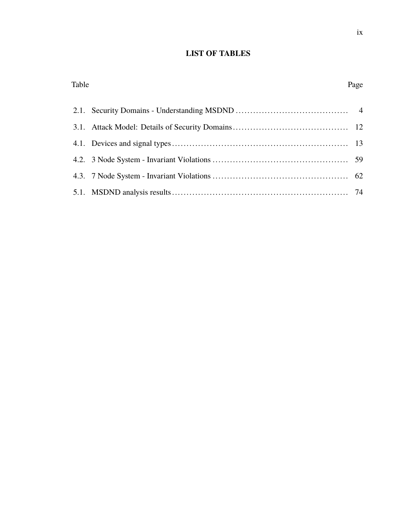## **LIST OF TABLES**

Table Page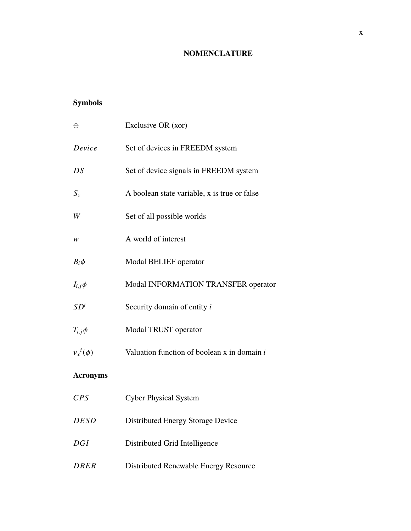## **NOMENCLATURE**

## **Symbols**

| $\oplus$        | Exclusive OR (xor)                              |
|-----------------|-------------------------------------------------|
| Device          | Set of devices in FREEDM system                 |
| DS              | Set of device signals in FREEDM system          |
| $S_x$           | A boolean state variable, x is true or false    |
| W               | Set of all possible worlds                      |
| w               | A world of interest                             |
| $B_i\phi$       | Modal BELIEF operator                           |
| $I_{i,j}\phi$   | Modal INFORMATION TRANSFER operator             |
| SD <sup>i</sup> | Security domain of entity i                     |
| $T_{i,j}\phi$   | Modal TRUST operator                            |
| $v_x^i(\phi)$   | Valuation function of boolean $x$ in domain $i$ |
| <b>Acronyms</b> |                                                 |
| CPS             | <b>Cyber Physical System</b>                    |
| <i>DESD</i>     | Distributed Energy Storage Device               |
| DGI             | Distributed Grid Intelligence                   |
| <b>DRER</b>     | Distributed Renewable Energy Resource           |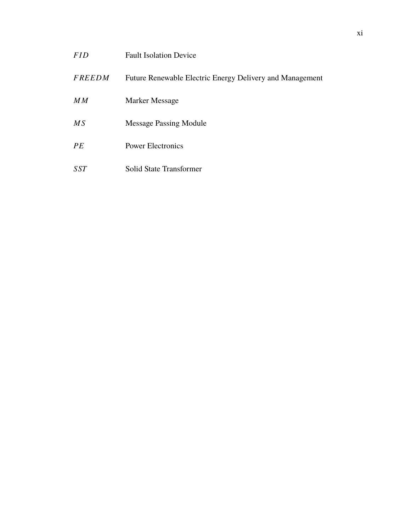| <b>FID</b>    | <b>Fault Isolation Device</b>                            |
|---------------|----------------------------------------------------------|
| <b>FREEDM</b> | Future Renewable Electric Energy Delivery and Management |
| MM            | Marker Message                                           |
| MS            | <b>Message Passing Module</b>                            |
| PE            | <b>Power Electronics</b>                                 |
| <i>SST</i>    | Solid State Transformer                                  |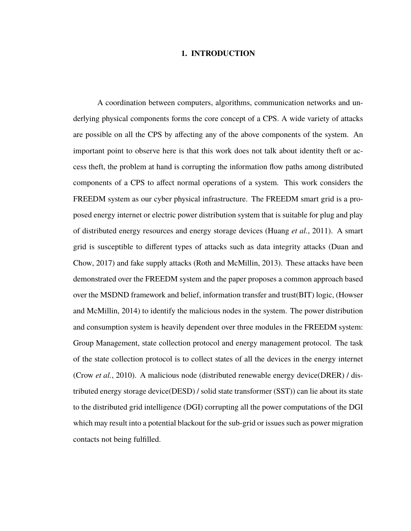#### **1. INTRODUCTION**

A coordination between computers, algorithms, communication networks and underlying physical components forms the core concept of a CPS. A wide variety of attacks are possible on all the CPS by affecting any of the above components of the system. An important point to observe here is that this work does not talk about identity theft or access theft, the problem at hand is corrupting the information flow paths among distributed components of a CPS to affect normal operations of a system. This work considers the FREEDM system as our cyber physical infrastructure. The FREEDM smart grid is a proposed energy internet or electric power distribution system that is suitable for plug and play of distributed energy resources and energy storage devices (Huang *et al.*, 2011). A smart grid is susceptible to different types of attacks such as data integrity attacks (Duan and Chow, 2017) and fake supply attacks (Roth and McMillin, 2013). These attacks have been demonstrated over the FREEDM system and the paper proposes a common approach based over the MSDND framework and belief, information transfer and trust(BIT) logic, (Howser and McMillin, 2014) to identify the malicious nodes in the system. The power distribution and consumption system is heavily dependent over three modules in the FREEDM system: Group Management, state collection protocol and energy management protocol. The task of the state collection protocol is to collect states of all the devices in the energy internet (Crow *et al.*, 2010). A malicious node (distributed renewable energy device(DRER) / distributed energy storage device(DESD) / solid state transformer (SST)) can lie about its state to the distributed grid intelligence (DGI) corrupting all the power computations of the DGI which may result into a potential blackout for the sub-grid or issues such as power migration contacts not being fulfilled.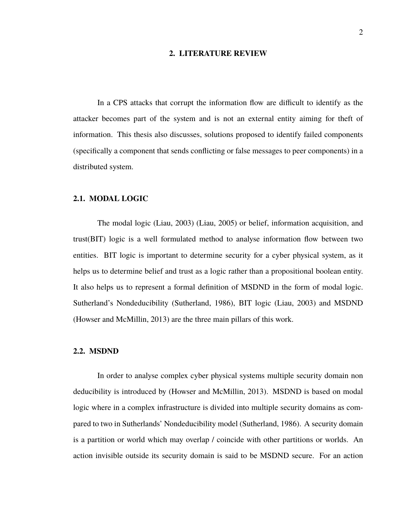#### **2. LITERATURE REVIEW**

In a CPS attacks that corrupt the information flow are difficult to identify as the attacker becomes part of the system and is not an external entity aiming for theft of information. This thesis also discusses, solutions proposed to identify failed components (specifically a component that sends conflicting or false messages to peer components) in a distributed system.

#### **2.1. MODAL LOGIC**

The modal logic (Liau, 2003) (Liau, 2005) or belief, information acquisition, and trust(BIT) logic is a well formulated method to analyse information flow between two entities. BIT logic is important to determine security for a cyber physical system, as it helps us to determine belief and trust as a logic rather than a propositional boolean entity. It also helps us to represent a formal definition of MSDND in the form of modal logic. Sutherland's Nondeducibility (Sutherland, 1986), BIT logic (Liau, 2003) and MSDND (Howser and McMillin, 2013) are the three main pillars of this work.

#### **2.2. MSDND**

In order to analyse complex cyber physical systems multiple security domain non deducibility is introduced by (Howser and McMillin, 2013). MSDND is based on modal logic where in a complex infrastructure is divided into multiple security domains as compared to two in Sutherlands' Nondeducibility model (Sutherland, 1986). A security domain is a partition or world which may overlap / coincide with other partitions or worlds. An action invisible outside its security domain is said to be MSDND secure. For an action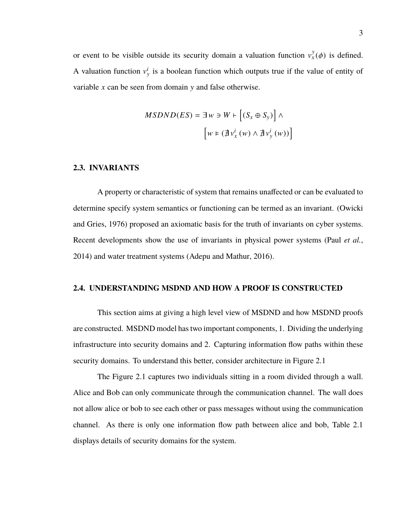or event to be visible outside its security domain a valuation function  $v_x^y$  $\int_{x}^{y}(\phi)$  is defined. A valuation function  $v_y^i$  is a boolean function which outputs true if the value of entity of variable *x* can be seen from domain y and false otherwise.

$$
MSDND(ES) = \exists w \ni W \vdash \left[ (S_x \oplus S_y) \right] \land
$$

$$
\left[ w \models (\nexists v_x^i(w) \land \nexists v_y^i(w)) \right]
$$

#### **2.3. INVARIANTS**

A property or characteristic of system that remains unaffected or can be evaluated to determine specify system semantics or functioning can be termed as an invariant. (Owicki and Gries, 1976) proposed an axiomatic basis for the truth of invariants on cyber systems. Recent developments show the use of invariants in physical power systems (Paul *et al.*, 2014) and water treatment systems (Adepu and Mathur, 2016).

#### **2.4. UNDERSTANDING MSDND AND HOW A PROOF IS CONSTRUCTED**

This section aims at giving a high level view of MSDND and how MSDND proofs are constructed. MSDND model has two important components, 1. Dividing the underlying infrastructure into security domains and 2. Capturing information flow paths within these security domains. To understand this better, consider architecture in Figure 2.1

The Figure 2.1 captures two individuals sitting in a room divided through a wall. Alice and Bob can only communicate through the communication channel. The wall does not allow alice or bob to see each other or pass messages without using the communication channel. As there is only one information flow path between alice and bob, Table 2.1 displays details of security domains for the system.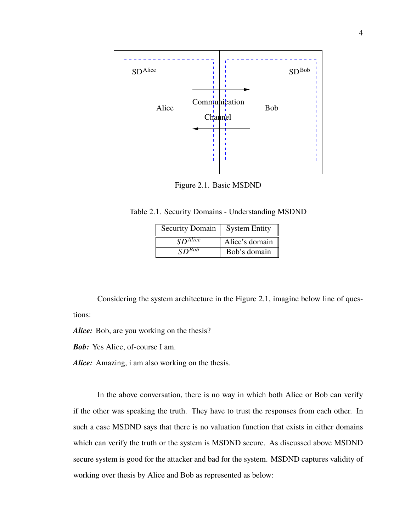

Figure 2.1. Basic MSDND

Table 2.1. Security Domains - Understanding MSDND

| <b>Security Domain</b>  | <b>System Entity</b> |
|-------------------------|----------------------|
| $S\overline{D^{Alice}}$ | Alice's domain       |
| $SD^{Bob}$              | Bob's domain         |

Considering the system architecture in the Figure 2.1, imagine below line of questions:

*Alice:* Bob, are you working on the thesis?

*Bob:* Yes Alice, of-course I am.

*Alice:* Amazing, i am also working on the thesis.

In the above conversation, there is no way in which both Alice or Bob can verify if the other was speaking the truth. They have to trust the responses from each other. In such a case MSDND says that there is no valuation function that exists in either domains which can verify the truth or the system is MSDND secure. As discussed above MSDND secure system is good for the attacker and bad for the system. MSDND captures validity of working over thesis by Alice and Bob as represented as below: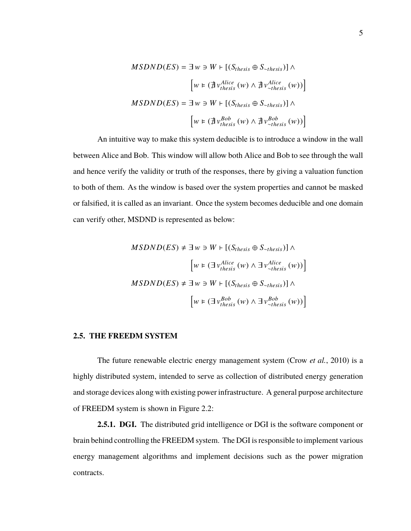$$
MSDND(ES) = \exists w \ni W \vdash [(S_{thesis} \oplus S_{\sim thesis})] \land
$$

$$
\left[ w \vDash (\nexists v_{thesis}^{Alice}(w) \land \nexists v_{\sim thesis}^{Alice}(w)) \right]
$$

$$
MSDND(ES) = \exists w \ni W \vdash [(S_{thesis} \oplus S_{\sim thesis})] \land
$$

$$
\left[ w \vDash (\nexists v_{thesis}^{Bob}(w) \land \nexists v_{\sim thesis}^{Bob}(w)) \right]
$$

An intuitive way to make this system deducible is to introduce a window in the wall between Alice and Bob. This window will allow both Alice and Bob to see through the wall and hence verify the validity or truth of the responses, there by giving a valuation function to both of them. As the window is based over the system properties and cannot be masked or falsified, it is called as an invariant. Once the system becomes deducible and one domain can verify other, MSDND is represented as below:

$$
MSDND(ES) \neq \exists w \ni W \vdash [(S_{thesis} \oplus S_{\sim thesis})] \land
$$

$$
\left[ w \vDash (\exists v_{thesis}^{Alice}(w) \land \exists v_{\sim thesis}^{Alice}(w)) \right]
$$

$$
MSDND(ES) \neq \exists w \ni W \vdash [(S_{thesis} \oplus S_{\sim thesis})] \land
$$

$$
\left[ w \vDash (\exists v_{thesis}^{Bob}(w) \land \exists v_{\sim thesis}^{Bob}(w)) \right]
$$

#### **2.5. THE FREEDM SYSTEM**

The future renewable electric energy management system (Crow *et al.*, 2010) is a highly distributed system, intended to serve as collection of distributed energy generation and storage devices along with existing power infrastructure. A general purpose architecture of FREEDM system is shown in Figure 2.2:

**2.5.1. DGI.** The distributed grid intelligence or DGI is the software component or brain behind controlling the FREEDM system. The DGI is responsible to implement various energy management algorithms and implement decisions such as the power migration contracts.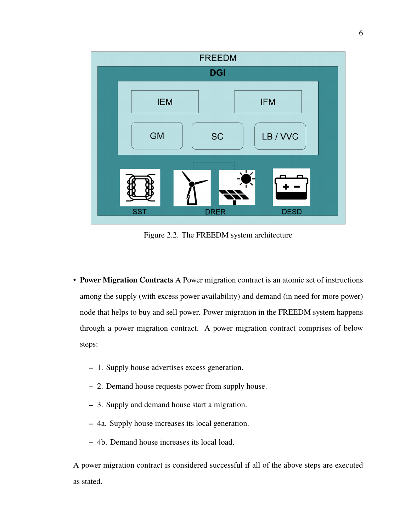

Figure 2.2. The FREEDM system architecture

- **Power Migration Contracts** A Power migration contract is an atomic set of instructions among the supply (with excess power availability) and demand (in need for more power) node that helps to buy and sell power. Power migration in the FREEDM system happens through a power migration contract. A power migration contract comprises of below steps:
	- **–** 1. Supply house advertises excess generation.
	- **–** 2. Demand house requests power from supply house.
	- **–** 3. Supply and demand house start a migration.
	- **–** 4a. Supply house increases its local generation.
	- **–** 4b. Demand house increases its local load.

A power migration contract is considered successful if all of the above steps are executed as stated.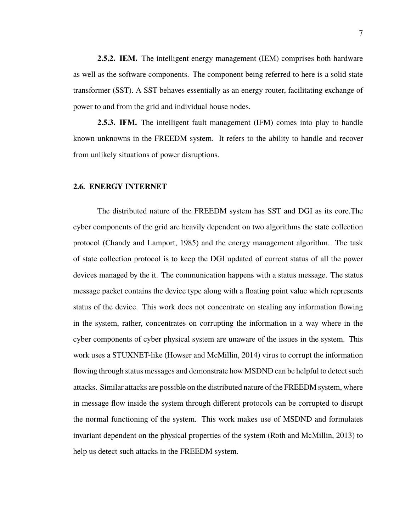**2.5.2. IEM.** The intelligent energy management (IEM) comprises both hardware as well as the software components. The component being referred to here is a solid state transformer (SST). A SST behaves essentially as an energy router, facilitating exchange of power to and from the grid and individual house nodes.

**2.5.3. IFM.** The intelligent fault management (IFM) comes into play to handle known unknowns in the FREEDM system. It refers to the ability to handle and recover from unlikely situations of power disruptions.

#### **2.6. ENERGY INTERNET**

The distributed nature of the FREEDM system has SST and DGI as its core.The cyber components of the grid are heavily dependent on two algorithms the state collection protocol (Chandy and Lamport, 1985) and the energy management algorithm. The task of state collection protocol is to keep the DGI updated of current status of all the power devices managed by the it. The communication happens with a status message. The status message packet contains the device type along with a floating point value which represents status of the device. This work does not concentrate on stealing any information flowing in the system, rather, concentrates on corrupting the information in a way where in the cyber components of cyber physical system are unaware of the issues in the system. This work uses a STUXNET-like (Howser and McMillin, 2014) virus to corrupt the information flowing through status messages and demonstrate how MSDND can be helpful to detect such attacks. Similar attacks are possible on the distributed nature of the FREEDM system, where in message flow inside the system through different protocols can be corrupted to disrupt the normal functioning of the system. This work makes use of MSDND and formulates invariant dependent on the physical properties of the system (Roth and McMillin, 2013) to help us detect such attacks in the FREEDM system.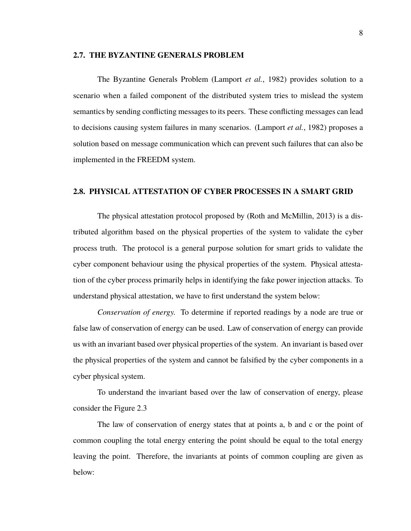#### **2.7. THE BYZANTINE GENERALS PROBLEM**

The Byzantine Generals Problem (Lamport *et al.*, 1982) provides solution to a scenario when a failed component of the distributed system tries to mislead the system semantics by sending conflicting messages to its peers. These conflicting messages can lead to decisions causing system failures in many scenarios. (Lamport *et al.*, 1982) proposes a solution based on message communication which can prevent such failures that can also be implemented in the FREEDM system.

#### **2.8. PHYSICAL ATTESTATION OF CYBER PROCESSES IN A SMART GRID**

The physical attestation protocol proposed by (Roth and McMillin, 2013) is a distributed algorithm based on the physical properties of the system to validate the cyber process truth. The protocol is a general purpose solution for smart grids to validate the cyber component behaviour using the physical properties of the system. Physical attestation of the cyber process primarily helps in identifying the fake power injection attacks. To understand physical attestation, we have to first understand the system below:

*Conservation of energy.* To determine if reported readings by a node are true or false law of conservation of energy can be used. Law of conservation of energy can provide us with an invariant based over physical properties of the system. An invariant is based over the physical properties of the system and cannot be falsified by the cyber components in a cyber physical system.

To understand the invariant based over the law of conservation of energy, please consider the Figure 2.3

The law of conservation of energy states that at points a, b and c or the point of common coupling the total energy entering the point should be equal to the total energy leaving the point. Therefore, the invariants at points of common coupling are given as below: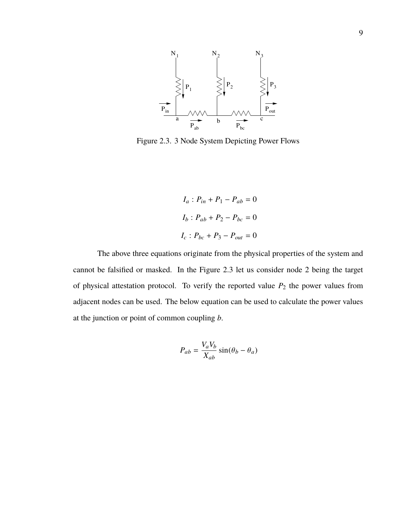

Figure 2.3. 3 Node System Depicting Power Flows

$$
I_a: P_{in} + P_1 - P_{ab} = 0
$$

$$
I_b: P_{ab} + P_2 - P_{bc} = 0
$$

$$
I_c: P_{bc} + P_3 - P_{out} = 0
$$

The above three equations originate from the physical properties of the system and cannot be falsified or masked. In the Figure 2.3 let us consider node 2 being the target of physical attestation protocol. To verify the reported value  $P_2$  the power values from adjacent nodes can be used. The below equation can be used to calculate the power values at the junction or point of common coupling *b*.

$$
P_{ab} = \frac{V_a V_b}{X_{ab}} \sin(\theta_b - \theta_a)
$$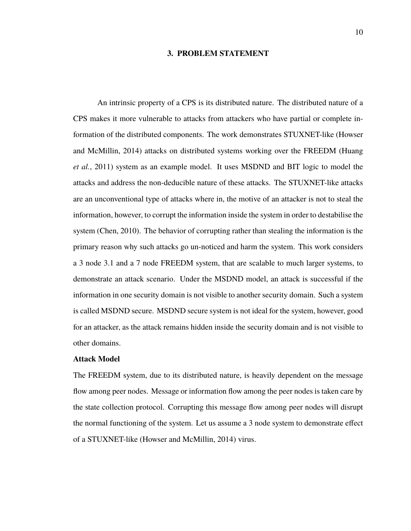#### **3. PROBLEM STATEMENT**

An intrinsic property of a CPS is its distributed nature. The distributed nature of a CPS makes it more vulnerable to attacks from attackers who have partial or complete information of the distributed components. The work demonstrates STUXNET-like (Howser and McMillin, 2014) attacks on distributed systems working over the FREEDM (Huang *et al.*, 2011) system as an example model. It uses MSDND and BIT logic to model the attacks and address the non-deducible nature of these attacks. The STUXNET-like attacks are an unconventional type of attacks where in, the motive of an attacker is not to steal the information, however, to corrupt the information inside the system in order to destabilise the system (Chen, 2010). The behavior of corrupting rather than stealing the information is the primary reason why such attacks go un-noticed and harm the system. This work considers a 3 node 3.1 and a 7 node FREEDM system, that are scalable to much larger systems, to demonstrate an attack scenario. Under the MSDND model, an attack is successful if the information in one security domain is not visible to another security domain. Such a system is called MSDND secure. MSDND secure system is not ideal for the system, however, good for an attacker, as the attack remains hidden inside the security domain and is not visible to other domains.

#### **Attack Model**

The FREEDM system, due to its distributed nature, is heavily dependent on the message flow among peer nodes. Message or information flow among the peer nodes is taken care by the state collection protocol. Corrupting this message flow among peer nodes will disrupt the normal functioning of the system. Let us assume a 3 node system to demonstrate effect of a STUXNET-like (Howser and McMillin, 2014) virus.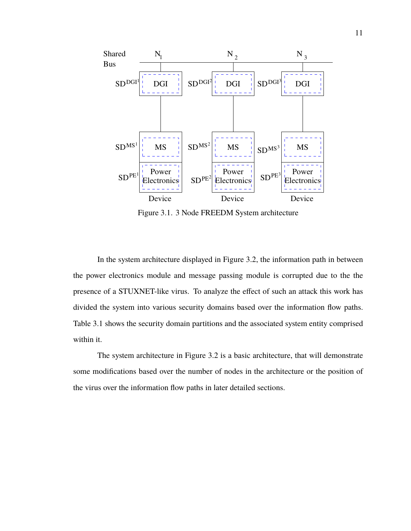

Figure 3.1. 3 Node FREEDM System architecture

In the system architecture displayed in Figure 3.2, the information path in between the power electronics module and message passing module is corrupted due to the the presence of a STUXNET-like virus. To analyze the effect of such an attack this work has divided the system into various security domains based over the information flow paths. Table 3.1 shows the security domain partitions and the associated system entity comprised within it.

The system architecture in Figure 3.2 is a basic architecture, that will demonstrate some modifications based over the number of nodes in the architecture or the position of the virus over the information flow paths in later detailed sections.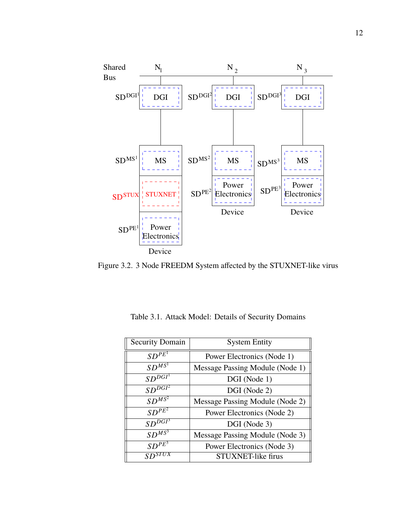

Figure 3.2. 3 Node FREEDM System affected by the STUXNET-like virus

| <b>Security Domain</b>  | <b>System Entity</b>            |  |
|-------------------------|---------------------------------|--|
| $SD^{P\overline{E}^1}$  | Power Electronics (Node 1)      |  |
| $SD^{\overline{MS}}$    | Message Passing Module (Node 1) |  |
| SD <sup>DGT</sup>       | DGI (Node 1)                    |  |
| $SD^{D\overline{GI^2}}$ | DGI (Node 2)                    |  |
| $SD^{\overline{MS^2}}$  | Message Passing Module (Node 2) |  |
| $SD^{PE^2}$             | Power Electronics (Node 2)      |  |
| $SDD\overline{GI^3}$    | DGI (Node 3)                    |  |
| $SD^{M\overline{S^3}}$  | Message Passing Module (Node 3) |  |
| $SD^{PE^3}$             | Power Electronics (Node 3)      |  |
|                         | STUXNET-like firus              |  |

Table 3.1. Attack Model: Details of Security Domains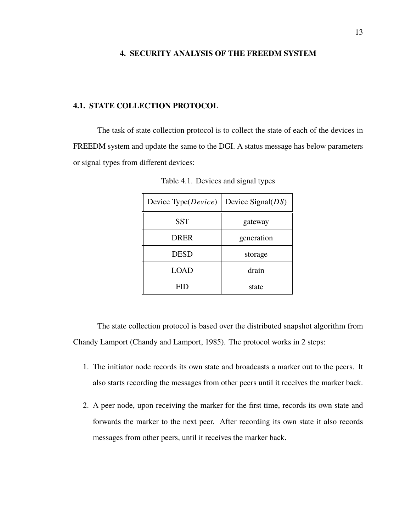#### **4. SECURITY ANALYSIS OF THE FREEDM SYSTEM**

#### **4.1. STATE COLLECTION PROTOCOL**

The task of state collection protocol is to collect the state of each of the devices in FREEDM system and update the same to the DGI. A status message has below parameters or signal types from different devices:

| Device Type(Device) | Device Signal $(DS)$ |
|---------------------|----------------------|
| <b>SST</b>          | gateway              |
| <b>DRER</b>         | generation           |
| DESD                | storage              |
| LOAD                | drain                |
| FID                 | state                |

Table 4.1. Devices and signal types

The state collection protocol is based over the distributed snapshot algorithm from Chandy Lamport (Chandy and Lamport, 1985). The protocol works in 2 steps:

- 1. The initiator node records its own state and broadcasts a marker out to the peers. It also starts recording the messages from other peers until it receives the marker back.
- 2. A peer node, upon receiving the marker for the first time, records its own state and forwards the marker to the next peer. After recording its own state it also records messages from other peers, until it receives the marker back.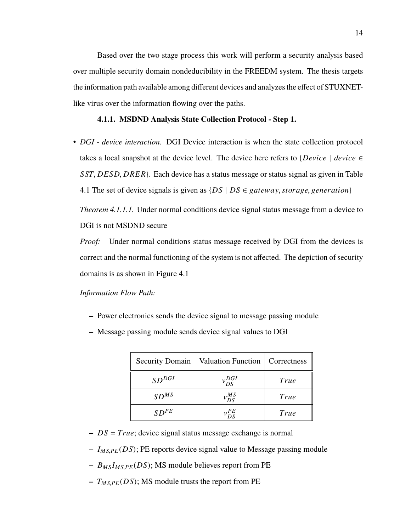Based over the two stage process this work will perform a security analysis based over multiple security domain nondeducibility in the FREEDM system. The thesis targets the information path available among different devices and analyzes the effect of STUXNETlike virus over the information flowing over the paths.

#### **4.1.1. MSDND Analysis State Collection Protocol - Step 1.**

• *DGI - device interaction.* DGI Device interaction is when the state collection protocol takes a local snapshot at the device level. The device here refers to  ${Device \mid device \in}$ *SST*, *DESD*, *DRER*}. Each device has a status message or status signal as given in Table 4.1 The set of device signals is given as  $\{DS \mid DS \in \text{g}ateway, storage, generation\}$ 

*Theorem 4.1.1.1.* Under normal conditions device signal status message from a device to DGI is not MSDND secure

*Proof:* Under normal conditions status message received by DGI from the devices is correct and the normal functioning of the system is not affected. The depiction of security domains is as shown in Figure 4.1

- **–** Power electronics sends the device signal to message passing module
- **–** Message passing module sends device signal values to DGI

| <b>Security Domain</b> | Valuation Function   Correctness |      |
|------------------------|----------------------------------|------|
| $SD^{DGI}$             | $v_{DS}^{DGI}$                   | True |
| SD <sup>MS</sup>       | $v^{MS}_{DS}$                    | True |
| $SD^{PE}$              | ΡE                               | True |

- **–** *DS* = *True*; device signal status message exchange is normal
- **–** *<sup>I</sup>M S*,*PE* (*DS*); PE reports device signal value to Message passing module
- **–** *<sup>B</sup>M S <sup>I</sup>M S*,*PE* (*DS*); MS module believes report from PE
- $T_{M S, PE}(DS)$ ; MS module trusts the report from PE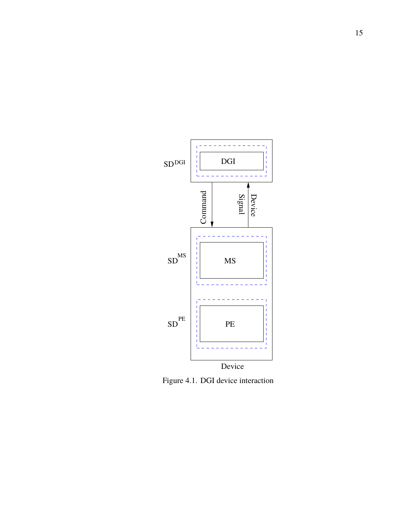

Figure 4.1. DGI device interaction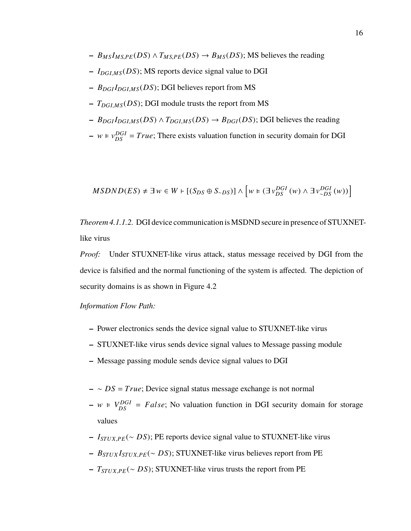- $-$  *B<sub>MS</sub>I<sub>MSPE</sub>*(*DS*)  $\land$  *T<sub>MSPE</sub>*(*DS*)  $\rightarrow$  *B<sub>MS</sub>*(*DS*); MS believes the reading
- **–** *<sup>I</sup>DGI*,*M S* (*DS*); MS reports device signal value to DGI
- **–** *<sup>B</sup>DGI <sup>I</sup>DGI*,*M S* (*DS*); DGI believes report from MS
- **–** *<sup>T</sup>DGI*,*M S* (*DS*); DGI module trusts the report from MS
- $-$  *B*<sub>*DGI</sub>* $I_{DGLMS}(DS) \wedge T_{DGLMS}(DS) \rightarrow B_{DGI}(DS)$ ; DGI believes the reading</sub>
- $w \in v_{DS}^{DGI} = True$ ; There exists valuation function in security domain for DGI

$$
MSDND(ES) \neq \exists w \in W \vdash [(S_{DS} \oplus S_{\sim DS})] \wedge \left[ w \models (\exists v_{DS}^{DGI}(w) \wedge \exists v_{\sim DS}^{DGI}(w)) \right]
$$

*Theorem 4.1.1.2.* DGI device communication is MSDND secure in presence of STUXNETlike virus

*Proof:* Under STUXNET-like virus attack, status message received by DGI from the device is falsified and the normal functioning of the system is affected. The depiction of security domains is as shown in Figure 4.2

- **–** Power electronics sends the device signal value to STUXNET-like virus
- **–** STUXNET-like virus sends device signal values to Message passing module
- **–** Message passing module sends device signal values to DGI
- **–** ∼ *DS* = *True*; Device signal status message exchange is not normal
- $-w \in V_{DS}^{DGI} = False$ ; No valuation function in DGI security domain for storage values
- **–** *<sup>I</sup>STU X*,*PE* (<sup>∼</sup> *DS*); PE reports device signal value to STUXNET-like virus
- **–** *<sup>B</sup>STU X <sup>I</sup>STU X*,*PE* (<sup>∼</sup> *DS*); STUXNET-like virus believes report from PE
- **–** *<sup>T</sup>STU X*,*PE* (<sup>∼</sup> *DS*); STUXNET-like virus trusts the report from PE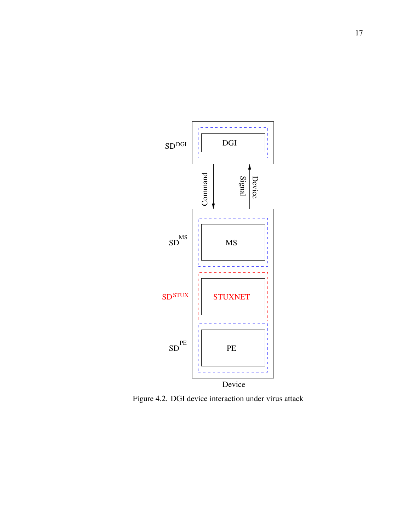

Figure 4.2. DGI device interaction under virus attack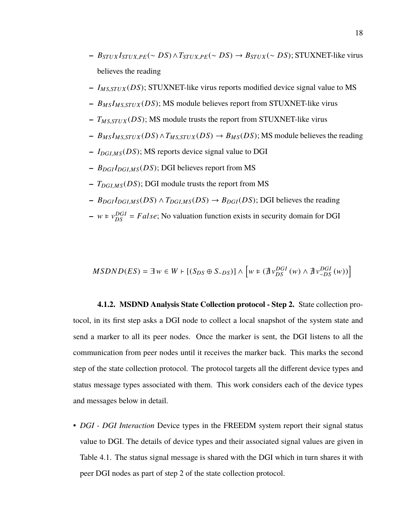- $-$  *B*<sub>STUX</sub>*I*<sub>STUX</sub>, $P_E(∼ DS) ∧ T_{STUX}P_E(∼ DS) → B_{STUX}(∼ DS);$  STUXNET-like virus believes the reading
- **–** *<sup>I</sup>M S*,*STU X* (*DS*); STUXNET-like virus reports modified device signal value to MS
- **–** *<sup>B</sup>M S <sup>I</sup>M S*,*STU X* (*DS*); MS module believes report from STUXNET-like virus
- **–** *<sup>T</sup>M S*,*STU X* (*DS*); MS module trusts the report from STUXNET-like virus
- $-$  *B<sub>MS</sub>I<sub>MS</sub>*, *STUX* (*DS*)  $\land$  *T<sub>MS</sub>*, *STUX* (*DS*)  $\rightarrow$  *B<sub>MS</sub>*(*DS*); MS module believes the reading
- **–** *<sup>I</sup>DGI*,*M S* (*DS*); MS reports device signal value to DGI
- **–** *<sup>B</sup>DGI <sup>I</sup>DGI*,*M S* (*DS*); DGI believes report from MS
- **–** *<sup>T</sup>DGI*,*M S* (*DS*); DGI module trusts the report from MS
- $-$  *B*<sub>*DGI</sub>* $I_{DGLMS}(DS) \wedge T_{DGLMS}(DS) \rightarrow B_{DGI}(DS)$ ; DGI believes the reading</sub>
- $w \in v_{DS}^{DGI} = False$ ; No valuation function exists in security domain for DGI

$$
MSDND(ES) = \exists w \in W \vdash [(S_{DS} \oplus S_{\sim DS})] \wedge \left[ w \in (\nexists v_{DS}^{DGI}(w) \wedge \nexists v_{\sim DS}^{DGI}(w)) \right]
$$

**4.1.2. MSDND Analysis State Collection protocol - Step 2.** State collection protocol, in its first step asks a DGI node to collect a local snapshot of the system state and send a marker to all its peer nodes. Once the marker is sent, the DGI listens to all the communication from peer nodes until it receives the marker back. This marks the second step of the state collection protocol. The protocol targets all the different device types and status message types associated with them. This work considers each of the device types and messages below in detail.

• *DGI - DGI Interaction* Device types in the FREEDM system report their signal status value to DGI. The details of device types and their associated signal values are given in Table 4.1. The status signal message is shared with the DGI which in turn shares it with peer DGI nodes as part of step 2 of the state collection protocol.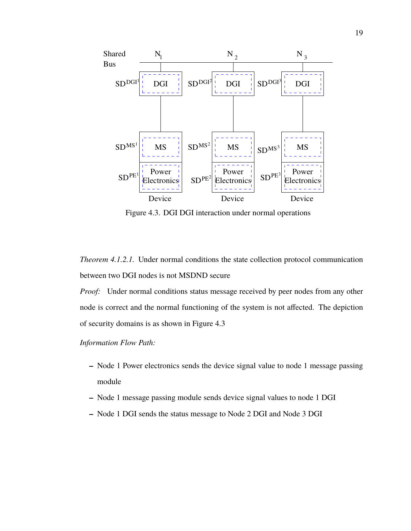

Figure 4.3. DGI DGI interaction under normal operations

*Theorem 4.1.2.1.* Under normal conditions the state collection protocol communication between two DGI nodes is not MSDND secure

*Proof:* Under normal conditions status message received by peer nodes from any other node is correct and the normal functioning of the system is not affected. The depiction of security domains is as shown in Figure 4.3

- **–** Node 1 Power electronics sends the device signal value to node 1 message passing module
- **–** Node 1 message passing module sends device signal values to node 1 DGI
- **–** Node 1 DGI sends the status message to Node 2 DGI and Node 3 DGI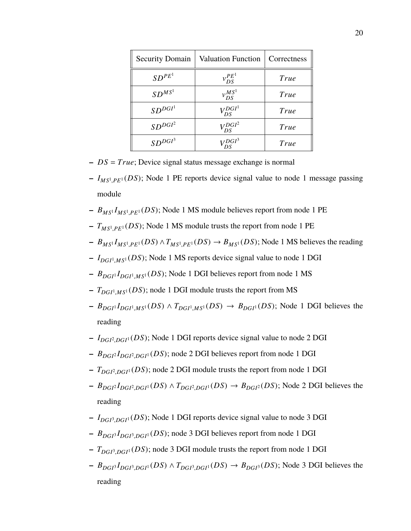| <b>Security Domain</b>        | <b>Valuation Function</b> | Correctness |
|-------------------------------|---------------------------|-------------|
| $SD^{PE^1}$                   | $v_{DS}^{PE}$             | True        |
| $SD^{MS^1}$                   | $v_{DS}^{MS}$             | True        |
| SD <sup>DGI<sup>1</sup></sup> | $V_{DS}^{DGI^1}$          | True        |
| SD <sup>DGI<sup>2</sup></sup> | $V_{DS}^{DGI^2}$          | True        |
| SD <sup>DGI<sup>3</sup></sup> | $V_{DS}^{DGI^3}$          | True        |

- **–** *DS* = *True*; Device signal status message exchange is normal
- **–** *IM S*<sup>1</sup> ,*PE*<sup>1</sup> (*DS*); Node 1 PE reports device signal value to node 1 message passing module
- **–** *BM S*<sup>1</sup> *IM S*<sup>1</sup> ,*PE*<sup>1</sup> (*DS*); Node 1 MS module believes report from node 1 PE
- **–** *TM S*<sup>1</sup> ,*PE*<sup>1</sup> (*DS*); Node 1 MS module trusts the report from node 1 PE
- $-P_{MS}I_{MS}I_{MS}P_{E}I(DS) \wedge T_{MS}I_{PE}I(DS) \rightarrow B_{MS}I(DS)$ ; Node 1 MS believes the reading
- **–** *IDGI*<sup>1</sup> ,*M S*<sup>1</sup> (*DS*); Node 1 MS reports device signal value to node 1 DGI
- **–** *BDGI*<sup>1</sup> *IDGI*<sup>1</sup> ,*M S*<sup>1</sup> (*DS*); Node 1 DGI believes report from node 1 MS
- **–** *TDGI*<sup>1</sup> ,*M S*<sup>1</sup> (*DS*); node 1 DGI module trusts the report from MS
- $-P_{DGI}I_{DGI}I_{MS}I(DS) \wedge T_{DGI}I_{MS}I(DS) \rightarrow B_{DGI}I(DS)$ ; Node 1 DGI believes the reading
- **–** *IDGI*<sup>2</sup> ,*DGI*<sup>1</sup> (*DS*); Node 1 DGI reports device signal value to node 2 DGI
- **–** *BDGI*<sup>2</sup> *IDGI*<sup>2</sup> ,*DGI*<sup>1</sup> (*DS*); node 2 DGI believes report from node 1 DGI
- **–** *TDGI*<sup>2</sup> ,*DGI*<sup>1</sup> (*DS*); node 2 DGI module trusts the report from node 1 DGI
- $-P_{DGI} \cdot I_{DGI} \cdot (DS) \wedge T_{DGI} \cdot (DS) \rightarrow B_{DGI} \cdot (DS)$ ; Node 2 DGI believes the reading
- **–** *IDGI*<sup>3</sup> ,*DGI*<sup>1</sup> (*DS*); Node 1 DGI reports device signal value to node 3 DGI
- **–** *BDGI*<sup>3</sup> *IDGI*<sup>3</sup> ,*DGI*<sup>1</sup> (*DS*); node 3 DGI believes report from node 1 DGI
- **–** *TDGI*<sup>3</sup> ,*DGI*<sup>1</sup> (*DS*); node 3 DGI module trusts the report from node 1 DGI
- $-P_{DGI}I_{DGI}^3I_{DGI}^3$ ,  $DGI^1(DS) \land T_{DGI}^3$ ,  $DGI^1(DS) \rightarrow B_{DGI}^3(DS)$ ; Node 3 DGI believes the reading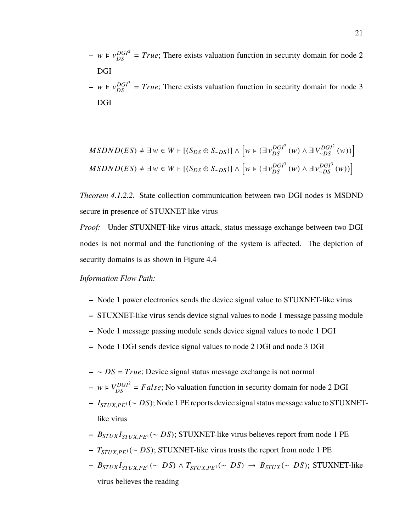- $-w \in v_{DS}^{DGI^2} = True$ ; There exists valuation function in security domain for node 2 DGI
- $-w \in v_{DS}^{DGI^3} = True$ ; There exists valuation function in security domain for node 3 DGI

$$
MSDND(ES) \neq \exists w \in W \vdash [(S_{DS} \oplus S_{\sim DS})] \wedge \left[ w \in (\exists v_{DS}^{DGI^2}(w) \wedge \exists V_{\sim DS}^{DGI^2}(w)) \right]
$$
  

$$
MSDND(ES) \neq \exists w \in W \vdash [(S_{DS} \oplus S_{\sim DS})] \wedge \left[ w \in (\exists v_{DS}^{DGI^3}(w) \wedge \exists v_{\sim DS}^{DGI^3}(w)) \right]
$$

*Theorem 4.1.2.2.* State collection communication between two DGI nodes is MSDND secure in presence of STUXNET-like virus

*Proof:* Under STUXNET-like virus attack, status message exchange between two DGI nodes is not normal and the functioning of the system is affected. The depiction of security domains is as shown in Figure 4.4

- **–** Node 1 power electronics sends the device signal value to STUXNET-like virus
- **–** STUXNET-like virus sends device signal values to node 1 message passing module
- **–** Node 1 message passing module sends device signal values to node 1 DGI
- **–** Node 1 DGI sends device signal values to node 2 DGI and node 3 DGI
- **–** ∼ *DS* = *True*; Device signal status message exchange is not normal
- $w \in V_{DS}^{DGI^2} = False$ ; No valuation function in security domain for node 2 DGI
- **–** *<sup>I</sup>STU X*,*PE*<sup>1</sup> (<sup>∼</sup> *DS*); Node 1 PE reports device signal status message value to STUXNETlike virus
- **–** *<sup>B</sup>STU X <sup>I</sup>STU X*,*PE*<sup>1</sup> (<sup>∼</sup> *DS*); STUXNET-like virus believes report from node 1 PE
- **–** *<sup>T</sup>STU X*,*PE*<sup>1</sup> (<sup>∼</sup> *DS*); STUXNET-like virus trusts the report from node 1 PE
- $-$  *B*<sub>STUX</sub><sup>*I*</sup><sub>STUX</sub>, $P_{E}$ <sup>1</sup>(∼ *DS*) ∧ *T*<sub>STUX</sub>, $P_{E}$ <sup>1</sup>(∼ *DS*) → *B*<sub>STUX</sub>(∼ *DS*); STUXNET-like virus believes the reading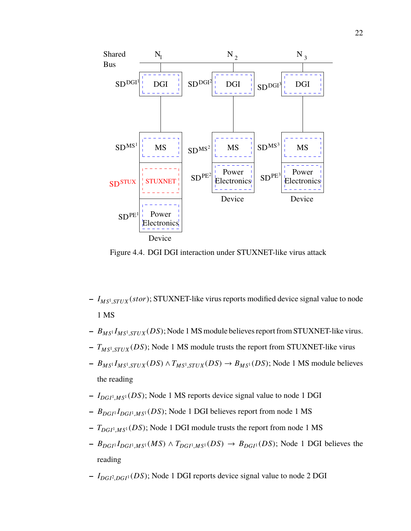

Figure 4.4. DGI DGI interaction under STUXNET-like virus attack

- **–** *IM S*<sup>1</sup> ,*STU X* (*stor*); STUXNET-like virus reports modified device signal value to node 1 MS
- **–** *BM S*<sup>1</sup> *IM S*<sup>1</sup> ,*STU X* (*DS*); Node 1 MS module believes report from STUXNET-like virus.
- **–** *TM S*<sup>1</sup> ,*STU X* (*DS*); Node 1 MS module trusts the report from STUXNET-like virus
- **–** *BM S*<sup>1</sup> *IM S*<sup>1</sup> ,*STU X* (*DS*) <sup>∧</sup>*TM S*<sup>1</sup> ,*STU X* (*DS*) <sup>→</sup> *<sup>B</sup>M S*<sup>1</sup> (*DS*); Node 1 MS module believes the reading
- **–** *IDGI*<sup>1</sup> ,*M S*<sup>1</sup> (*DS*); Node 1 MS reports device signal value to node 1 DGI
- **–** *BDGI*<sup>1</sup> *IDGI*<sup>1</sup> ,*M S*<sup>1</sup> (*DS*); Node 1 DGI believes report from node 1 MS
- **–** *TDGI*<sup>1</sup> ,*M S*<sup>1</sup> (*DS*); Node 1 DGI module trusts the report from node 1 MS
- $-P_{DGI}I_{DGI}I_{MSI}(MS) \wedge T_{DGI}I_{MSI}(DS) \rightarrow B_{DGI}I(DS)$ ; Node 1 DGI believes the reading
- **–** *IDGI*<sup>2</sup> ,*DGI*<sup>1</sup> (*DS*); Node 1 DGI reports device signal value to node 2 DGI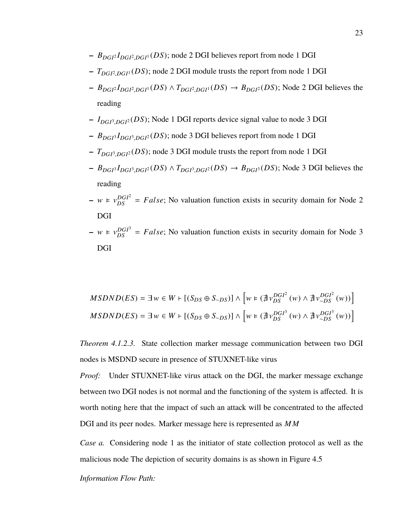- **–** *BDGI*<sup>2</sup> *IDGI*<sup>2</sup> ,*DGI*<sup>1</sup> (*DS*); node 2 DGI believes report from node 1 DGI
- **–** *TDGI*<sup>2</sup> ,*DGI*<sup>1</sup> (*DS*); node 2 DGI module trusts the report from node 1 DGI
- **–** *BDGI*<sup>2</sup> *IDGI*<sup>2</sup> ,*DGI*<sup>1</sup> (*DS*) <sup>∧</sup> *<sup>T</sup>DGI*<sup>2</sup> ,*DGI*<sup>1</sup> (*DS*) <sup>→</sup> *<sup>B</sup>DGI*<sup>2</sup> (*DS*); Node 2 DGI believes the reading
- **–** *IDGI*<sup>3</sup> ,*DGI*<sup>2</sup> (*DS*); Node 1 DGI reports device signal value to node 3 DGI
- **–** *BDGI*<sup>3</sup> *IDGI*<sup>3</sup> ,*DGI*<sup>2</sup> (*DS*); node 3 DGI believes report from node 1 DGI
- **–** *TDGI*<sup>3</sup> ,*DGI*<sup>2</sup> (*DS*); node 3 DGI module trusts the report from node 1 DGI
- $-P_{DGI}I_{DGI}^3I_{DGI}^2(DS) \wedge T_{DGI}^3DGI^2(DS) \rightarrow B_{DGI}^3(DS)$ ; Node 3 DGI believes the reading
- $-w \in v_{DS}^{DGI^2} = False$ ; No valuation function exists in security domain for Node 2 DGI
- $-w \in v_{DS}^{DGI^3} = False$ ; No valuation function exists in security domain for Node 3 DGI

$$
MSDND(ES) = \exists w \in W \vdash [(S_{DS} \oplus S_{\sim DS})] \land \left[w \models (\nexists v_{DS}^{DGI^2}(w) \land \nexists v_{\sim DS}^{DGI^2}(w))\right]
$$
\n
$$
MSDND(ES) = \exists w \in W \vdash [(S_{DS} \oplus S_{\sim DS})] \land \left[w \models (\nexists v_{DS}^{DGI^3}(w) \land \nexists v_{\sim DS}^{DGI^3}(w))\right]
$$

*Theorem 4.1.2.3.* State collection marker message communication between two DGI nodes is MSDND secure in presence of STUXNET-like virus

*Proof:* Under STUXNET-like virus attack on the DGI, the marker message exchange between two DGI nodes is not normal and the functioning of the system is affected. It is worth noting here that the impact of such an attack will be concentrated to the affected DGI and its peer nodes. Marker message here is represented as *MM*

*Case a.* Considering node 1 as the initiator of state collection protocol as well as the malicious node The depiction of security domains is as shown in Figure 4.5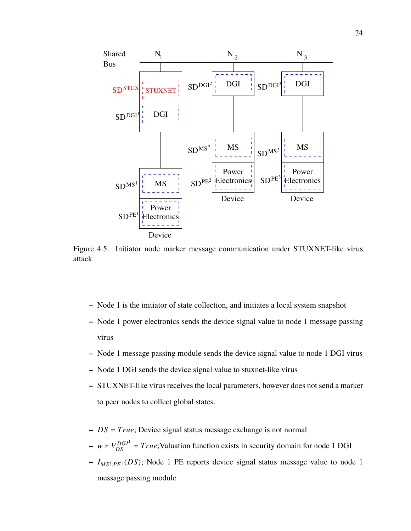

Figure 4.5. Initiator node marker message communication under STUXNET-like virus attack

- **–** Node 1 is the initiator of state collection, and initiates a local system snapshot
- **–** Node 1 power electronics sends the device signal value to node 1 message passing virus
- **–** Node 1 message passing module sends the device signal value to node 1 DGI virus
- **–** Node 1 DGI sends the device signal value to stuxnet-like virus
- **–** STUXNET-like virus receives the local parameters, however does not send a marker to peer nodes to collect global states.
- **–** *DS* = *True*; Device signal status message exchange is not normal
- $w \in V_{DS}^{DGI} = True$ ; Valuation function exists in security domain for node 1 DGI
- **–** *IM S*<sup>1</sup> ,*PE*<sup>1</sup> (*DS*); Node 1 PE reports device signal status message value to node 1 message passing module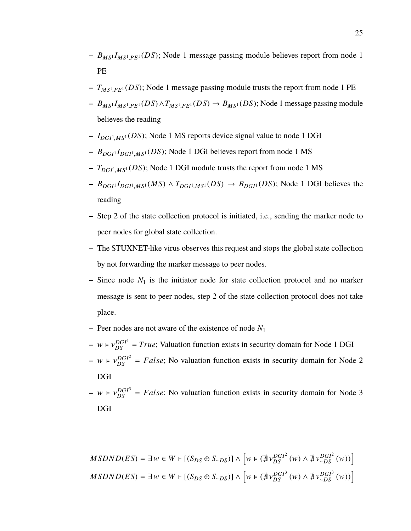- **–** *BM S*<sup>1</sup> *IM S*<sup>1</sup> ,*PE*<sup>1</sup> (*DS*); Node 1 message passing module believes report from node 1 PE
- **–** *TM S*<sup>1</sup> ,*PE*<sup>1</sup> (*DS*); Node 1 message passing module trusts the report from node 1 PE
- **–** *BM S*<sup>1</sup> *IM S*<sup>1</sup> ,*PE*<sup>1</sup> (*DS*)∧*TM S*<sup>1</sup> ,*PE*<sup>1</sup> (*DS*) <sup>→</sup> *<sup>B</sup>M S*<sup>1</sup> (*DS*); Node 1 message passing module believes the reading
- **–** *IDGI*<sup>1</sup> ,*M S*<sup>1</sup> (*DS*); Node 1 MS reports device signal value to node 1 DGI
- **–** *BDGI*<sup>1</sup> *IDGI*<sup>1</sup> ,*M S*<sup>1</sup> (*DS*); Node 1 DGI believes report from node 1 MS
- **–** *TDGI*<sup>1</sup> ,*M S*<sup>1</sup> (*DS*); Node 1 DGI module trusts the report from node 1 MS
- $-P_{DGI}I_{DGI}I_{MS}I(MS) \wedge T_{DGI}I_{MS}I(DS) \rightarrow B_{DGI}I(DS)$ ; Node 1 DGI believes the reading
- **–** Step 2 of the state collection protocol is initiated, i.e., sending the marker node to peer nodes for global state collection.
- **–** The STUXNET-like virus observes this request and stops the global state collection by not forwarding the marker message to peer nodes.
- **–** Since node *N*<sup>1</sup> is the initiator node for state collection protocol and no marker message is sent to peer nodes, step 2 of the state collection protocol does not take place.
- **–** Peer nodes are not aware of the existence of node *N*<sup>1</sup>
- $w \in v_{DS}^{DGI^1} = True$ ; Valuation function exists in security domain for Node 1 DGI  $-w \in v_{DS}^{DGI^2} = False$ ; No valuation function exists in security domain for Node 2 DGI
- $-w \in v_{DS}^{DGI^3} = False$ ; No valuation function exists in security domain for Node 3 DGI

$$
MSDND(ES) = \exists w \in W \vdash [(S_{DS} \oplus S_{\sim DS})] \land \left[w \models (\nexists v_{DS}^{DGI^2}(w) \land \nexists v_{\sim DS}^{DGI^2}(w))\right]
$$
\n
$$
MSDND(ES) = \exists w \in W \vdash [(S_{DS} \oplus S_{\sim DS})] \land \left[w \models (\nexists v_{DS}^{DGI^3}(w) \land \nexists v_{\sim DS}^{DGI^3}(w))\right]
$$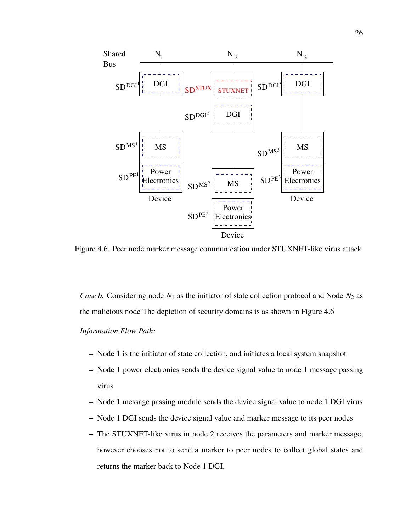

Figure 4.6. Peer node marker message communication under STUXNET-like virus attack

*Case b.* Considering node  $N_1$  as the initiator of state collection protocol and Node  $N_2$  as the malicious node The depiction of security domains is as shown in Figure 4.6 *Information Flow Path:*

- **–** Node 1 is the initiator of state collection, and initiates a local system snapshot
- **–** Node 1 power electronics sends the device signal value to node 1 message passing virus
- **–** Node 1 message passing module sends the device signal value to node 1 DGI virus
- **–** Node 1 DGI sends the device signal value and marker message to its peer nodes
- **–** The STUXNET-like virus in node 2 receives the parameters and marker message, however chooses not to send a marker to peer nodes to collect global states and returns the marker back to Node 1 DGI.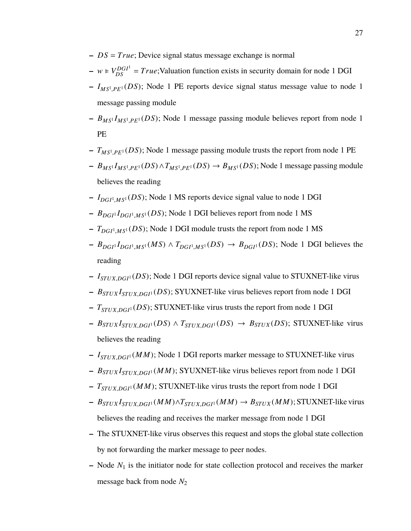- **–** *DS* = *True*; Device signal status message exchange is normal
- $w \in V_{DS}^{DGI} = True$ ; Valuation function exists in security domain for node 1 DGI
- **–** *IM S*<sup>1</sup> ,*PE*<sup>1</sup> (*DS*); Node 1 PE reports device signal status message value to node 1 message passing module
- **–** *BM S*<sup>1</sup> *IM S*<sup>1</sup> ,*PE*<sup>1</sup> (*DS*); Node 1 message passing module believes report from node 1 PE
- **–** *TM S*<sup>1</sup> ,*PE*<sup>1</sup> (*DS*); Node 1 message passing module trusts the report from node 1 PE
- **–** *BM S*<sup>1</sup> *IM S*<sup>1</sup> ,*PE*<sup>1</sup> (*DS*)∧*TM S*<sup>1</sup> ,*PE*<sup>1</sup> (*DS*) <sup>→</sup> *<sup>B</sup>M S*<sup>1</sup> (*DS*); Node 1 message passing module believes the reading
- **–** *IDGI*<sup>1</sup> ,*M S*<sup>1</sup> (*DS*); Node 1 MS reports device signal value to node 1 DGI
- **–** *BDGI*<sup>1</sup> *IDGI*<sup>1</sup> ,*M S*<sup>1</sup> (*DS*); Node 1 DGI believes report from node 1 MS
- **–** *TDGI*<sup>1</sup> ,*M S*<sup>1</sup> (*DS*); Node 1 DGI module trusts the report from node 1 MS
- $-P_{DGI}I_{DGI}I_{MS}I(MS) \wedge T_{DGI}I_{MS}I(DS) \rightarrow B_{DGI}I(DS)$ ; Node 1 DGI believes the reading
- **–** *<sup>I</sup>STU X*,*DGI*<sup>1</sup> (*DS*); Node 1 DGI reports device signal value to STUXNET-like virus
- **–** *<sup>B</sup>STU X <sup>I</sup>STU X*,*DGI*<sup>1</sup> (*DS*); SYUXNET-like virus believes report from node 1 DGI
- **–** *<sup>T</sup>STU X*,*DGI*<sup>1</sup> (*DS*); STUXNET-like virus trusts the report from node 1 DGI
- $-$  *B*<sub>STUX</sub></sub> $I_{STUX, DGI^1}(DS) \wedge T_{STUX, DGI^1}(DS) \rightarrow B_{STUX}(DS)$ ; STUXNET-like virus believes the reading
- **–** *<sup>I</sup>STU X*,*DGI*<sup>1</sup> (*MM*); Node 1 DGI reports marker message to STUXNET-like virus
- **–** *<sup>B</sup>STU X <sup>I</sup>STU X*,*DGI*<sup>1</sup> (*MM*); SYUXNET-like virus believes report from node 1 DGI
- **–** *<sup>T</sup>STU X*,*DGI*<sup>1</sup> (*MM*); STUXNET-like virus trusts the report from node 1 DGI
- $B_{STUX} I_{STUX, DGI} (MM) \wedge T_{STUX, DGI} (MM) \rightarrow B_{STUX} (MM);$  STUXNET-like virus believes the reading and receives the marker message from node 1 DGI
- **–** The STUXNET-like virus observes this request and stops the global state collection by not forwarding the marker message to peer nodes.
- **–** Node *N*<sup>1</sup> is the initiator node for state collection protocol and receives the marker message back from node *N*<sup>2</sup>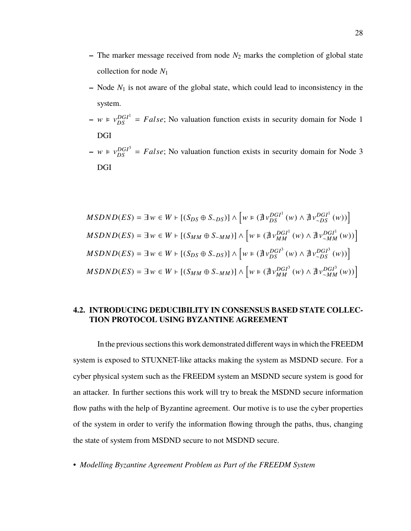- $-$  The marker message received from node  $N_2$  marks the completion of global state collection for node *N*<sup>1</sup>
- **–** Node *N*<sup>1</sup> is not aware of the global state, which could lead to inconsistency in the system.
- $-w \in v_{DS}^{DGI} = False$ ; No valuation function exists in security domain for Node 1 DGI
- $-w \in v_{DS}^{DGI^3} = False$ ; No valuation function exists in security domain for Node 3 DGI

$$
MSDND(ES) = \exists w \in W \vdash [(S_{DS} \oplus S_{\sim DS})] \land \left[w \in (\nexists v_{DS}^{DGI^{1}}(w) \land \nexists v_{\sim DS}^{DGI^{1}}(w))\right]
$$
\n
$$
MSDND(ES) = \exists w \in W \vdash [(S_{MM} \oplus S_{\sim MM})] \land \left[w \in (\nexists v_{MM}^{DGI^{1}}(w) \land \nexists v_{\sim MM}^{DGI^{1}}(w))\right]
$$
\n
$$
MSDND(ES) = \exists w \in W \vdash [(S_{DS} \oplus S_{\sim DS})] \land \left[w \in (\nexists v_{DS}^{DGI^{3}}(w) \land \nexists v_{\sim DS}^{DGI^{3}}(w))\right]
$$
\n
$$
MSDND(ES) = \exists w \in W \vdash [(S_{MM} \oplus S_{\sim MM})] \land \left[w \in (\nexists v_{MM}^{DGI^{3}}(w) \land \nexists v_{\sim MM}^{DGI^{3}}(w))\right]
$$

## **4.2. INTRODUCING DEDUCIBILITY IN CONSENSUS BASED STATE COLLEC-TION PROTOCOL USING BYZANTINE AGREEMENT**

In the previous sections this work demonstrated different ways in which the FREEDM system is exposed to STUXNET-like attacks making the system as MSDND secure. For a cyber physical system such as the FREEDM system an MSDND secure system is good for an attacker. In further sections this work will try to break the MSDND secure information flow paths with the help of Byzantine agreement. Our motive is to use the cyber properties of the system in order to verify the information flowing through the paths, thus, changing the state of system from MSDND secure to not MSDND secure.

• *Modelling Byzantine Agreement Problem as Part of the FREEDM System*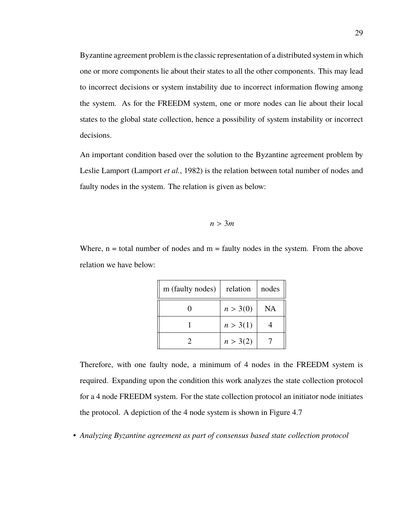Byzantine agreement problem is the classic representation of a distributed system in which one or more components lie about their states to all the other components. This may lead to incorrect decisions or system instability due to incorrect information flowing among the system. As for the FREEDM system, one or more nodes can lie about their local states to the global state collection, hence a possibility of system instability or incorrect decisions.

An important condition based over the solution to the Byzantine agreement problem by Leslie Lamport (Lamport *et al.*, 1982) is the relation between total number of nodes and faulty nodes in the system. The relation is given as below:

$$
n>3m
$$

Where,  $n =$  total number of nodes and  $m =$  faulty nodes in the system. From the above relation we have below:

| m (faulty nodes) | relation | nodes |
|------------------|----------|-------|
|                  | n > 3(0) | NA    |
|                  | n > 3(1) |       |
|                  | n > 3(2) |       |

Therefore, with one faulty node, a minimum of 4 nodes in the FREEDM system is required. Expanding upon the condition this work analyzes the state collection protocol for a 4 node FREEDM system. For the state collection protocol an initiator node initiates the protocol. A depiction of the 4 node system is shown in Figure 4.7

• *Analyzing Byzantine agreement as part of consensus based state collection protocol*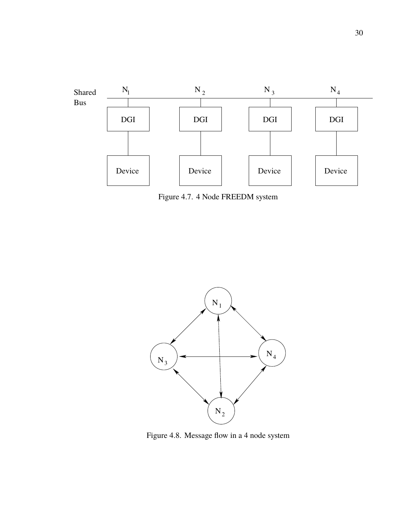

Figure 4.7. 4 Node FREEDM system



Figure 4.8. Message flow in a 4 node system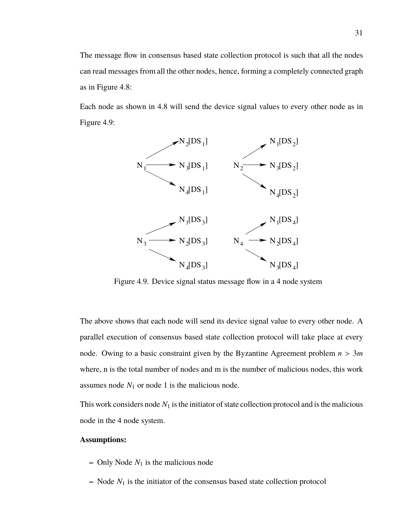The message flow in consensus based state collection protocol is such that all the nodes can read messages from all the other nodes, hence, forming a completely connected graph as in Figure 4.8:

Each node as shown in 4.8 will send the device signal values to every other node as in Figure 4.9:



Figure 4.9. Device signal status message flow in a 4 node system

The above shows that each node will send its device signal value to every other node. A parallel execution of consensus based state collection protocol will take place at every node. Owing to a basic constraint given by the Byzantine Agreement problem *<sup>n</sup>* > <sup>3</sup>*<sup>m</sup>* where, n is the total number of nodes and m is the number of malicious nodes, this work assumes node  $N_1$  or node 1 is the malicious node.

This work considers node  $N_1$  is the initiator of state collection protocol and is the malicious node in the 4 node system.

## **Assumptions:**

- $-$  Only Node  $N_1$  is the malicious node
- **–** Node *N*<sup>1</sup> is the initiator of the consensus based state collection protocol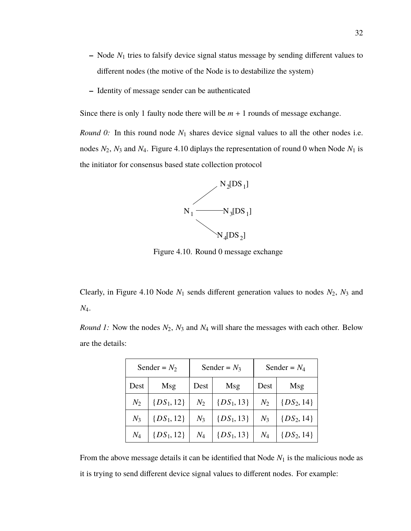- **–** Node *N*<sup>1</sup> tries to falsify device signal status message by sending different values to different nodes (the motive of the Node is to destabilize the system)
- **–** Identity of message sender can be authenticated

Since there is only 1 faulty node there will be  $m + 1$  rounds of message exchange.

*Round 0:* In this round node  $N_1$  shares device signal values to all the other nodes i.e. nodes  $N_2$ ,  $N_3$  and  $N_4$ . Figure 4.10 diplays the representation of round 0 when Node  $N_1$  is the initiator for consensus based state collection protocol



Figure 4.10. Round 0 message exchange

Clearly, in Figure 4.10 Node  $N_1$  sends different generation values to nodes  $N_2$ ,  $N_3$  and *N*4.

*Round 1:* Now the nodes  $N_2$ ,  $N_3$  and  $N_4$  will share the messages with each other. Below are the details:

|       | Sender = $N_2$ | Sender = $N_3$ |                | Sender = $N_4$ |                |
|-------|----------------|----------------|----------------|----------------|----------------|
| Dest  | Msg            | Dest           | Msg            | Dest           | Msg            |
| $N_2$ | $\{DS_1, 12\}$ | $N_2$          | $\{DS_1, 13\}$ | $N_2$          | $\{DS_2, 14\}$ |
| $N_3$ | $\{DS_1, 12\}$ | $N_3$          | $\{DS_1, 13\}$ | $N_3$          | $\{DS_2, 14\}$ |
| $N_4$ | $\{DS_1, 12\}$ | $N_4$          | $\{DS_1, 13\}$ | $N_4$          | $\{DS_2, 14\}$ |

From the above message details it can be identified that Node  $N_1$  is the malicious node as it is trying to send different device signal values to different nodes. For example: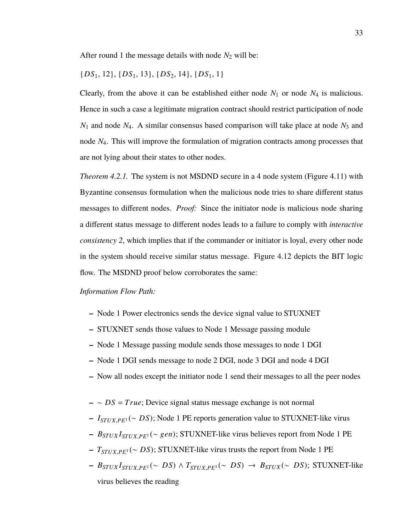After round 1 the message details with node  $N_2$  will be:

 ${DS_1, 12}, {DS_1, 13}, {DS_2, 14}, {DS_1, 1}$ 

Clearly, from the above it can be established either node  $N_1$  or node  $N_4$  is malicious. Hence in such a case a legitimate migration contract should restrict participation of node *N*<sup>1</sup> and node *N*4. A similar consensus based comparison will take place at node *N*<sup>3</sup> and node *N*4. This will improve the formulation of migration contracts among processes that are not lying about their states to other nodes.

*Theorem 4.2.1.* The system is not MSDND secure in a 4 node system (Figure 4.11) with Byzantine consensus formulation when the malicious node tries to share different status messages to different nodes. *Proof:* Since the initiator node is malicious node sharing a different status message to different nodes leads to a failure to comply with *interactive consistency 2*, which implies that if the commander or initiator is loyal, every other node in the system should receive similar status message. Figure 4.12 depicts the BIT logic flow. The MSDND proof below corroborates the same:

*Information Flow Path:*

- **–** Node 1 Power electronics sends the device signal value to STUXNET
- **–** STUXNET sends those values to Node 1 Message passing module
- **–** Node 1 Message passing module sends those messages to node 1 DGI
- **–** Node 1 DGI sends message to node 2 DGI, node 3 DGI and node 4 DGI
- **–** Now all nodes except the initiator node 1 send their messages to all the peer nodes
- **–** ∼ *DS* = *True*; Device signal status message exchange is not normal
- **–** *<sup>I</sup>STU X*,*PE*<sup>1</sup> (<sup>∼</sup> *DS*); Node 1 PE reports generation value to STUXNET-like virus
- **–** *<sup>B</sup>STU X <sup>I</sup>STU X*,*PE*<sup>1</sup> (<sup>∼</sup> <sup>g</sup>*en*); STUXNET-like virus believes report from Node 1 PE
- **–** *<sup>T</sup>STU X*,*PE*<sup>1</sup> (<sup>∼</sup> *DS*); STUXNET-like virus trusts the report from Node 1 PE
- $-$  *B*<sub>STUX</sub><sup>*I*</sup><sub>STUX</sub>, $p_{E}$ <sup>1</sup>(∼ *DS*) ∧ *T*<sub>STUX</sub>, $p_{E}$ <sup>1</sup>(∼ *DS*) → *B*<sub>STUX</sub>(∼ *DS*); STUXNET-like virus believes the reading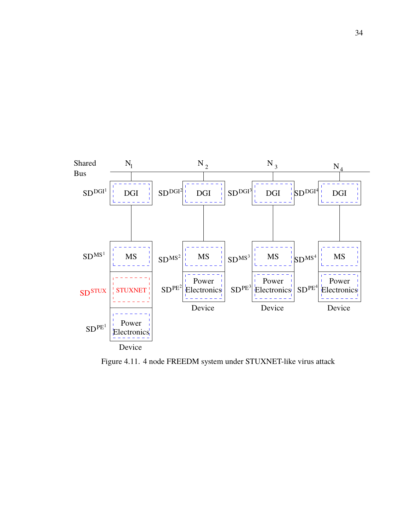

Figure 4.11. 4 node FREEDM system under STUXNET-like virus attack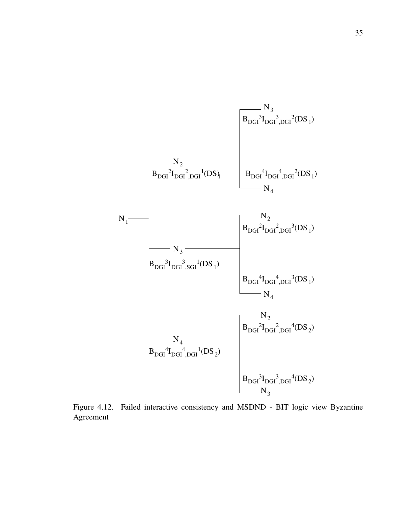

Figure 4.12. Failed interactive consistency and MSDND - BIT logic view Byzantine Agreement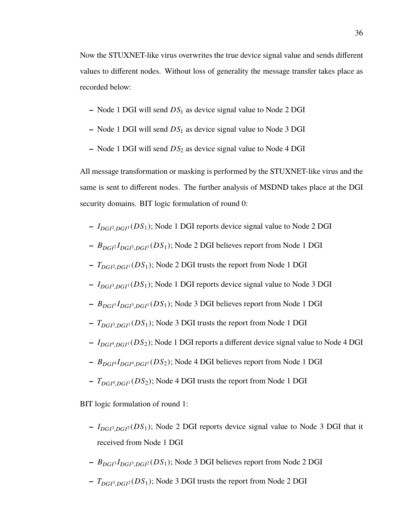Now the STUXNET-like virus overwrites the true device signal value and sends different values to different nodes. Without loss of generality the message transfer takes place as recorded below:

- **–** Node 1 DGI will send *DS*<sup>1</sup> as device signal value to Node 2 DGI
- **–** Node 1 DGI will send *DS*<sup>1</sup> as device signal value to Node 3 DGI
- **–** Node 1 DGI will send *DS*<sup>2</sup> as device signal value to Node 4 DGI

All message transformation or masking is performed by the STUXNET-like virus and the same is sent to different nodes. The further analysis of MSDND takes place at the DGI security domains. BIT logic formulation of round 0:

- **–** *IDGI*<sup>2</sup> ,*DGI*<sup>1</sup> (*DS*1); Node 1 DGI reports device signal value to Node 2 DGI
- **–** *BDGI*<sup>2</sup> *IDGI*<sup>2</sup> ,*DGI*<sup>1</sup> (*DS*1); Node 2 DGI believes report from Node 1 DGI
- **–** *TDGI*<sup>2</sup> ,*DGI*<sup>1</sup> (*DS*1); Node 2 DGI trusts the report from Node 1 DGI
- **–** *IDGI*<sup>3</sup> ,*DGI*<sup>1</sup> (*DS*1); Node 1 DGI reports device signal value to Node 3 DGI
- **–** *BDGI*<sup>3</sup> *IDGI*<sup>3</sup> ,*DGI*<sup>1</sup> (*DS*1); Node 3 DGI believes report from Node 1 DGI
- **–** *TDGI*<sup>3</sup> ,*DGI*<sup>1</sup> (*DS*1); Node 3 DGI trusts the report from Node 1 DGI
- **–** *IDGI*<sup>4</sup> ,*DGI*<sup>1</sup> (*DS*2); Node 1 DGI reports a different device signal value to Node 4 DGI
- **–** *BDGI*<sup>4</sup> *IDGI*<sup>4</sup> ,*DGI*<sup>1</sup> (*DS*2); Node 4 DGI believes report from Node 1 DGI
- **–** *TDGI*<sup>4</sup> ,*DGI*<sup>1</sup> (*DS*2); Node 4 DGI trusts the report from Node 1 DGI

BIT logic formulation of round 1:

- **–** *IDGI*<sup>3</sup> ,*DGI*<sup>2</sup> (*DS*1); Node 2 DGI reports device signal value to Node 3 DGI that it received from Node 1 DGI
- **–** *BDGI*<sup>3</sup> *IDGI*<sup>3</sup> ,*DGI*<sup>2</sup> (*DS*1); Node 3 DGI believes report from Node 2 DGI
- **–** *TDGI*<sup>3</sup> ,*DGI*<sup>2</sup> (*DS*1); Node 3 DGI trusts the report from Node 2 DGI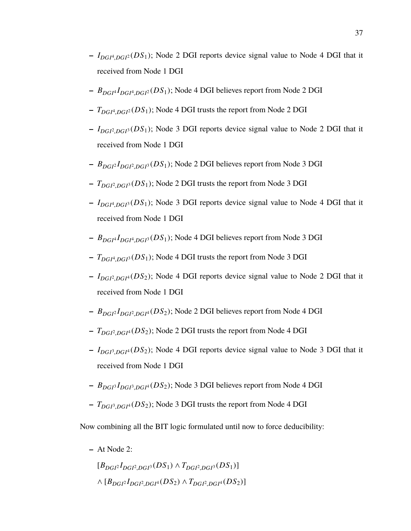- **–** *IDGI*<sup>4</sup> ,*DGI*<sup>2</sup> (*DS*1); Node 2 DGI reports device signal value to Node 4 DGI that it received from Node 1 DGI
- **–** *BDGI*<sup>4</sup> *IDGI*<sup>4</sup> ,*DGI*<sup>2</sup> (*DS*1); Node 4 DGI believes report from Node 2 DGI
- **–** *TDGI*<sup>4</sup> ,*DGI*<sup>2</sup> (*DS*1); Node 4 DGI trusts the report from Node 2 DGI
- **–** *IDGI*<sup>2</sup> ,*DGI*<sup>3</sup> (*DS*1); Node 3 DGI reports device signal value to Node 2 DGI that it received from Node 1 DGI
- **–** *BDGI*<sup>2</sup> *IDGI*<sup>2</sup> ,*DGI*<sup>3</sup> (*DS*1); Node 2 DGI believes report from Node 3 DGI
- **–** *TDGI*<sup>2</sup> ,*DGI*<sup>3</sup> (*DS*1); Node 2 DGI trusts the report from Node 3 DGI
- **–** *IDGI*<sup>4</sup> ,*DGI*<sup>3</sup> (*DS*1); Node 3 DGI reports device signal value to Node 4 DGI that it received from Node 1 DGI
- **–** *BDGI*<sup>4</sup> *IDGI*<sup>4</sup> ,*DGI*<sup>3</sup> (*DS*1); Node 4 DGI believes report from Node 3 DGI
- **–** *TDGI*<sup>4</sup> ,*DGI*<sup>3</sup> (*DS*1); Node 4 DGI trusts the report from Node 3 DGI
- **–** *IDGI*<sup>2</sup> ,*DGI*<sup>4</sup> (*DS*2); Node 4 DGI reports device signal value to Node 2 DGI that it received from Node 1 DGI
- **–** *BDGI*<sup>2</sup> *IDGI*<sup>2</sup> ,*DGI*<sup>4</sup> (*DS*2); Node 2 DGI believes report from Node 4 DGI
- **–** *TDGI*<sup>2</sup> ,*DGI*<sup>4</sup> (*DS*2); Node 2 DGI trusts the report from Node 4 DGI
- **–** *IDGI*<sup>3</sup> ,*DGI*<sup>4</sup> (*DS*2); Node 4 DGI reports device signal value to Node 3 DGI that it received from Node 1 DGI
- **–** *BDGI*<sup>3</sup> *IDGI*<sup>3</sup> ,*DGI*<sup>4</sup> (*DS*2); Node 3 DGI believes report from Node 4 DGI
- **–** *TDGI*<sup>3</sup> ,*DGI*<sup>4</sup> (*DS*2); Node 3 DGI trusts the report from Node 4 DGI

Now combining all the BIT logic formulated until now to force deducibility:

**–** At Node 2:

 $[B_{DGP}I_{DGP} \cdot B_{G1} \cdot (DS_1) \wedge T_{DGP} \cdot D_{G1} \cdot (DS_1)]$ ∧ [*BDGI*<sup>2</sup> *IDGI*<sup>2</sup> ,*DGI*<sup>4</sup> (*DS*2) <sup>∧</sup> *<sup>T</sup>DGI*<sup>2</sup> ,*DGI*<sup>4</sup> (*DS*2)]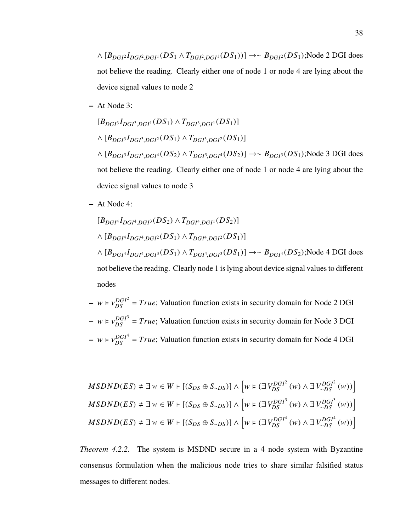∧ [*BDGI*<sup>2</sup> *IDGI*<sup>2</sup> ,*DGI*<sup>1</sup> (*DS*<sup>1</sup> <sup>∧</sup> *<sup>T</sup>DGI*<sup>2</sup> ,*DGI*<sup>1</sup> (*DS*1))] →∼ *<sup>B</sup>DGI*<sup>2</sup> (*DS*1);Node 2 DGI does not believe the reading. Clearly either one of node 1 or node 4 are lying about the device signal values to node 2

**–** At Node 3:

 $[B_{DGI^3}I_{DGI^3,DGI^1}(DS_1) \wedge T_{DGI^3,DGI^1}(DS_1)]$ ∧ [*BDGI*<sup>3</sup> *IDGI*<sup>3</sup> ,*DGI*<sup>2</sup> (*DS*1) <sup>∧</sup> *<sup>T</sup>DGI*<sup>3</sup> ,*DGI*<sup>2</sup> (*DS*1)] ∧ [*BDGI*<sup>3</sup> *IDGI*<sup>3</sup> ,*DGI*<sup>4</sup> (*DS*2) <sup>∧</sup> *<sup>T</sup>DGI*<sup>3</sup> ,*DGI*<sup>4</sup> (*DS*2)] →∼ *<sup>B</sup>DGI*<sup>3</sup> (*DS*1);Node 3 DGI does not believe the reading. Clearly either one of node 1 or node 4 are lying about the device signal values to node 3

**–** At Node 4:

nodes

$$
[B_{DGI^4}I_{DGI^4,DGI^3}(DS_2) \wedge T_{DGI^4,DGI^1}(DS_2)]
$$
  

$$
\wedge [B_{DGI^4}I_{DGI^4,DGI^2}(DS_1) \wedge T_{DGI^4,DGI^2}(DS_1)]
$$
  

$$
\wedge [B_{DGI^4}I_{DGI^4,DGI^3}(DS_1) \wedge T_{DGI^4,DGI^3}(DS_1)] \rightarrow \sim B_{DGI^4}(DS_2); \text{Node 4 DGI does not believe the reading. Clearly node 1 is lying about device signal values to different
$$

\n- − 
$$
w \models v_{DS}^{DGI^2} = True
$$
; Valuation function exists in security domain for Node 2 DGI
\n- −  $w \models v_{DS}^{DGI^3} = True$ ; Valuation function exists in security domain for Node 3 DGI
\n- −  $w \models v_{DS}^{DGI^4} = True$ ; Valuation function exists in security domain for Node 4 DGI
\n

$$
MSDND(ES) \neq \exists w \in W \vdash [(S_{DS} \oplus S_{\sim DS})] \land \left[w \in (\exists V_{DS}^{DGI^2}(w) \land \exists V_{\sim DS}^{DGI^2}(w))\right]
$$
  
\n
$$
MSDND(ES) \neq \exists w \in W \vdash [(S_{DS} \oplus S_{\sim DS})] \land \left[w \in (\exists V_{DS}^{DGI^3}(w) \land \exists V_{\sim DS}^{DGI^3}(w))\right]
$$
  
\n
$$
MSDND(ES) \neq \exists w \in W \vdash [(S_{DS} \oplus S_{\sim DS})] \land \left[w \in (\exists V_{DS}^{DGI^4}(w) \land \exists V_{\sim DS}^{DGI^4}(w))\right]
$$

*Theorem 4.2.2.* The system is MSDND secure in a 4 node system with Byzantine consensus formulation when the malicious node tries to share similar falsified status messages to different nodes.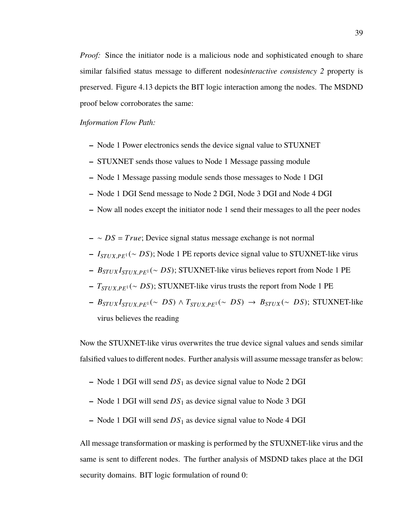*Proof:* Since the initiator node is a malicious node and sophisticated enough to share similar falsified status message to different nodes*interactive consistency 2* property is preserved. Figure 4.13 depicts the BIT logic interaction among the nodes. The MSDND proof below corroborates the same:

## *Information Flow Path:*

- **–** Node 1 Power electronics sends the device signal value to STUXNET
- **–** STUXNET sends those values to Node 1 Message passing module
- **–** Node 1 Message passing module sends those messages to Node 1 DGI
- **–** Node 1 DGI Send message to Node 2 DGI, Node 3 DGI and Node 4 DGI
- **–** Now all nodes except the initiator node 1 send their messages to all the peer nodes
- **–** ∼ *DS* = *True*; Device signal status message exchange is not normal
- **–** *<sup>I</sup>STU X*,*PE*<sup>1</sup> (<sup>∼</sup> *DS*); Node 1 PE reports device signal value to STUXNET-like virus
- **–** *<sup>B</sup>STU X <sup>I</sup>STU X*,*PE*<sup>1</sup> (<sup>∼</sup> *DS*); STUXNET-like virus believes report from Node 1 PE
- **–** *<sup>T</sup>STU X*,*PE*<sup>1</sup> (<sup>∼</sup> *DS*); STUXNET-like virus trusts the report from Node 1 PE
- $-$  *B*<sub>STUX</sub><sub>*I*</sub><sub>STUX</sub><sub>*PE*<sup>1</sup></sub>(∼ *DS*) ∧ *T*<sub>STUX</sub><sub>*PE*<sup>1</sup></sub>(∼ *DS*) → *B*<sub>STUX</sub>(∼ *DS*); STUXNET-like virus believes the reading

Now the STUXNET-like virus overwrites the true device signal values and sends similar falsified values to different nodes. Further analysis will assume message transfer as below:

- **–** Node 1 DGI will send *DS*<sup>1</sup> as device signal value to Node 2 DGI
- **–** Node 1 DGI will send *DS*<sup>1</sup> as device signal value to Node 3 DGI
- **–** Node 1 DGI will send *DS*<sup>1</sup> as device signal value to Node 4 DGI

All message transformation or masking is performed by the STUXNET-like virus and the same is sent to different nodes. The further analysis of MSDND takes place at the DGI security domains. BIT logic formulation of round 0: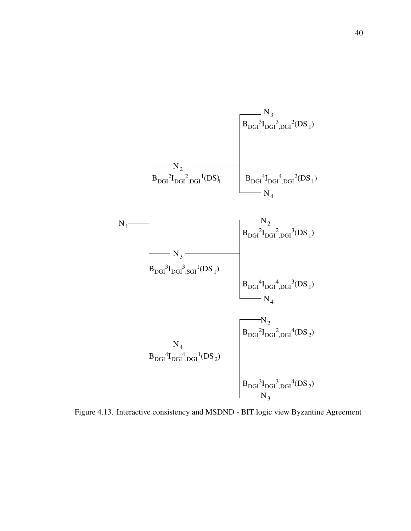

Figure 4.13. Interactive consistency and MSDND - BIT logic view Byzantine Agreement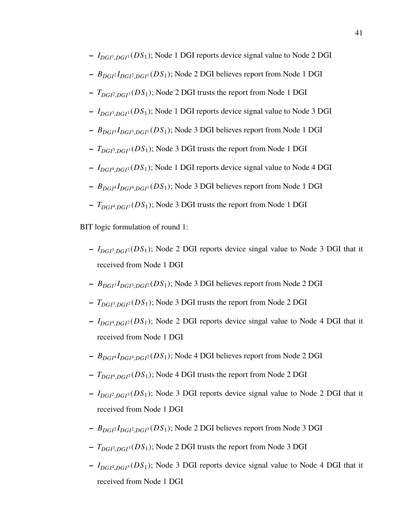- **–** *IDGI*<sup>1</sup> ,*DGI*<sup>1</sup> (*DS*1); Node 1 DGI reports device signal value to Node 2 DGI
- **–** *BDGI*<sup>2</sup> *IDGI*<sup>2</sup> ,*DGI*<sup>1</sup> (*DS*1); Node 2 DGI believes report from Node 1 DGI
- **–** *TDGI*<sup>2</sup> ,*DGI*<sup>1</sup> (*DS*1); Node 2 DGI trusts the report from Node 1 DGI
- **–** *IDGI*<sup>3</sup> ,*DGI*<sup>1</sup> (*DS*1); Node 1 DGI reports device signal value to Node 3 DGI
- **–** *BDGI*<sup>3</sup> *IDGI*<sup>3</sup> ,*DGI*<sup>1</sup> (*DS*1); Node 3 DGI believes report from Node 1 DGI
- **–** *TDGI*<sup>3</sup> ,*DGI*<sup>1</sup> (*DS*1); Node 3 DGI trusts the report from Node 1 DGI
- **–** *IDGI*<sup>4</sup> ,*DGI*<sup>1</sup> (*DS*1); Node 1 DGI reports device signal value to Node 4 DGI
- **–** *BDGI*<sup>4</sup> *IDGI*<sup>4</sup> ,*DGI*<sup>1</sup> (*DS*1); Node 3 DGI believes report from Node 1 DGI
- **–** *TDGI*<sup>4</sup> ,*DGI*<sup>1</sup> (*DS*1); Node 3 DGI trusts the report from Node 1 DGI

BIT logic formulation of round 1:

- **–** *IDGI*<sup>3</sup> ,*DGI*<sup>2</sup> (*DS*1); Node 2 DGI reports device singal value to Node 3 DGI that it received from Node 1 DGI
- **–** *BDGI*<sup>3</sup> *IDGI*<sup>3</sup> ,*DGI*<sup>2</sup> (*DS*1); Node 3 DGI believes report from Node 2 DGI
- **–** *TDGI*<sup>3</sup> ,*DGI*<sup>2</sup> (*DS*1); Node 3 DGI trusts the report from Node 2 DGI
- **–** *IDGI*<sup>4</sup> ,*DGI*<sup>2</sup> (*DS*1); Node 2 DGI reports device singal value to Node 4 DGI that it received from Node 1 DGI
- **–** *BDGI*<sup>4</sup> *IDGI*<sup>4</sup> ,*DGI*<sup>2</sup> (*DS*1); Node 4 DGI believes report from Node 2 DGI
- **–** *TDGI*<sup>4</sup> ,*DGI*<sup>2</sup> (*DS*1); Node 4 DGI trusts the report from Node 2 DGI
- **–** *IDGI*<sup>2</sup> ,*DGI*<sup>3</sup> (*DS*1); Node 3 DGI reports device signal value to Node 2 DGI that it received from Node 1 DGI
- **–** *BDGI*<sup>2</sup> *IDGI*<sup>2</sup> ,*DGI*<sup>3</sup> (*DS*1); Node 2 DGI believes report from Node 3 DGI
- **–** *TDGI*<sup>2</sup> ,*DGI*<sup>3</sup> (*DS*1); Node 2 DGI trusts the report from Node 3 DGI
- **–** *IDGI*<sup>4</sup> ,*DGI*<sup>3</sup> (*DS*1); Node 3 DGI reports device signal value to Node 4 DGI that it received from Node 1 DGI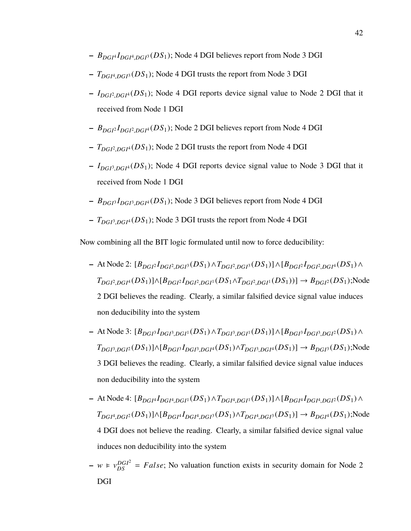- **–** *BDGI*<sup>4</sup> *IDGI*<sup>4</sup> ,*DGI*<sup>3</sup> (*DS*1); Node 4 DGI believes report from Node 3 DGI
- **–** *TDGI*<sup>4</sup> ,*DGI*<sup>3</sup> (*DS*1); Node 4 DGI trusts the report from Node 3 DGI
- **–** *IDGI*<sup>2</sup> ,*DGI*<sup>4</sup> (*DS*1); Node 4 DGI reports device signal value to Node 2 DGI that it received from Node 1 DGI
- **–** *BDGI*<sup>2</sup> *IDGI*<sup>2</sup> ,*DGI*<sup>4</sup> (*DS*1); Node 2 DGI believes report from Node 4 DGI
- **–** *TDGI*<sup>2</sup> ,*DGI*<sup>4</sup> (*DS*1); Node 2 DGI trusts the report from Node 4 DGI
- **–** *IDGI*<sup>3</sup> ,*DGI*<sup>4</sup> (*DS*1); Node 4 DGI reports device signal value to Node 3 DGI that it received from Node 1 DGI
- **–** *BDGI*<sup>3</sup> *IDGI*<sup>3</sup> ,*DGI*<sup>4</sup> (*DS*1); Node 3 DGI believes report from Node 4 DGI
- **–** *TDGI*<sup>3</sup> ,*DGI*<sup>4</sup> (*DS*1); Node 3 DGI trusts the report from Node 4 DGI

Now combining all the BIT logic formulated until now to force deducibility:

- **–** At Node 2: [*BDGI*<sup>2</sup> *IDGI*<sup>2</sup> ,*DGI*<sup>3</sup> (*DS*1)∧*TDGI*<sup>2</sup> ,*DGI*<sup>3</sup> (*DS*1)]∧[*BDGI*<sup>2</sup> *<sup>I</sup>DGI*<sup>2</sup> ,*DGI*<sup>4</sup> (*DS*1)<sup>∧</sup> *T*<sub>DGI</sub><sup>2</sup>,*DGI*<sup>4</sup></sub>(*DS*<sub>1</sub>)]∧[*B*<sub>*DGI</sub><sup>2</sup>,<i>DGI*<sup>2</sup>,*DGI*<sup>1</sup></sub>(*DS*<sub>1</sub>∧*T*<sub>*DGI*<sup>2</sup>,*DGI*<sup>1</sup></sub>(*DS*<sub>1</sub>))] → *B*<sub>*DGI*<sup>2</sup>(*DS*<sub>1</sub>);Node</sub></sub> 2 DGI believes the reading. Clearly, a similar falsified device signal value induces non deducibility into the system
- **–** At Node 3: [*BDGI*<sup>3</sup> *IDGI*<sup>3</sup> ,*DGI*<sup>1</sup> (*DS*1)∧*TDGI*<sup>3</sup> ,*DGI*<sup>1</sup> (*DS*1)]∧[*BDGI*<sup>3</sup> *<sup>I</sup>DGI*<sup>3</sup> ,*DGI*<sup>2</sup> (*DS*1)<sup>∧</sup> *T*<sub>DGI</sub><sub>3</sub>,DGI</sub><sub>2</sub></sub>(*DS*<sub>1</sub>)]∧[*B*<sub>*DGI</sub><sub>3</sub></sub><i>I*<sub>*DGI*<sup>3</sup>,*DGI*<sup>4</sup></sub>(*DS*<sub>1</sub>)∧*T*<sub>*DGI*<sup>3</sup>,*DGI*<sup>4</sup></sub>(*DS*<sub>1</sub>)] → *B*<sub>*DGI*<sup>3</sup>(*DS*<sub>1</sub>);Node</sub></sub> 3 DGI believes the reading. Clearly, a similar falsified device signal value induces non deducibility into the system
- **–** At Node 4: [*BDGI*<sup>4</sup> *IDGI*<sup>4</sup> ,*DGI*<sup>1</sup> (*DS*1)∧*TDGI*<sup>4</sup> ,*DGI*<sup>1</sup> (*DS*1)]∧[*BDGI*<sup>4</sup> *<sup>I</sup>DGI*<sup>4</sup> ,*DGI*<sup>2</sup> (*DS*1)<sup>∧</sup> *T*<sub>DGI</sub><sup>4</sup>,DG<sub>I</sub><sup>2</sup></sub>(*DS*<sub>1</sub>)]∧[*B*<sub>DGI</sub><sup>4</sup></sub>*I*<sub>DGI</sub><sup>4</sup>,DG<sub>I</sub><sup>3</sup></sub>(*DS*<sub>1</sub>)∧*T*<sub>DGI</sub><sup>4</sup>,DG<sub>I</sub><sup>3</sup>(*DS*<sub>1</sub>)] → *B*<sub>DGI</sub><sup>4</sup>(*DS*<sub>1</sub>);Node 4 DGI does not believe the reading. Clearly, a similar falsified device signal value induces non deducibility into the system
- $-w \in v_{DS}^{DGI^2} = False$ ; No valuation function exists in security domain for Node 2 DGI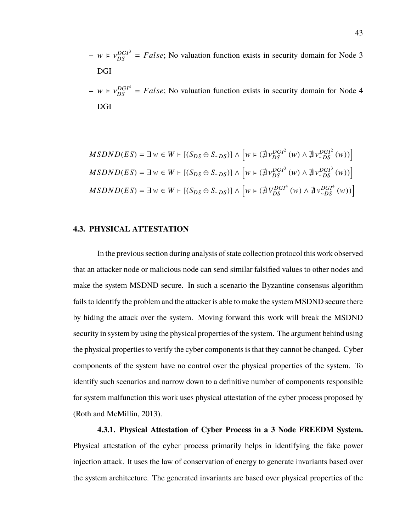- $-w \in v_{DS}^{DGI^3} = False$ ; No valuation function exists in security domain for Node 3 DGI
- $-w \in v_{DS}^{DGI^4} = False$ ; No valuation function exists in security domain for Node 4 DGI

$$
MSDND(ES) = \exists w \in W + [(S_{DS} \oplus S_{\sim DS})] \wedge [w \in (\nexists v_{DS}^{DGI^2}(w) \wedge \nexists v_{\sim DS}^{DGI^2}(w))] \nMSDND(ES) = \exists w \in W + [(S_{DS} \oplus S_{\sim DS})] \wedge [w \in (\nexists v_{DS}^{DGI^3}(w) \wedge \nexists v_{\sim DS}^{DGI^3}(w))] \nMSDND(ES) = \exists w \in W + [(S_{DS} \oplus S_{\sim DS})] \wedge [w \in (\nexists v_{DS}^{DGI^4}(w) \wedge \nexists v_{\sim DS}^{DGI^4}(w))]
$$

## **4.3. PHYSICAL ATTESTATION**

In the previous section during analysis of state collection protocol this work observed that an attacker node or malicious node can send similar falsified values to other nodes and make the system MSDND secure. In such a scenario the Byzantine consensus algorithm fails to identify the problem and the attacker is able to make the system MSDND secure there by hiding the attack over the system. Moving forward this work will break the MSDND security in system by using the physical properties of the system. The argument behind using the physical properties to verify the cyber components is that they cannot be changed. Cyber components of the system have no control over the physical properties of the system. To identify such scenarios and narrow down to a definitive number of components responsible for system malfunction this work uses physical attestation of the cyber process proposed by (Roth and McMillin, 2013).

**4.3.1. Physical Attestation of Cyber Process in a 3 Node FREEDM System.** Physical attestation of the cyber process primarily helps in identifying the fake power injection attack. It uses the law of conservation of energy to generate invariants based over the system architecture. The generated invariants are based over physical properties of the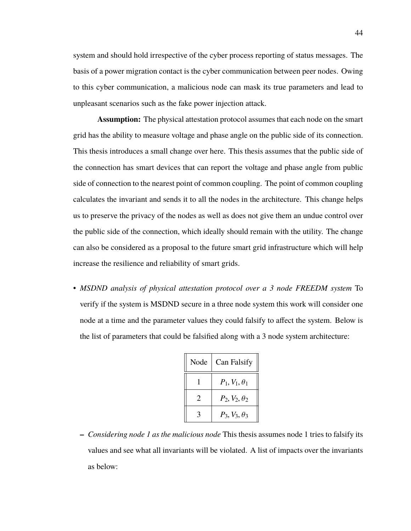system and should hold irrespective of the cyber process reporting of status messages. The basis of a power migration contact is the cyber communication between peer nodes. Owing to this cyber communication, a malicious node can mask its true parameters and lead to unpleasant scenarios such as the fake power injection attack.

**Assumption:** The physical attestation protocol assumes that each node on the smart grid has the ability to measure voltage and phase angle on the public side of its connection. This thesis introduces a small change over here. This thesis assumes that the public side of the connection has smart devices that can report the voltage and phase angle from public side of connection to the nearest point of common coupling. The point of common coupling calculates the invariant and sends it to all the nodes in the architecture. This change helps us to preserve the privacy of the nodes as well as does not give them an undue control over the public side of the connection, which ideally should remain with the utility. The change can also be considered as a proposal to the future smart grid infrastructure which will help increase the resilience and reliability of smart grids.

• *MSDND analysis of physical attestation protocol over a 3 node FREEDM system* To verify if the system is MSDND secure in a three node system this work will consider one node at a time and the parameter values they could falsify to affect the system. Below is the list of parameters that could be falsified along with a 3 node system architecture:

| Node | Can Falsify          |
|------|----------------------|
|      | $P_1, V_1, \theta_1$ |
| 2    | $P_2, V_2, \theta_2$ |
|      | $P_3, V_3, \theta_3$ |

**–** *Considering node 1 as the malicious node* This thesis assumes node 1 tries to falsify its values and see what all invariants will be violated. A list of impacts over the invariants as below: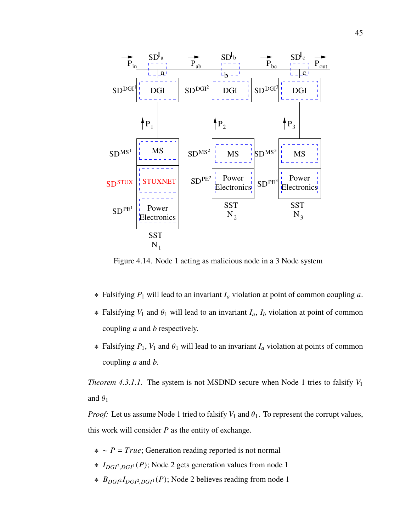

Figure 4.14. Node 1 acting as malicious node in a 3 Node system

- ∗ Falsifying *P*<sup>1</sup> will lead to an invariant *I<sup>a</sup>* violation at point of common coupling *a*.
- <sup>∗</sup> Falsifying *<sup>V</sup>*<sup>1</sup> and <sup>θ</sup><sup>1</sup> will lead to an invariant *<sup>I</sup>a*, *<sup>I</sup><sup>b</sup>* violation at point of common coupling *a* and *b* respectively.
- $∗$  Falsifying  $P_1$ ,  $V_1$  and  $θ_1$  will lead to an invariant  $I_α$  violation at points of common coupling *a* and *b*.

*Theorem 4.3.1.1.* The system is not MSDND secure when Node 1 tries to falsify *V*<sup>1</sup> and  $\theta_1$ 

*Proof:* Let us assume Node 1 tried to falsify  $V_1$  and  $\theta_1$ . To represent the corrupt values, this work will consider *P* as the entity of exchange.

- ∗ ∼ *P* = *True*; Generation reading reported is not normal
- ∗ *IDGI*<sup>2</sup> ,*DGI*<sup>1</sup> (*P*); Node 2 gets generation values from node 1
- ∗ *BDGI*<sup>2</sup> *IDGI*<sup>2</sup> ,*DGI*<sup>1</sup> (*P*); Node 2 believes reading from node 1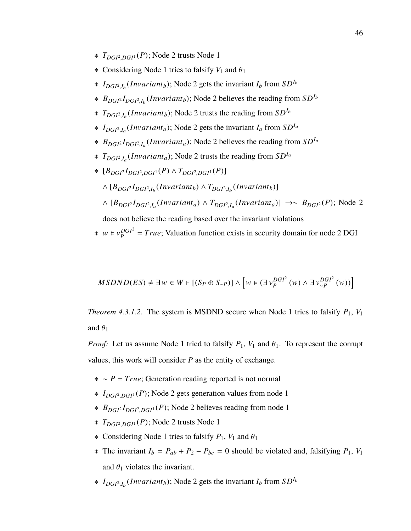- ∗ *TDGI*<sup>2</sup> ,*DGI*<sup>1</sup> (*P*); Node 2 trusts Node 1
- $*$  Considering Node 1 tries to falsify  $V_1$  and  $\theta_1$
- ∗  $I_{DGI^2,I_b}(Invariant_b)$ ; Node 2 gets the invariant  $I_b$  from  $SD^{I_b}$
- ∗ *BDGI*<sup>2</sup> *IDGI*<sup>2</sup> ,*I*b (*In*v*ariantb*); Node 2 believes the reading from *SDI*<sup>b</sup>
- ∗ *TDGI*<sup>2</sup> ,*I*b (*In*v*ariantb*); Node 2 trusts the reading from *SDI*<sup>b</sup>
- ∗ *IDGI*<sup>2</sup> ,*I*a (*In*v*arianta*); Node 2 gets the invariant *I<sup>a</sup>* from *SDI*<sup>a</sup>
- ∗ *BDGI*<sup>2</sup> *IDGI*<sup>2</sup> ,*I*a (*In*v*arianta*); Node 2 believes the reading from *SDI*<sup>a</sup>
- ∗ *TDGI*<sup>2</sup> ,*I*a (*In*v*arianta*); Node 2 trusts the reading from *SDI*<sup>a</sup>
- ∗ [*BDGI*<sup>2</sup> *IDGI*<sup>2</sup> ,*DGI*<sup>1</sup> (*P*) <sup>∧</sup> *<sup>T</sup>DGI*<sup>2</sup> ,*DGI*<sup>1</sup> (*P*)]
	- $\wedge$   $[B_{DGI} \cdot I_{DGI^2,I_b}(Invariant_b) \wedge T_{DGI^2,I_b}(Invariant_b)]$
	- $\wedge$  [ $B_{DGI}$ <sup>2</sup>*I*<sub>*DGI*<sup>2</sup>,*I<sub>a</sub>*</sub>(*Invariant<sub>a</sub>*)] →∼  $B_{DGI}$ <sub>2</sub>(*P*); Node 2 does not believe the reading based over the invariant violations

 $*$  *w* ⊨  $v_p^{DGI^2}$  $P_P^{DGP} = True$ ; Valuation function exists in security domain for node 2 DGI

$$
MSDND(ES) \neq \exists w \in W \vdash [(S_P \oplus S_{\sim P})] \wedge \left[ w \models (\exists v_P^{DGI^2}(w) \wedge \exists v_{\sim P}^{DGI^2}(w)) \right]
$$

*Theorem 4.3.1.2.* The system is MSDND secure when Node 1 tries to falsify  $P_1$ ,  $V_1$ and  $\theta_1$ 

*Proof:* Let us assume Node 1 tried to falsify  $P_1$ ,  $V_1$  and  $\theta_1$ . To represent the corrupt values, this work will consider *P* as the entity of exchange.

- ∗ ∼ *P* = *True*; Generation reading reported is not normal
- ∗ *IDGI*<sup>2</sup> ,*DGI*<sup>1</sup> (*P*); Node 2 gets generation values from node 1
- ∗ *BDGI*<sup>2</sup> *IDGI*<sup>2</sup> ,*DGI*<sup>1</sup> (*P*); Node 2 believes reading from node 1
- ∗ *TDGI*<sup>2</sup> ,*DGI*<sup>1</sup> (*P*); Node 2 trusts Node 1
- $\ast$  Considering Node 1 tries to falsify  $P_1$ ,  $V_1$  and  $\theta_1$
- $*$  The invariant  $I_b = P_{ab} + P_2 P_{bc} = 0$  should be violated and, falsifying  $P_1$ ,  $V_1$ and  $\theta_1$  violates the invariant.
- ∗  $I_{DGI^2,I_b}(Invariant_b)$ ; Node 2 gets the invariant  $I_b$  from  $SD^{I_b}$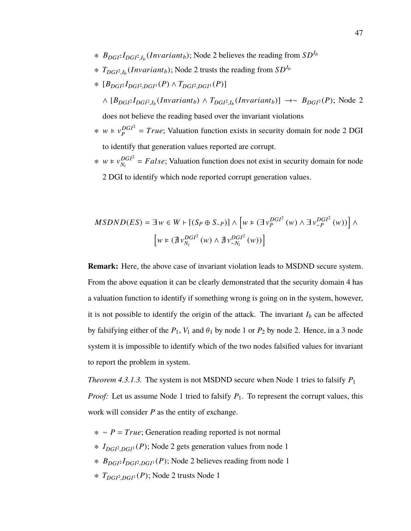- ∗ *BDGI*<sup>2</sup> *IDGI*<sup>2</sup> ,*I*b (*In*v*ariantb*); Node 2 believes the reading from *SDI*<sup>b</sup>
- ∗ *TDGI*<sup>2</sup> ,*I*b (*In*v*ariantb*); Node 2 trusts the reading from *SDI*<sup>b</sup>
- ∗ [*BDGI*<sup>2</sup> *IDGI*<sup>2</sup> ,*DGI*<sup>1</sup> (*P*) <sup>∧</sup> *<sup>T</sup>DGI*<sup>2</sup> ,*DGI*<sup>1</sup> (*P*)]

 $\wedge$  [ $B_{DGP}$ <sup>1</sup> $_{DGP}$ <sub>1</sub><sub>*b*</sub></sub>(*Invariant<sub>b</sub>*)  $\wedge$   $T_{DGP}$ <sub>1</sub><sub>*b*</sub>(*Invariant<sub>b</sub>*)] →∼  $B_{DGP}$ <sub>2</sub>(*P*); Node 2 does not believe the reading based over the invariant violations

- $*$  *w* ⊧  $v_p^{DGI^2}$  $P_P^{DGP}$  = *True*; Valuation function exists in security domain for node 2 DGI to identify that generation values reported are corrupt.
- $*$  *w* ⊨  $v_{N_i}^{DGI^2}$  $D_{N_i}^{DGP} = False$ ; Valuation function does not exist in security domain for node 2 DGI to identify which node reported corrupt generation values.

$$
MSDND(ES) = \exists w \in W \vdash [(S_P \oplus S_{\sim P})] \wedge \left[ w \in (\exists v_P^{DGI^2}(w) \wedge \exists v_{\sim P}^{DGI^2}(w)) \right] \wedge \newline \left[ w \in (\nexists v_{N_i}^{DGI^2}(w) \wedge \nexists v_{\sim N_i}^{DGI^2}(w)) \right]
$$

**Remark:** Here, the above case of invariant violation leads to MSDND secure system. From the above equation it can be clearly demonstrated that the security domain 4 has a valuation function to identify if something wrong is going on in the system, however, it is not possible to identify the origin of the attack. The invariant  $I_b$  can be affected by falsifying either of the  $P_1$ ,  $V_1$  and  $\theta_1$  by node 1 or  $P_2$  by node 2. Hence, in a 3 node system it is impossible to identify which of the two nodes falsified values for invariant to report the problem in system.

*Theorem 4.3.1.3.* The system is not MSDND secure when Node 1 tries to falsify  $P_1$ *Proof:* Let us assume Node 1 tried to falsify  $P_1$ . To represent the corrupt values, this work will consider *P* as the entity of exchange.

- ∗ ∼ *P* = *True*; Generation reading reported is not normal
- ∗ *IDGI*<sup>2</sup> ,*DGI*<sup>1</sup> (*P*); Node 2 gets generation values from node 1
- ∗ *BDGI*<sup>2</sup> *IDGI*<sup>2</sup> ,*DGI*<sup>1</sup> (*P*); Node 2 believes reading from node 1
- ∗ *TDGI*<sup>2</sup> ,*DGI*<sup>1</sup> (*P*); Node 2 trusts Node 1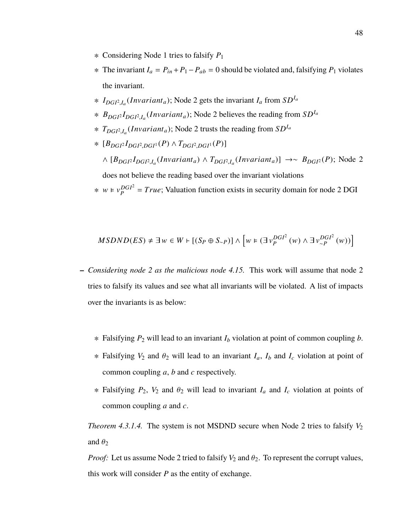- ∗ Considering Node 1 tries to falsify *P*<sup>1</sup>
- ∗ The invariant *I<sup>a</sup>* = *Pin* +*P*1−*Pab* = 0 should be violated and, falsifying *P*<sup>1</sup> violates the invariant.
- ∗ *IDGI*<sup>2</sup> ,*I*a (*In*v*arianta*); Node 2 gets the invariant *I<sup>a</sup>* from *SDI*<sup>a</sup>
- ∗ *BDGI*<sup>2</sup> *IDGI*<sup>2</sup> ,*I*a (*In*v*arianta*); Node 2 believes the reading from *SDI*<sup>a</sup>
- ∗ *TDGI*<sup>2</sup> ,*I*a (*In*v*arianta*); Node 2 trusts the reading from *SDI*<sup>a</sup>
- ∗ [*BDGI*<sup>2</sup> *IDGI*<sup>2</sup> ,*DGI*<sup>1</sup> (*P*) <sup>∧</sup> *<sup>T</sup>DGI*<sup>2</sup> ,*DGI*<sup>1</sup> (*P*)]

 $\wedge$  [ $B_{DGI}$ <sup>2</sup>*I*<sub>*DGI*<sup>2</sup>,*I<sub>a</sub>*</sub>(*Invariant<sub>a</sub>*)] →∼  $B_{DGI}$ <sub>2</sub>(*P*); Node 2 does not believe the reading based over the invariant violations

 $*$  *w* ⊨  $v_p^{DGI^2}$  $P_P^{DGP} = True$ ; Valuation function exists in security domain for node 2 DGI

$$
MSDND(ES) \neq \exists w \in W \vdash [(S_P \oplus S_{\sim P})] \wedge \left[ w \in (\exists v_P^{DGI^2}(w) \wedge \exists v_{\sim P}^{DGI^2}(w)) \right]
$$

- **–** *Considering node 2 as the malicious node 4.15.* This work will assume that node 2 tries to falsify its values and see what all invariants will be violated. A list of impacts over the invariants is as below:
	- ∗ Falsifying *P*<sup>2</sup> will lead to an invariant *I<sup>b</sup>* violation at point of common coupling *b*.
	- $∗$  Falsifying *V*<sub>2</sub> and  $θ$ <sub>2</sub> will lead to an invariant *I<sub>a</sub>*, *I<sub>b</sub>* and *I<sub>c</sub>* violation at point of common coupling *a*, *b* and *c* respectively.
	- <sup>∗</sup> Falsifying *<sup>P</sup>*2, *<sup>V</sup>*<sup>2</sup> and <sup>θ</sup><sup>2</sup> will lead to invariant *<sup>I</sup><sup>a</sup>* and *<sup>I</sup><sup>c</sup>* violation at points of common coupling *a* and *c*.

*Theorem 4.3.1.4.* The system is not MSDND secure when Node 2 tries to falsify  $V_2$ and  $\theta_2$ 

*Proof:* Let us assume Node 2 tried to falsify  $V_2$  and  $\theta_2$ . To represent the corrupt values, this work will consider *P* as the entity of exchange.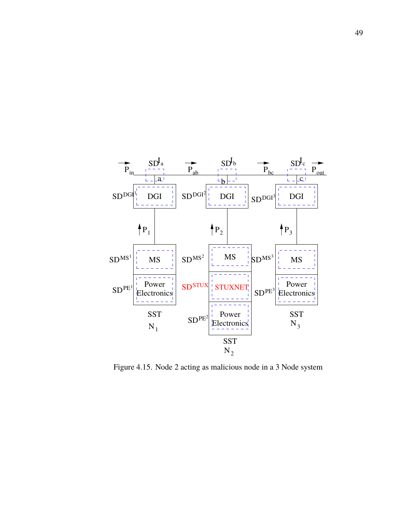

Figure 4.15. Node 2 acting as malicious node in a 3 Node system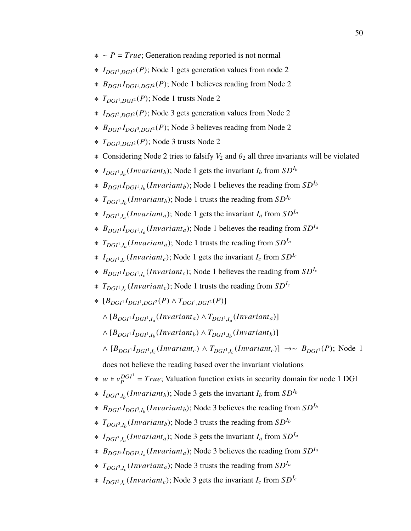- ∗ ∼ *P* = *True*; Generation reading reported is not normal
- ∗ *IDGI*<sup>1</sup> ,*DGI*<sup>2</sup> (*P*); Node 1 gets generation values from node 2
- ∗ *BDGI*<sup>1</sup> *IDGI*<sup>1</sup> ,*DGI*<sup>2</sup> (*P*); Node 1 believes reading from Node 2
- ∗ *TDGI*<sup>1</sup> ,*DGI*<sup>2</sup> (*P*); Node 1 trusts Node 2
- ∗ *IDGI*<sup>3</sup> ,*DGI*<sup>2</sup> (*P*); Node 3 gets generation values from Node 2
- ∗ *BDGI*<sup>3</sup> *IDGI*<sup>3</sup> ,*DGI*<sup>2</sup> (*P*); Node 3 believes reading from Node 2
- ∗ *TDGI*<sup>3</sup> ,*DGI*<sup>2</sup> (*P*); Node 3 trusts Node 2
- $\ast$  Considering Node 2 tries to falsify  $V_2$  and  $\theta_2$  all three invariants will be violated
- ∗  $I_{DGI^1,I_b}(Invariant_b)$ ; Node 1 gets the invariant  $I_b$  from  $SD^{I_b}$
- ∗ *BDGI*<sup>1</sup> *IDGI*<sup>1</sup> ,*I*b (*In*v*ariantb*); Node 1 believes the reading from *SDI*<sup>b</sup>
- ∗ *TDGI*<sup>1</sup> ,*I*b (*In*v*ariantb*); Node 1 trusts the reading from *SDI*<sup>b</sup>
- ∗ *IDGI*<sup>1</sup> ,*I*a (*In*v*arianta*); Node 1 gets the invariant *I<sup>a</sup>* from *SDI*<sup>a</sup>
- ∗ *BDGI*<sup>1</sup> *IDGI*<sup>1</sup> ,*I*a (*In*v*arianta*); Node 1 believes the reading from *SDI*<sup>a</sup>
- ∗ *TDGI*<sup>1</sup> ,*I*a (*In*v*arianta*); Node 1 trusts the reading from *SDI*<sup>a</sup>
- ∗  $I_{DGI^1,I_c}(Invariant_c)$ ; Node 1 gets the invariant  $I_c$  from  $SD^{I_c}$
- ∗ *BDGI*<sup>1</sup> *IDGI*<sup>1</sup> ,*I*c (*In*v*ariantc*); Node 1 believes the reading from *SDI*<sup>c</sup>
- ∗ *TDGI*<sup>1</sup> ,*I*c (*In*v*ariantc*); Node 1 trusts the reading from *SDI*<sup>c</sup>
- ∗ [*BDGI*<sup>1</sup> *IDGI*<sup>1</sup> ,*DGI*<sup>2</sup> (*P*) <sup>∧</sup> *<sup>T</sup>DGI*<sup>1</sup> ,*DGI*<sup>2</sup> (*P*)]
	- $\wedge$   $[B_{DGI}$ <sup> $I$ </sup> $DGI$ <sup> $I$ </sup> $,I_a$ </sub> $(Invariant_a)$   $\wedge$   $T_{DGI}$ <sup> $I$ </sup> $,I_a$  $(Invariant_a)$ ]
	- $\wedge$   $[B_{DGI}$ <sup> $I$ </sup> $DGI$ <sup> $I$ </sup>, $I_b$  $(Invariant_b)$   $\wedge$   $T_{DGI}$ <sup> $I$ </sup>, $I_b$  $(Invariant_b)$ ]
	- $\wedge$   $[B_{DGI} \cdot I_{DGI} \cdot I_c (Invariant_c) \wedge T_{DGI} \cdot I_c (Invariant_c)] \rightarrow ∼ B_{DGI} \cdot (P)$ ; Node 1
	- does not believe the reading based over the invariant violations
- $*$  *w* ⊨  $v_p^{DGI}$  $P_P^{DGP} = True$ ; Valuation function exists in security domain for node 1 DGI
- ∗  $I_{DGI^3,I_b}(Invariant_b)$ ; Node 3 gets the invariant  $I_b$  from  $SD^{I_b}$
- ∗ *BDGI*<sup>3</sup> *IDGI*<sup>3</sup> ,*I*b (*In*v*ariantb*); Node 3 believes the reading from *SDI*<sup>b</sup>
- ∗ *TDGI*<sup>3</sup> ,*I*b (*In*v*ariantb*); Node 3 trusts the reading from *SDI*<sup>b</sup>
- ∗ *IDGI*<sup>3</sup> ,*I*a (*In*v*arianta*); Node 3 gets the invariant *I<sup>a</sup>* from *SDI*<sup>a</sup>
- ∗ *BDGI*<sup>3</sup> *IDGI*<sup>3</sup> ,*I*a (*In*v*arianta*); Node 3 believes the reading from *SDI*<sup>a</sup>
- ∗ *TDGI*<sup>3</sup> ,*I*c (*In*v*arianta*); Node 3 trusts the reading from *SDI*<sup>a</sup>
- ∗  $I_{DGI^3,I_c}(Invariant_c)$ ; Node 3 gets the invariant  $I_c$  from  $SD^{I_c}$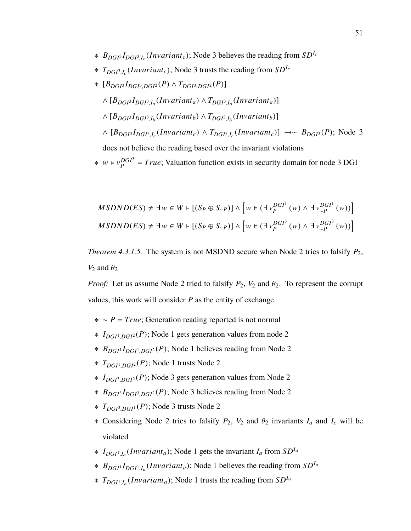- ∗ *BDGI*<sup>3</sup> *IDGI*<sup>3</sup> ,*I*c (*In*v*ariantc*); Node 3 believes the reading from *SDI*<sup>c</sup>
- ∗ *TDGI*<sup>3</sup> ,*I*c (*In*v*ariantc*); Node 3 trusts the reading from *SDI*<sup>c</sup>
- ∗ [*BDGI*<sup>3</sup> *IDGI*<sup>3</sup> ,*DGI*<sup>2</sup> (*P*) <sup>∧</sup> *<sup>T</sup>DGI*<sup>3</sup> ,*DGI*<sup>2</sup> (*P*)]  $\wedge$   $[B_{DGI}$ <sup>3</sup> $I_{DGI}$ <sup>3</sup>, $I_a$ </sub>(*Invariant<sub>a</sub>*)  $\wedge$   $T_{DGI}$ <sup>3</sup>, $I_a$ (*Invariant<sub>a</sub>*)]  $\wedge$   $[B_{DGI}$ <sup> $I_{DGI}$ </sup>, $I_b$  $(Invariant_b)$  $\wedge$  $T_{DGI}$ <sub>3</sub>, $I_b$  $(Invariant_b)$ ] ∧ [*BDGI*<sup>3</sup> *IDGI*<sup>3</sup> ,*I*c (*In*v*ariantc*) ∧ *TDGI*<sup>3</sup> ,*I*c (*In*v*ariantc*)] →∼ *BDGI*<sup>3</sup> (*P*); Node 3 does not believe the reading based over the invariant violations  $*$  *w* ⊨  $v_p^{DGI^3}$  $P_P^{DGP} = True$ ; Valuation function exists in security domain for node 3 DGI

$$
MSDND(ES) \neq \exists w \in W \vdash [(S_P \oplus S_{\sim P})] \wedge \left[ w \in (\exists v_P^{DGI^1}(w) \wedge \exists v_{\sim P}^{DGI^1}(w)) \right]
$$
  

$$
MSDND(ES) \neq \exists w \in W \vdash [(S_P \oplus S_{\sim P})] \wedge \left[ w \in (\exists v_P^{DGI^3}(w) \wedge \exists v_{\sim P}^{DGI^3}(w)) \right]
$$

*Theorem 4.3.1.5.* The system is not MSDND secure when Node 2 tries to falsify  $P_2$ ,  $V_2$  and  $\theta_2$ 

*Proof:* Let us assume Node 2 tried to falsify  $P_2$ ,  $V_2$  and  $\theta_2$ . To represent the corrupt values, this work will consider *P* as the entity of exchange.

- ∗ ∼ *P* = *True*; Generation reading reported is not normal
- ∗ *IDGI*<sup>1</sup> ,*DGI*<sup>2</sup> (*P*); Node 1 gets generation values from node 2
- ∗ *BDGI*<sup>1</sup> *IDGI*<sup>1</sup> ,*DGI*<sup>2</sup> (*P*); Node 1 believes reading from Node 2
- ∗ *TDGI*<sup>1</sup> ,*DGI*<sup>2</sup> (*P*); Node 1 trusts Node 2
- ∗ *IDGI*<sup>3</sup> ,*DGI*<sup>2</sup> (*P*); Node 3 gets generation values from Node 2
- ∗ *BDGI*<sup>3</sup> *IDGI*<sup>3</sup> ,*DGI*<sup>2</sup> (*P*); Node 3 believes reading from Node 2
- ∗ *TDGI*<sup>3</sup> ,*DGI*<sup>1</sup> (*P*); Node 3 trusts Node 2
- $∗$  Considering Node 2 tries to falsify  $P_2$ ,  $V_2$  and  $θ_2$  invariants  $I_a$  and  $I_c$  will be violated
- ∗ *IDGI*<sup>1</sup> ,*I*a (*In*v*arianta*); Node 1 gets the invariant *I<sup>a</sup>* from *SDI*<sup>a</sup>
- ∗ *BDGI*<sup>1</sup> *IDGI*<sup>1</sup> ,*I*a (*In*v*arianta*); Node 1 believes the reading from *SDI*<sup>a</sup>
- ∗ *TDGI*<sup>1</sup> ,*I*a (*In*v*arianta*); Node 1 trusts the reading from *SDI*<sup>a</sup>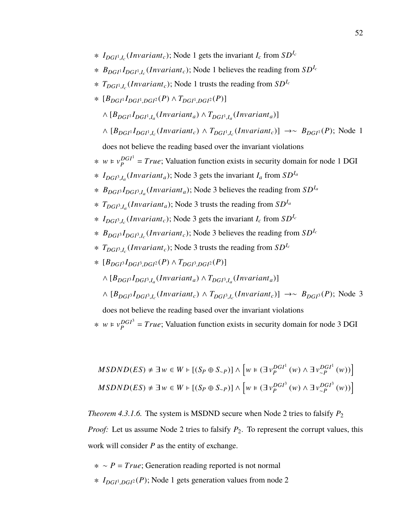- ∗  $I_{DGI^1,I_c}(Invariant_c)$ ; Node 1 gets the invariant  $I_c$  from  $SD^{I_c}$
- ∗ *BDGI*<sup>1</sup> *IDGI*<sup>1</sup> ,*I*c (*In*v*ariantc*); Node 1 believes the reading from *SDI*<sup>c</sup>
- ∗ *TDGI*<sup>1</sup> ,*I*c (*In*v*ariantc*); Node 1 trusts the reading from *SDI*<sup>c</sup>
- ∗ [*BDGI*<sup>1</sup> *IDGI*<sup>1</sup> ,*DGI*<sup>2</sup> (*P*) <sup>∧</sup> *<sup>T</sup>DGI*<sup>1</sup> ,*DGI*<sup>2</sup> (*P*)]
	- $\wedge$   $[B_{DGI}$ <sup> $I$ </sup> $DGI$ <sup> $I$ </sup> $,I_a$  $(Invariant_a)$   $\wedge$   $T_{DGI}$ <sup> $I$ </sup> $,I_a$  $(Invariant_a)$ ]
	- $\wedge$  [ $B_{DGI}$ <sup>1</sup> $I_{DGI}$ <sup>1</sup>, $I_c$ (*Invariant<sub>c</sub>*)  $\wedge$  *T<sub>DGI</sub>*<sup>1</sup>, $I_c$ (*Invariant<sub>c</sub>*)] →∼  $B_{DGI}$ <sup>1</sup>(*P*); Node 1
	- does not believe the reading based over the invariant violations
- $*$  *w* ⊨  $v_p^{DGI}$  $P_P^{DGP} = True$ ; Valuation function exists in security domain for node 1 DGI
- ∗ *IDGI*<sup>3</sup> ,*I*a (*In*v*arianta*); Node 3 gets the invariant *I<sup>a</sup>* from *SDI*<sup>a</sup>
- ∗ *BDGI*<sup>3</sup> *IDGI*<sup>3</sup> ,*I*a (*In*v*arianta*); Node 3 believes the reading from *SDI*<sup>a</sup>
- ∗ *TDGI*<sup>3</sup> ,*I*a (*In*v*arianta*); Node 3 trusts the reading from *SDI*<sup>a</sup>
- ∗  $I_{DGI^3,I_c}(Invariant_c)$ ; Node 3 gets the invariant  $I_c$  from  $SD^{I_c}$
- ∗ *BDGI*<sup>3</sup> *IDGI*<sup>3</sup> ,*I*c (*In*v*ariantc*); Node 3 believes the reading from *SDI*<sup>c</sup>
- ∗ *TDGI*<sup>3</sup> ,*I*c (*In*v*ariantc*); Node 3 trusts the reading from *SDI*<sup>c</sup>
- ∗ [*BDGI*<sup>3</sup> *IDGI*<sup>3</sup> ,*DGI*<sup>2</sup> (*P*) <sup>∧</sup> *<sup>T</sup>DGI*<sup>3</sup> ,*DGI*<sup>2</sup> (*P*)]
	- $\wedge$   $[B_{DGP}I_{DGP}I_{a} (Invariant_a) \wedge T_{DGP}I_{a} (Invariant_a)]$
	- ∧ [*BDGI*<sup>3</sup> *IDGI*<sup>3</sup> ,*I*c (*In*v*ariantc*) ∧ *TDGI*<sup>3</sup> ,*I*c (*In*v*ariantc*)] →∼ *BDGI*<sup>3</sup> (*P*); Node 3
	- does not believe the reading based over the invariant violations
- $*$  *w* ⊨  $v_p^{DGI^3}$  $P_P^{DGP} = True$ ; Valuation function exists in security domain for node 3 DGI

$$
MSDND(ES) \neq \exists w \in W \vdash [(S_P \oplus S_{\sim P})] \land \left[w \in (\exists v_P^{DGI^1}(w) \land \exists v_{\sim P}^{DGI^1}(w))\right]
$$
  

$$
MSDND(ES) \neq \exists w \in W \vdash [(S_P \oplus S_{\sim P})] \land \left[w \in (\exists v_P^{DGI^3}(w) \land \exists v_{\sim P}^{DGI^3}(w))\right]
$$

*Theorem 4.3.1.6.* The system is MSDND secure when Node 2 tries to falsify  $P_2$ *Proof:* Let us assume Node 2 tries to falsify  $P_2$ . To represent the corrupt values, this work will consider *P* as the entity of exchange.

- ∗ ∼ *P* = *True*; Generation reading reported is not normal
- ∗ *IDGI*<sup>1</sup> ,*DGI*<sup>2</sup> (*P*); Node 1 gets generation values from node 2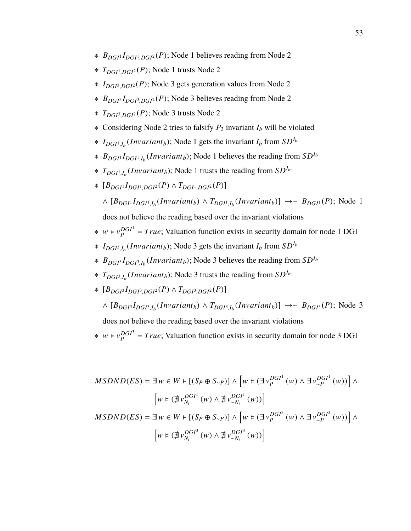- ∗ *BDGI*<sup>1</sup> *IDGI*<sup>1</sup> ,*DGI*<sup>2</sup> (*P*); Node 1 believes reading from Node 2
- ∗ *TDGI*<sup>1</sup> ,*DGI*<sup>2</sup> (*P*); Node 1 trusts Node 2
- ∗ *IDGI*<sup>3</sup> ,*DGI*<sup>2</sup> (*P*); Node 3 gets generation values from Node 2
- ∗ *BDGI*<sup>3</sup> *IDGI*<sup>3</sup> ,*DGI*<sup>2</sup> (*P*); Node 3 believes reading from Node 2
- ∗ *TDGI*<sup>3</sup> ,*DGI*<sup>2</sup> (*P*); Node 3 trusts Node 2
- ∗ Considering Node 2 tries to falsify *P*<sup>2</sup> invariant *I<sup>b</sup>* will be violated
- ∗  $I_{DGI^1,I_b}(Invariant_b)$ ; Node 1 gets the invariant  $I_b$  from  $SD^{I_b}$
- ∗ *BDGI*<sup>1</sup> *IDGI*<sup>1</sup> ,*I*b (*In*v*ariantb*); Node 1 believes the reading from *SDI*<sup>b</sup>
- ∗ *TDGI*<sup>1</sup> ,*I*b (*In*v*ariantb*); Node 1 trusts the reading from *SDI*<sup>b</sup>
- ∗ [*BDGI*<sup>1</sup> *IDGI*<sup>1</sup> ,*DGI*<sup>2</sup> (*P*) <sup>∧</sup> *<sup>T</sup>DGI*<sup>1</sup> ,*DGI*<sup>2</sup> (*P*)]
	- $\wedge$  [ $B_{DGI}$ <sup>1</sup> $I_{DGI}$ <sup>1</sup>, $I_b$ (*Invariant<sub>b</sub>*)</sub>  $\wedge$  *T<sub>DGI</sub>*<sup>1</sup>, $I_b$ (*Invariant<sub>b</sub>*)] →∼  $B_{DGI}$ <sup>1</sup>(*P*); Node 1

- $*$  *w* ⊨  $v_p^{DGI}$  $P_P^{DGP} = True$ ; Valuation function exists in security domain for node 1 DGI
- ∗ *IDGI*<sup>3</sup> ,*I*b (*In*v*ariantb*); Node 3 gets the invariant *I<sup>b</sup>* from *SDI*<sup>b</sup>
- ∗ *BDGI*<sup>3</sup> *IDGI*<sup>3</sup> ,*I*b (*In*v*ariantb*); Node 3 believes the reading from *SDI*<sup>b</sup>
- ∗ *TDGI*<sup>3</sup> ,*I*b (*In*v*ariantb*); Node 3 trusts the reading from *SDI*<sup>b</sup>
- ∗ [*BDGI*<sup>3</sup> *IDGI*<sup>3</sup> ,*DGI*<sup>2</sup> (*P*) <sup>∧</sup> *<sup>T</sup>DGI*<sup>3</sup> ,*DGI*<sup>2</sup> (*P*)]
	- ∧ [*BDGI*<sup>3</sup> *IDGI*<sup>3</sup> ,*I*b (*In*v*ariantb*) ∧ *TDGI*<sup>3</sup> ,*I*b (*In*v*ariantb*)] →∼ *BDGI*<sup>3</sup> (*P*); Node 3

does not believe the reading based over the invariant violations

 $*$  *w* ⊨  $v_p^{DGI^3}$  $P_P^{DGP} = True$ ; Valuation function exists in security domain for node 3 DGI

$$
MSDND(ES) = \exists w \in W \vdash [(S_P \oplus S_{\sim P})] \land [w \in (\exists v_P^{DGI^1}(w) \land \exists v_{\sim P}^{DGI^1}(w))] \land \n\left[w \in (\nexists v_{N_i}^{DGI^1}(w) \land \nexists v_{\sim N_i}^{DGI^1}(w))\right] \nMSDND(ES) = \exists w \in W \vdash [(S_P \oplus S_{\sim P})] \land \left[w \in (\exists v_P^{DGI^3}(w) \land \exists v_{\sim P}^{DGI^3}(w))\right] \land \n\left[w \in (\nexists v_{N_i}^{DGI^3}(w) \land \nexists v_{\sim N_i}^{DGI^3}(w))\right]
$$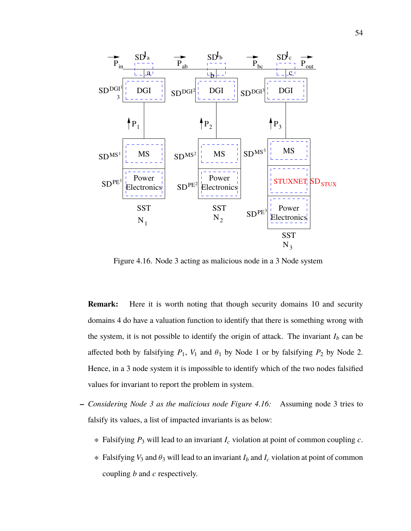

Figure 4.16. Node 3 acting as malicious node in a 3 Node system

**Remark:** Here it is worth noting that though security domains 10 and security domains 4 do have a valuation function to identify that there is something wrong with the system, it is not possible to identify the origin of attack. The invariant  $I_b$  can be affected both by falsifying  $P_1$ ,  $V_1$  and  $\theta_1$  by Node 1 or by falsifying  $P_2$  by Node 2. Hence, in a 3 node system it is impossible to identify which of the two nodes falsified values for invariant to report the problem in system.

- **–** *Considering Node 3 as the malicious node Figure 4.16:* Assuming node 3 tries to falsify its values, a list of impacted invariants is as below:
	- ∗ Falsifying *P*<sup>3</sup> will lead to an invariant *I<sup>c</sup>* violation at point of common coupling *c*.
	- <sup>∗</sup> Falsifying *<sup>V</sup>*<sup>3</sup> and <sup>θ</sup><sup>3</sup> will lead to an invariant *<sup>I</sup><sup>b</sup>* and *<sup>I</sup><sup>c</sup>* violation at point of common coupling *b* and *c* respectively.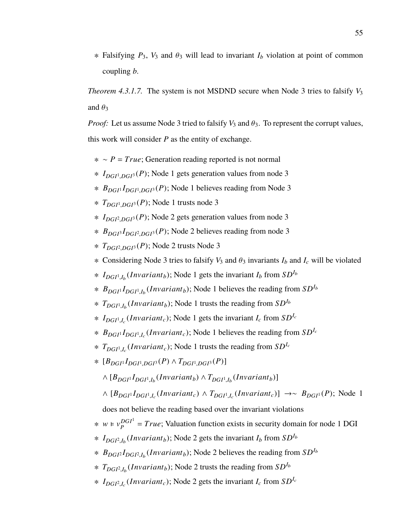$*$  Falsifying  $P_3$ ,  $V_3$  and  $\theta_3$  will lead to invariant  $I_b$  violation at point of common coupling *b*.

*Theorem 4.3.1.7.* The system is not MSDND secure when Node 3 tries to falsify  $V_3$ and  $\theta_3$ 

*Proof:* Let us assume Node 3 tried to falsify  $V_3$  and  $\theta_3$ . To represent the corrupt values, this work will consider *P* as the entity of exchange.

- ∗ ∼ *P* = *True*; Generation reading reported is not normal
- ∗ *IDGI*<sup>1</sup> ,*DGI*<sup>3</sup> (*P*); Node 1 gets generation values from node 3
- ∗ *BDGI*<sup>1</sup> *IDGI*<sup>1</sup> ,*DGI*<sup>3</sup> (*P*); Node 1 believes reading from Node 3
- ∗ *TDGI*<sup>1</sup> ,*DGI*<sup>3</sup> (*P*); Node 1 trusts node 3
- ∗ *IDGI*<sup>2</sup> ,*DGI*<sup>3</sup> (*P*); Node 2 gets generation values from node 3
- ∗ *BDGI*<sup>3</sup> *IDGI*<sup>2</sup> ,*DGI*<sup>3</sup> (*P*); Node 2 believes reading from node 3
- ∗ *TDGI*<sup>2</sup> ,*DGI*<sup>3</sup> (*P*); Node 2 trusts Node 3
- $*$  Considering Node 3 tries to falsify  $V_3$  and  $\theta_3$  invariants  $I_b$  and  $I_c$  will be violated
- ∗  $I_{DGI^1,I_b}(Invariant_b)$ ; Node 1 gets the invariant  $I_b$  from  $SD^{I_b}$
- ∗ *BDGI*<sup>1</sup> *IDGI*<sup>1</sup> ,*I*b (*In*v*ariantb*); Node 1 believes the reading from *SDI*<sup>b</sup>
- ∗ *TDGI*<sup>1</sup> ,*I*b (*In*v*ariantb*); Node 1 trusts the reading from *SDI*<sup>b</sup>
- ∗  $I_{DGI^1,I_c}(Invariant_c)$ ; Node 1 gets the invariant  $I_c$  from  $SD^{I_c}$
- ∗ *BDGI*<sup>1</sup> *IDGI*<sup>1</sup> ,*I*c (*In*v*ariantc*); Node 1 believes the reading from *SDI*<sup>c</sup>
- ∗ *TDGI*<sup>1</sup> ,*I*c (*In*v*ariantc*); Node 1 trusts the reading from *SDI*<sup>c</sup>
- ∗ [*BDGI*<sup>1</sup> *IDGI*<sup>1</sup> ,*DGI*<sup>3</sup> (*P*) <sup>∧</sup> *<sup>T</sup>DGI*<sup>1</sup> ,*DGI*<sup>3</sup> (*P*)]
	- $\wedge$   $[B_{DGI}$ <sup> $I$ </sup> $DGI$ <sup> $I$ </sup>, $I_b$  $(Invariant_b)$   $\wedge$   $T_{DGI}$ <sup> $I$ </sup>, $I_b$  $(Invariant_b)$ ]
	- $\wedge$   $[B_{DGI}$ <sup>1</sup>, $I_c$ (*Invariant<sub>c</sub>*)  $\wedge$   $T_{DGI}$ <sup>1</sup>, $I_c$ (*Invariant<sub>c</sub>*)] →∼  $B_{DGI}$ <sup>1</sup>(*P*); Node 1

does not believe the reading based over the invariant violations

- $*$  *w* ⊨  $v_p^{DGI}$  $P_P^{DGP} = True$ ; Valuation function exists in security domain for node 1 DGI
- ∗  $I_{DGI^2,I_b}(Invariant_b)$ ; Node 2 gets the invariant  $I_b$  from  $SD^{I_b}$
- ∗ *BDGI*<sup>2</sup> *IDGI*<sup>2</sup> ,*I*b (*In*v*ariantb*); Node 2 believes the reading from *SDI*<sup>b</sup>
- ∗ *TDGI*<sup>2</sup> ,*I*b (*In*v*ariantb*); Node 2 trusts the reading from *SDI*<sup>b</sup>
- ∗  $I_{DGI^2,I_c}(Invariant_c)$ ; Node 2 gets the invariant  $I_c$  from  $SD^{I_c}$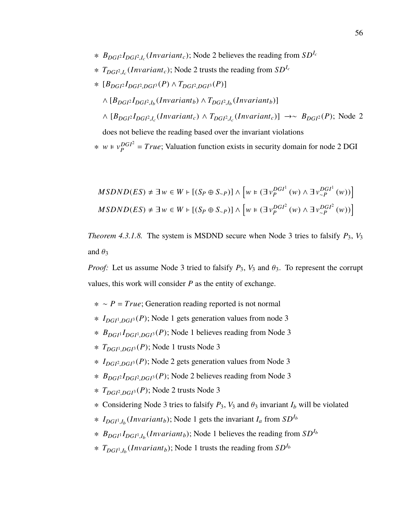- ∗ *BDGI*<sup>2</sup> *IDGI*<sup>2</sup> ,*I*c (*In*v*ariantc*); Node 2 believes the reading from *SDI*<sup>c</sup>
- ∗ *TDGI*<sup>2</sup> ,*I*c (*In*v*ariantc*); Node 2 trusts the reading from *SDI*<sup>c</sup>
- ∗ [*BDGI*<sup>2</sup> *IDGI*<sup>2</sup> ,*DGI*<sup>3</sup> (*P*) <sup>∧</sup> *<sup>T</sup>DGI*<sup>2</sup> ,*DGI*<sup>3</sup> (*P*)]
	- $\wedge$   $[B_{DGI} \cdot I_{DGI^2,I_b}(Invariant_b) \wedge T_{DGI^2,I_b}(Invariant_b)]$
	- $\wedge$  [ $B_{DGP}I_{DGP}I_{DGP}$ ,*I*<sub>c</sub></sub>(*Invariant*<sub>*c*</sub>)  $\wedge$  *T*<sub>*DGI*<sup>2</sup>,*I*<sub>c</sub></sub>(*Invariant*<sub>*c*</sub>)] →∼ *B*<sub>*DGI*<sup>2</sup>(*P*); Node 2</sub>

 $*$  *w* ⊨  $v_p^{DGI^2}$  $P_P^{DGP} = True$ ; Valuation function exists in security domain for node 2 DGI

$$
MSDND(ES) \neq \exists w \in W \vdash [(S_P \oplus S_{\sim P})] \land \left[w \models (\exists v_P^{DGI^1}(w) \land \exists v_{\sim P}^{DGI^1}(w))\right]
$$
  

$$
MSDND(ES) \neq \exists w \in W \vdash [(S_P \oplus S_{\sim P})] \land \left[w \models (\exists v_P^{DGI^2}(w) \land \exists v_{\sim P}^{DGI^2}(w))\right]
$$

*Theorem 4.3.1.8.* The system is MSDND secure when Node 3 tries to falsify  $P_3$ ,  $V_3$ and  $\theta_3$ 

*Proof:* Let us assume Node 3 tried to falsify  $P_3$ ,  $V_3$  and  $\theta_3$ . To represent the corrupt values, this work will consider *P* as the entity of exchange.

- ∗ ∼ *P* = *True*; Generation reading reported is not normal
- ∗ *IDGI*<sup>1</sup> ,*DGI*<sup>3</sup> (*P*); Node 1 gets generation values from node 3
- ∗ *BDGI*<sup>1</sup> *IDGI*<sup>1</sup> ,*DGI*<sup>3</sup> (*P*); Node 1 believes reading from Node 3
- ∗ *TDGI*<sup>1</sup> ,*DGI*<sup>3</sup> (*P*); Node 1 trusts Node 3
- ∗ *IDGI*<sup>2</sup> ,*DGI*<sup>3</sup> (*P*); Node 2 gets generation values from Node 3
- ∗ *BDGI*<sup>2</sup> *IDGI*<sup>2</sup> ,*DGI*<sup>3</sup> (*P*); Node 2 believes reading from Node 3
- ∗ *TDGI*<sup>2</sup> ,*DGI*<sup>3</sup> (*P*); Node 2 trusts Node 3
- $∗$  Considering Node 3 tries to falsify  $P_3$ ,  $V_3$  and  $θ_3$  invariant  $I_b$  will be violated
- ∗  $I_{DGI^1,I_b}(Invariant_b)$ ; Node 1 gets the invariant  $I_a$  from  $SD^{I_b}$
- ∗ *BDGI*<sup>1</sup> *IDGI*<sup>1</sup> ,*I*b (*In*v*ariantb*); Node 1 believes the reading from *SDI*<sup>b</sup>
- ∗ *TDGI*<sup>1</sup> ,*I*b (*In*v*ariantb*); Node 1 trusts the reading from *SDI*<sup>b</sup>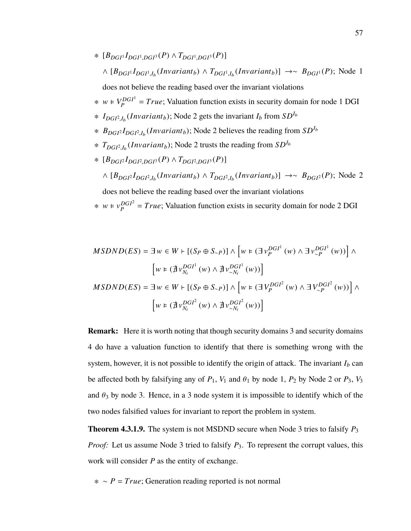- ∗ [*BDGI*<sup>1</sup> *IDGI*<sup>1</sup> ,*DGI*<sup>3</sup> (*P*) <sup>∧</sup> *<sup>T</sup>DGI*<sup>1</sup> ,*DGI*<sup>3</sup> (*P*)]  $\wedge$   $[B_{DGI} \cdot I_{DGI} \cdot I_b (Invariant_b) \wedge T_{DGI} \cdot I_b (Invariant_b)] \rightarrow ∞ B_{DGI} \cdot (P)$ ; Node 1 does not believe the reading based over the invariant violations
- $*$  *w* ⊧  $V_P^{DGI}$  $P_P^{DGP} = True$ ; Valuation function exists in security domain for node 1 DGI
- ∗  $I_{DGI^2,I_b}(Invariant_b)$ ; Node 2 gets the invariant  $I_b$  from  $SD^{I_b}$
- ∗ *BDGI*<sup>2</sup> *IDGI*<sup>2</sup> ,*I*b (*In*v*ariantb*); Node 2 believes the reading from *SDI*<sup>b</sup>
- ∗ *TDGI*<sup>2</sup> ,*I*b (*In*v*ariantb*); Node 2 trusts the reading from *SDI*<sup>b</sup>
- ∗ [*BDGI*<sup>2</sup> *IDGI*<sup>2</sup> ,*DGI*<sup>3</sup> (*P*) <sup>∧</sup> *<sup>T</sup>DGI*<sup>2</sup> ,*DGI*<sup>3</sup> (*P*)]  $\wedge$  [ $B_{DGP}I_{DGP}I_{DGP, I_b}(Invariant_b)$   $\wedge$   $T_{DGP, I_b}(Invariant_b)] \rightarrow \sim B_{DGP}P(P)$ ; Node 2

 $*$  *w* ⊨  $v_p^{DGI^2}$  $P_P^{DGP} = True$ ; Valuation function exists in security domain for node 2 DGI

$$
MSDND(ES) = \exists w \in W \vdash [(S_P \oplus S_{\sim P})] \land \left[ w \in (\exists v_P^{DGI^1}(w) \land \exists v_{\sim P}^{DGI^1}(w)) \right] \land \left[ w \in (\nexists v_{N_i}^{DGI^1}(w) \land \nexists v_{\sim N_i}^{DGI^1}(w)) \right] \nMSDND(ES) = \exists w \in W \vdash [(S_P \oplus S_{\sim P})] \land \left[ w \in (\exists V_P^{DGI^2}(w) \land \exists V_{\sim P}^{DGI^2}(w)) \right] \land \left[ w \in (\nexists v_{N_i}^{DGI^2}(w) \land \nexists v_{\sim N_i}^{DGI^2}(w)) \right]
$$

**Remark:** Here it is worth noting that though security domains 3 and security domains 4 do have a valuation function to identify that there is something wrong with the system, however, it is not possible to identify the origin of attack. The invariant  $I_b$  can be affected both by falsifying any of  $P_1$ ,  $V_1$  and  $\theta_1$  by node 1,  $P_2$  by Node 2 or  $P_3$ ,  $V_3$ and  $\theta_3$  by node 3. Hence, in a 3 node system it is impossible to identify which of the two nodes falsified values for invariant to report the problem in system.

**Theorem 4.3.1.9.** The system is not MSDND secure when Node 3 tries to falsify *P*<sup>3</sup> *Proof:* Let us assume Node 3 tried to falsify  $P_3$ . To represent the corrupt values, this work will consider *P* as the entity of exchange.

∗ ∼ *P* = *True*; Generation reading reported is not normal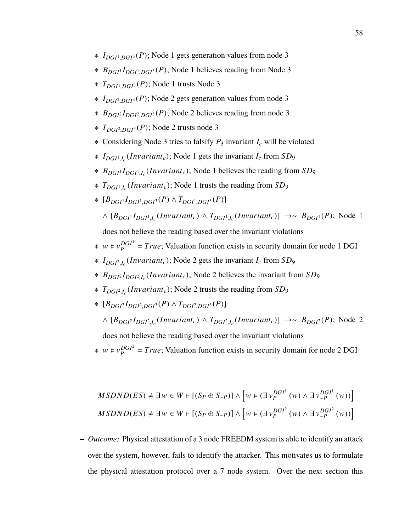- ∗ *IDGI*<sup>1</sup> ,*DGI*<sup>3</sup> (*P*); Node 1 gets generation values from node 3
- ∗ *BDGI*<sup>1</sup> *IDGI*<sup>1</sup> ,*DGI*<sup>3</sup> (*P*); Node 1 believes reading from Node 3
- ∗ *TDGI*<sup>1</sup> ,*DGI*<sup>3</sup> (*P*); Node 1 trusts Node 3
- ∗ *IDGI*<sup>2</sup> ,*DGI*<sup>3</sup> (*P*); Node 2 gets generation values from node 3
- ∗ *BDGI*<sup>2</sup> *IDGI*<sup>2</sup> ,*DGI*<sup>3</sup> (*P*); Node 2 believes reading from node 3
- ∗ *TDGI*<sup>2</sup> ,*DGI*<sup>3</sup> (*P*); Node 2 trusts node 3
- ∗ Considering Node 3 tries to falsify *P*<sup>3</sup> invariant *I<sup>c</sup>* will be violated
- ∗ *IDGI*<sup>1</sup> ,*I*c (*In*v*ariantc*); Node 1 gets the invariant *I<sup>c</sup>* from *SD*<sup>9</sup>
- ∗ *BDGI*<sup>1</sup> *IDGI*<sup>1</sup> ,*I*c (*In*v*ariantc*); Node 1 believes the reading from *SD*<sup>9</sup>
- ∗ *TDGI*<sup>1</sup> ,*I*c (*In*v*ariantc*); Node 1 trusts the reading from *SD*<sup>9</sup>
- ∗ [*BDGI*<sup>1</sup> *IDGI*<sup>1</sup> ,*DGI*<sup>3</sup> (*P*) <sup>∧</sup> *<sup>T</sup>DGI*<sup>1</sup> ,*DGI*<sup>3</sup> (*P*)]
	- $\wedge$   $[B_{DGI}$ <sup>1</sup>, $I_c$ (*Invariant<sub>c</sub>*)  $\wedge$   $T_{DGI}$ <sup>1</sup>, $I_c$ (*Invariant<sub>c</sub>*)] →∼  $B_{DGI}$ <sup>1</sup>(*P*); Node 1

- $*$  *w* ⊨  $v_p^{DGI}$  $P_P^{DGP} = True$ ; Valuation function exists in security domain for node 1 DGI
- ∗ *IDGI*<sup>2</sup> ,*I*c (*In*v*ariantc*); Node 2 gets the invariant *I<sup>c</sup>* from *SD*<sup>9</sup>
- ∗ *BDGI*<sup>2</sup> *IDGI*<sup>2</sup> ,*I*c (*In*v*ariantc*); Node 2 believes the invariant from *SD*<sup>9</sup>
- ∗ *TDGI*<sup>2</sup> ,*I*c (*In*v*ariantc*); Node 2 trusts the reading from *SD*<sup>9</sup>
- ∗ [*BDGI*<sup>2</sup> *IDGI*<sup>2</sup> ,*DGI*<sup>3</sup> (*P*) <sup>∧</sup> *<sup>T</sup>DGI*<sup>2</sup> ,*DGI*<sup>3</sup> (*P*)]
	- $\wedge$  [ $B_{DGP}I_{DGP}I_{DGP}$ ,*I*<sub>c</sub></sub>(*Invariant*<sub>*c*</sub>)  $\wedge$  *T*<sub>*DGI*<sup>2</sup>,*I*<sub>c</sub></sub>(*Invariant*<sub>*c*</sub>)] →∼ *B*<sub>*DGI*<sup>2</sup>(*P*); Node 2</sub>
	- does not believe the reading based over the invariant violations
- $*$  *w* ⊨  $v_p^{DGI^2}$  $P_P^{DGP} = True$ ; Valuation function exists in security domain for node 2 DGI

$$
MSDND(ES) \neq \exists w \in W \vdash [(S_P \oplus S_{\sim P})] \land \left[w \in (\exists v_P^{DGI^1}(w) \land \exists v_{\sim P}^{DGI^1}(w))\right]
$$
  

$$
MSDND(ES) \neq \exists w \in W \vdash [(S_P \oplus S_{\sim P})] \land \left[w \in (\exists v_P^{DGI^2}(w) \land \exists v_{\sim P}^{DGI^2}(w))\right]
$$

**–** *Outcome:* Physical attestation of a 3 node FREEDM system is able to identify an attack over the system, however, fails to identify the attacker. This motivates us to formulate the physical attestation protocol over a 7 node system. Over the next section this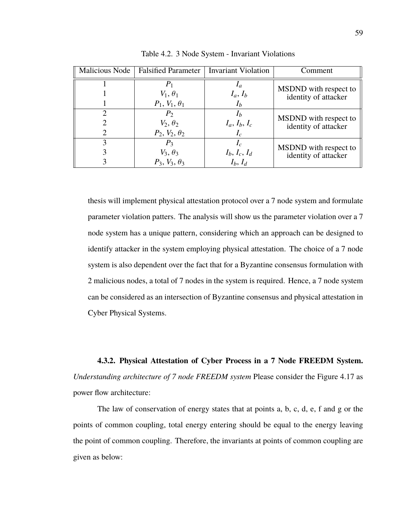| Malicious Node              | <b>Falsified Parameter</b> | <b>Invariant Violation</b> | Comment               |
|-----------------------------|----------------------------|----------------------------|-----------------------|
|                             | P <sub>1</sub>             |                            | MSDND with respect to |
|                             | $V_1, \theta_1$            | $I_a, I_b$                 | identity of attacker  |
|                             | $P_1, V_1, \theta_1$       | $I_b$                      |                       |
|                             | $P_2$                      |                            | MSDND with respect to |
|                             | $V_2, \theta_2$            | $I_a, I_b, I_c$            | identity of attacker  |
| $\mathcal{D}_{\mathcal{A}}$ | $P_2, V_2, \theta_2$       | $I_c$                      |                       |
| 3                           | $P_3$                      | $I_c$                      | MSDND with respect to |
|                             | $V_3, \theta_3$            | $I_b, I_c, I_d$            | identity of attacker  |
|                             | $P_3$ , $V_3$ , $\theta_3$ | $I_b, I_d$                 |                       |

Table 4.2. 3 Node System - Invariant Violations

thesis will implement physical attestation protocol over a 7 node system and formulate parameter violation patters. The analysis will show us the parameter violation over a 7 node system has a unique pattern, considering which an approach can be designed to identify attacker in the system employing physical attestation. The choice of a 7 node system is also dependent over the fact that for a Byzantine consensus formulation with 2 malicious nodes, a total of 7 nodes in the system is required. Hence, a 7 node system can be considered as an intersection of Byzantine consensus and physical attestation in Cyber Physical Systems.

**4.3.2. Physical Attestation of Cyber Process in a 7 Node FREEDM System.** *Understanding architecture of 7 node FREEDM system* Please consider the Figure 4.17 as power flow architecture:

The law of conservation of energy states that at points a, b, c, d, e, f and g or the points of common coupling, total energy entering should be equal to the energy leaving the point of common coupling. Therefore, the invariants at points of common coupling are given as below: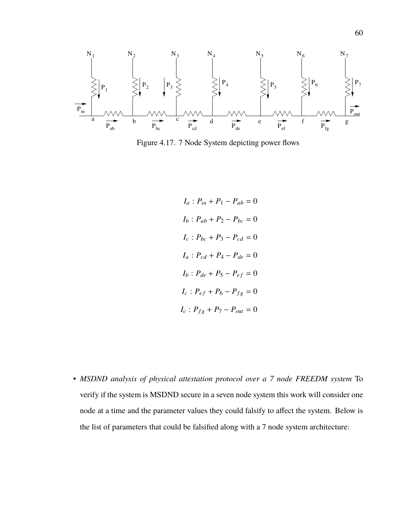

Figure 4.17. 7 Node System depicting power flows

$$
I_a: P_{in} + P_1 - P_{ab} = 0
$$
  
\n
$$
I_b: P_{ab} + P_2 - P_{bc} = 0
$$
  
\n
$$
I_c: P_{bc} + P_3 - P_{cd} = 0
$$
  
\n
$$
I_a: P_{cd} + P_4 - P_{de} = 0
$$
  
\n
$$
I_b: P_{de} + P_5 - P_{ef} = 0
$$
  
\n
$$
I_c: P_{ef} + P_6 - P_{fg} = 0
$$
  
\n
$$
I_c: P_{fg} + P_7 - P_{out} = 0
$$

• *MSDND analysis of physical attestation protocol over a 7 node FREEDM system* To verify if the system is MSDND secure in a seven node system this work will consider one node at a time and the parameter values they could falsify to affect the system. Below is the list of parameters that could be falsified along with a 7 node system architecture: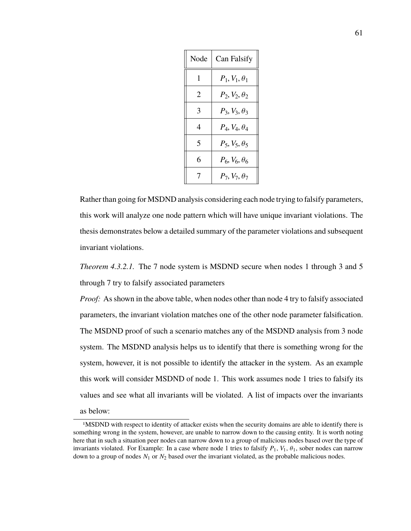| Node | Can Falsify                |
|------|----------------------------|
| 1    | $P_1, V_1, \theta_1$       |
| 2    | $P_2, V_2, \theta_2$       |
| 3    | $P_3, V_3, \theta_3$       |
| 4    | $P_4, V_4, \theta_4$       |
| 5    | $P_5, V_5, \theta_5$       |
| 6    | $P_6$ , $V_6$ , $\theta_6$ |
| 7    | $P_7, V_7, \theta_7$       |

Rather than going for MSDND analysis considering each node trying to falsify parameters, this work will analyze one node pattern which will have unique invariant violations. The thesis demonstrates below a detailed summary of the parameter violations and subsequent invariant violations.

*Theorem 4.3.2.1.* The 7 node system is MSDND secure when nodes 1 through 3 and 5 through 7 try to falsify associated parameters

*Proof:* As shown in the above table, when nodes other than node 4 try to falsify associated parameters, the invariant violation matches one of the other node parameter falsification. The MSDND proof of such a scenario matches any of the MSDND analysis from 3 node system. The MSDND analysis helps us to identify that there is something wrong for the system, however, it is not possible to identify the attacker in the system. As an example this work will consider MSDND of node 1. This work assumes node 1 tries to falsify its values and see what all invariants will be violated. A list of impacts over the invariants as below:

<sup>1</sup>MSDND with respect to identity of attacker exists when the security domains are able to identify there is something wrong in the system, however, are unable to narrow down to the causing entity. It is worth noting here that in such a situation peer nodes can narrow down to a group of malicious nodes based over the type of invariants violated. For Example: In a case where node 1 tries to falsify  $P_1$ ,  $V_1$ ,  $\theta_1$ , sober nodes can narrow down to a group of nodes *N*<sup>1</sup> or *N*<sup>2</sup> based over the invariant violated, as the probable malicious nodes.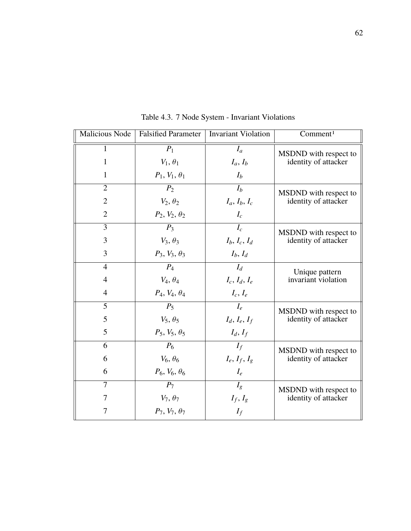| <b>Malicious Node</b> | <b>Falsified Parameter</b> | <b>Invariant Violation</b> | Comment <sup>1</sup>                          |
|-----------------------|----------------------------|----------------------------|-----------------------------------------------|
| 1                     | $P_1$                      | $I_a$                      | MSDND with respect to                         |
| $\mathbf{1}$          | $V_1, \theta_1$            | $I_a, I_b$                 | identity of attacker                          |
| $\mathbf{1}$          | $P_1, V_1, \theta_1$       | $I_b$                      |                                               |
| $\overline{2}$        | P <sub>2</sub>             | $I_b$                      | MSDND with respect to<br>identity of attacker |
| $\overline{2}$        | $V_2, \theta_2$            | $I_a, I_b, I_c$            |                                               |
| $\overline{2}$        | $P_2, V_2, \theta_2$       | $I_c$                      |                                               |
| 3                     | $P_3$                      | $I_c$                      | MSDND with respect to                         |
| 3                     | $V_3, \theta_3$            | $I_b, I_c, I_d$            | identity of attacker                          |
| 3                     | $P_3, V_3, \theta_3$       | $I_b$ , $I_d$              |                                               |
| $\overline{4}$        | $P_4$                      | $I_d$                      | Unique pattern                                |
| $\overline{4}$        | $V_4, \theta_4$            | $I_c$ , $I_d$ , $I_e$      | invariant violation                           |
| $\overline{4}$        | $P_4, V_4, \theta_4$       | $I_c, I_e$                 |                                               |
| 5                     | $P_5$                      | $I_e$                      | MSDND with respect to                         |
| 5                     | $V_5, \theta_5$            | $I_d, I_e, I_f$            | identity of attacker                          |
| 5                     | $P_5, V_5, \theta_5$       | $I_d, I_f$                 |                                               |
| 6                     | $P_6$                      | $I_f$                      | MSDND with respect to                         |
| 6                     | $V_6, \theta_6$            | $I_e, I_f, I_g$            | identity of attacker                          |
| 6                     | $P_6, V_6, \theta_6$       | $I_e$                      |                                               |
| 7                     | $P_7$                      | $I_g$                      | MSDND with respect to                         |
| 7                     | $V_7, \theta_7$            | $I_f, I_g$                 | identity of attacker                          |
| 7                     | $P_7, V_7, \theta_7$       | $I_f$                      |                                               |

Table 4.3. 7 Node System - Invariant Violations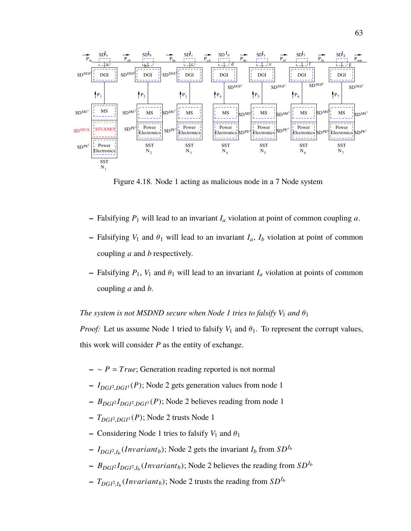

Figure 4.18. Node 1 acting as malicious node in a 7 Node system

- $-$  Falsifying  $P_1$  will lead to an invariant  $I_a$  violation at point of common coupling  $a$ .
- **–** Falsifying  $V_1$  and  $\theta_1$  will lead to an invariant  $I_a$ ,  $I_b$  violation at point of common coupling *a* and *b* respectively.
- $-$  Falsifying  $P_1$ ,  $V_1$  and  $\theta_1$  will lead to an invariant  $I_a$  violation at points of common coupling *a* and *b*.

# *The system is not MSDND secure when Node 1 tries to falsify*  $V_1$  *and*  $\theta_1$

*Proof:* Let us assume Node 1 tried to falsify  $V_1$  and  $\theta_1$ . To represent the corrupt values, this work will consider *P* as the entity of exchange.

- **–** ∼ *P* = *True*; Generation reading reported is not normal
- **–** *IDGI*<sup>2</sup> ,*DGI*<sup>1</sup> (*P*); Node 2 gets generation values from node 1
- **–** *BDGI*<sup>2</sup> *IDGI*<sup>2</sup> ,*DGI*<sup>1</sup> (*P*); Node 2 believes reading from node 1
- **–** *TDGI*<sup>2</sup> ,*DGI*<sup>1</sup> (*P*); Node 2 trusts Node 1
- **–** Considering Node 1 tries to falsify  $V_1$  and  $\theta_1$
- $-I_{DGI^2,I_b}(Invariant_b)$ ; Node 2 gets the invariant  $I_b$  from  $SD^{I_b}$
- $-$  *B*<sub>DGI</sub><sup>2</sup>*I*<sub>DGI</sub><sup>2</sup>,*I<sub>b</sub>*</sub>(*Invariant<sub>b</sub>*); Node 2 believes the reading from *SD*<sup>*I<sub>b</sub>*</sup>
- **–** *TDGI*<sup>2</sup> ,*I*b (*In*v*ariantb*); Node 2 trusts the reading from *SDI*<sup>b</sup>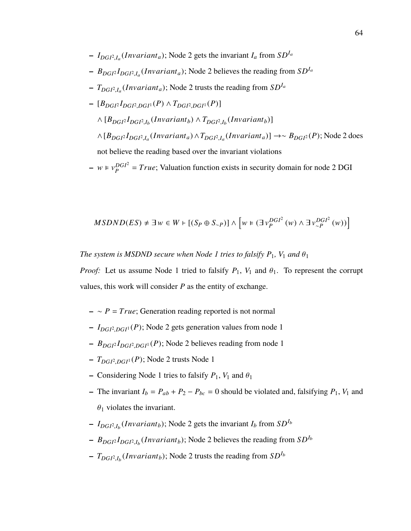- $-I_{DGI^2,I_a}(Invariant_a)$ ; Node 2 gets the invariant  $I_a$  from  $SD^{I_a}$
- **–** *BDGI*<sup>2</sup> *IDGI*<sup>2</sup> ,*I*a (*In*v*arianta*); Node 2 believes the reading from *SDI*<sup>a</sup>
- **–** *TDGI*<sup>2</sup> ,*I*a (*In*v*arianta*); Node 2 trusts the reading from *SDI*<sup>a</sup>
- **–** [*BDGI*<sup>2</sup> *IDGI*<sup>2</sup> ,*DGI*<sup>1</sup> (*P*) <sup>∧</sup> *<sup>T</sup>DGI*<sup>2</sup> ,*DGI*<sup>1</sup> (*P*)]  $\wedge$   $[B_{DGI} \cdot I_{DGI^2,I_b}(Invariant_b) \wedge T_{DGI^2,I_b}(Invariant_b)]$ ∧[*BDGI*<sup>2</sup> *IDGI*<sup>2</sup> ,*I*a (*In*v*arianta*) ∧*TDGI*<sup>2</sup> ,*I*a (*In*v*arianta*)] →∼ *BDGI*<sup>2</sup> (*P*); Node 2 does not believe the reading based over the invariant violations

 $- w \in v_p^{DGI^2}$  $P_P^{DGP} = True$ ; Valuation function exists in security domain for node 2 DGI

$$
MSDND(ES) \neq \exists w \in W \vdash [(S_P \oplus S_{\sim P})] \wedge \left[ w \in (\exists v_P^{DGI^2}(w) \wedge \exists v_{\sim P}^{DGI^2}(w)) \right]
$$

*The system is MSDND secure when Node 1 tries to falsify*  $P_1$ ,  $V_1$  *and*  $\theta_1$ 

*Proof:* Let us assume Node 1 tried to falsify  $P_1$ ,  $V_1$  and  $\theta_1$ . To represent the corrupt values, this work will consider *P* as the entity of exchange.

- **–** ∼ *P* = *True*; Generation reading reported is not normal
- **–** *IDGI*<sup>2</sup> ,*DGI*<sup>1</sup> (*P*); Node 2 gets generation values from node 1
- **–** *BDGI*<sup>2</sup> *IDGI*<sup>2</sup> ,*DGI*<sup>1</sup> (*P*); Node 2 believes reading from node 1
- **–** *TDGI*<sup>2</sup> ,*DGI*<sup>1</sup> (*P*); Node 2 trusts Node 1
- **–** Considering Node 1 tries to falsify  $P_1$ ,  $V_1$  and  $\theta_1$
- **–** The invariant  $I_b = P_{ab} + P_2 P_{bc} = 0$  should be violated and, falsifying  $P_1$ ,  $V_1$  and  $\theta_1$  violates the invariant.
- $-I_{DGI^2,I_b}(Invariant_b)$ ; Node 2 gets the invariant  $I_b$  from  $SD^{I_b}$
- $-$  *B*<sub>DGI</sub><sup>2</sup>*I*<sub>DGI</sub><sup>2</sup>,*I<sub>b</sub>*</sub>(*Invariant<sub>b</sub>*); Node 2 believes the reading from  $SD<sup>I<sub>b</sub></sup>$
- $\sim T_{DGI^2,I_b}(Invariant_b)$ ; Node 2 trusts the reading from  $SD^{I_b}$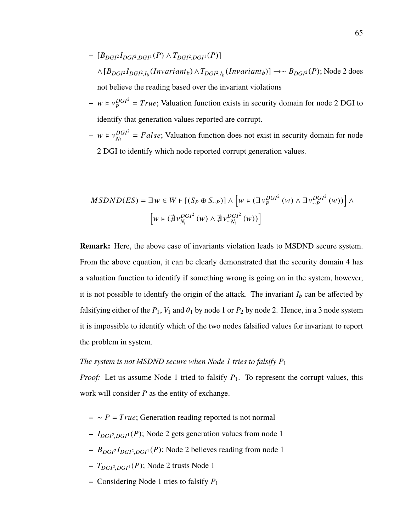- **–** [*BDGI*<sup>2</sup> *IDGI*<sup>2</sup> ,*DGI*<sup>1</sup> (*P*) <sup>∧</sup> *<sup>T</sup>DGI*<sup>2</sup> ,*DGI*<sup>1</sup> (*P*)] ∧[*BDGI*<sup>2</sup> *IDGI*<sup>2</sup> ,*I*b (*In*v*ariantb*) ∧*TDGI*<sup>2</sup> ,*I*b (*In*v*ariantb*)] →∼ *BDGI*<sup>2</sup> (*P*); Node 2 does not believe the reading based over the invariant violations
- $w \in v_p^{DGI^2}$  $P_P^{DGP} = True$ ; Valuation function exists in security domain for node 2 DGI to identify that generation values reported are corrupt.
- $w \in v_{N}^{DGI^2}$  $D_{N_i}^{DGI^2} = False$ ; Valuation function does not exist in security domain for node 2 DGI to identify which node reported corrupt generation values.

$$
MSDND(ES) = \exists w \in W + [(S_P \oplus S_{\sim P})] \wedge [w \in (\exists v_P^{DGI^2}(w) \wedge \exists v_{\sim P}^{DGI^2}(w))] \wedge [w \in (\nexists v_{N_i}^{DGI^2}(w) \wedge \nexists v_{\sim N_i}^{DGI^2}(w))] \wedge
$$

**Remark:** Here, the above case of invariants violation leads to MSDND secure system. From the above equation, it can be clearly demonstrated that the security domain 4 has a valuation function to identify if something wrong is going on in the system, however, it is not possible to identify the origin of the attack. The invariant  $I_b$  can be affected by falsifying either of the  $P_1$ ,  $V_1$  and  $\theta_1$  by node 1 or  $P_2$  by node 2. Hence, in a 3 node system it is impossible to identify which of the two nodes falsified values for invariant to report the problem in system.

### *The system is not MSDND secure when Node 1 tries to falsify*  $P_1$

*Proof:* Let us assume Node 1 tried to falsify  $P_1$ . To represent the corrupt values, this work will consider *P* as the entity of exchange.

- **–** ∼ *P* = *True*; Generation reading reported is not normal
- **–** *IDGI*<sup>2</sup> ,*DGI*<sup>1</sup> (*P*); Node 2 gets generation values from node 1
- **–** *BDGI*<sup>2</sup> *IDGI*<sup>2</sup> ,*DGI*<sup>1</sup> (*P*); Node 2 believes reading from node 1
- **–** *TDGI*<sup>2</sup> ,*DGI*<sup>1</sup> (*P*); Node 2 trusts Node 1
- **–** Considering Node 1 tries to falsify *P*<sup>1</sup>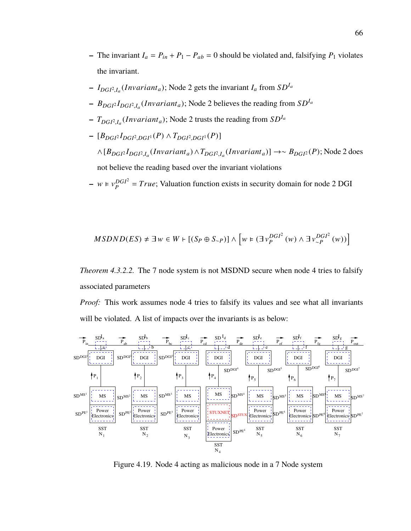- **–** The invariant  $I_a = P_{in} + P_1 P_{ab} = 0$  should be violated and, falsifying  $P_1$  violates the invariant.
- $-I_{DGI^2,I_a}(Invariant_a)$ ; Node 2 gets the invariant  $I_a$  from  $SD^{I_a}$
- **–** *BDGI*<sup>2</sup> *IDGI*<sup>2</sup> ,*I*a (*In*v*arianta*); Node 2 believes the reading from *SDI*<sup>a</sup>
- **–** *TDGI*<sup>2</sup> ,*I*a (*In*v*arianta*); Node 2 trusts the reading from *SDI*<sup>a</sup>
- **–** [*BDGI*<sup>2</sup> *IDGI*<sup>2</sup> ,*DGI*<sup>1</sup> (*P*) <sup>∧</sup> *<sup>T</sup>DGI*<sup>2</sup> ,*DGI*<sup>1</sup> (*P*)]

∧[*BDGI*<sup>2</sup> *IDGI*<sup>2</sup> ,*I*a (*In*v*arianta*) ∧*TDGI*<sup>2</sup> ,*I*a (*In*v*arianta*)] →∼ *BDGI*<sup>2</sup> (*P*); Node 2 does not believe the reading based over the invariant violations

 $- w \in v_p^{DGI^2}$  $P_P^{DGP} = True$ ; Valuation function exists in security domain for node 2 DGI

$$
MSDND(ES) \neq \exists w \in W \vdash [(S_P \oplus S_{\sim P})] \land \left[ w \in (\exists v_P^{DGI^2}(w) \land \exists v_{\sim P}^{DGI^2}(w)) \right]
$$

*Theorem 4.3.2.2.* The 7 node system is not MSDND secure when node 4 tries to falsify associated parameters

*Proof:* This work assumes node 4 tries to falsify its values and see what all invariants will be violated. A list of impacts over the invariants is as below:



Figure 4.19. Node 4 acting as malicious node in a 7 Node system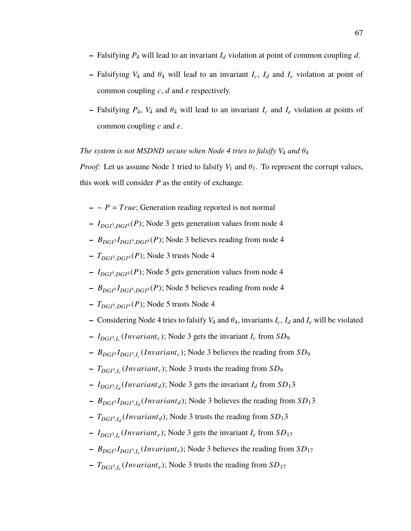- **–** Falsifying *P*<sup>4</sup> will lead to an invariant *I<sup>d</sup>* violation at point of common coupling *d*.
- $-$  Falsifying  $V_4$  and  $\theta_4$  will lead to an invariant  $I_c$ ,  $I_d$  and  $I_e$  violation at point of common coupling *c*, *d* and *e* respectively.
- $-$  Falsifying  $P_4$ ,  $V_4$  and  $\theta_4$  will lead to an invariant  $I_c$  and  $I_e$  violation at points of common coupling *c* and *e*.

## *The system is not MSDND secure when Node 4 tries to falsify*  $V_4$  *and*  $\theta_4$

*Proof:* Let us assume Node 1 tried to falsify  $V_1$  and  $\theta_1$ . To represent the corrupt values, this work will consider *P* as the entity of exchange.

- **–** ∼ *P* = *True*; Generation reading reported is not normal
- **–** *IDGI*<sup>3</sup> ,*DGI*<sup>4</sup> (*P*); Node 3 gets generation values from node 4
- **–** *BDGI*<sup>3</sup> *IDGI*<sup>3</sup> ,*DGI*<sup>4</sup> (*P*); Node 3 believes reading from node 4
- **–** *TDGI*<sup>3</sup> ,*DGI*<sup>4</sup> (*P*); Node 3 trusts Node 4
- **–** *IDGI*<sup>5</sup> ,*DGI*<sup>4</sup> (*P*); Node 5 gets generation values from node 4
- **–** *BDGI*<sup>5</sup> *IDGI*<sup>5</sup> ,*DGI*<sup>4</sup> (*P*); Node 5 believes reading from node 4
- **–** *TDGI*<sup>5</sup> ,*DGI*<sup>4</sup> (*P*); Node 5 trusts Node 4
- **–** Considering Node 4 tries to falsify  $V_4$  and  $\theta_4$ , invariants  $I_c$ ,  $I_d$  and  $I_e$  will be violated
- **–** *IDGI*<sup>3</sup> ,*I*c (*In*v*ariantc*); Node 3 gets the invariant *I<sup>c</sup>* from *SD*<sup>9</sup>
- **–** *BDGI*<sup>3</sup> *IDGI*<sup>3</sup> ,*I*c (*In*v*ariantc*); Node 3 believes the reading from *SD*<sup>9</sup>
- **–** *TDGI*<sup>3</sup> ,*I*c (*In*v*ariantc*); Node 3 trusts the reading from *SD*<sup>9</sup>
- $-I_{DGI^3,I_d}(Invariant_d)$ ; Node 3 gets the invariant  $I_d$  from  $SD_13$
- **–** *BDGI*<sup>3</sup> *IDGI*<sup>3</sup> ,*I*d (*In*v*ariant<sup>d</sup>* ); Node 3 believes the reading from *SD*13
- **–** *TDGI*<sup>3</sup> ,*I*d (*In*v*ariant<sup>d</sup>* ); Node 3 trusts the reading from *SD*13
- **–** *IDGI*<sup>3</sup> ,*I*e (*In*v*ariante*); Node 3 gets the invariant *I<sup>e</sup>* from *SD*<sup>17</sup>
- **–** *BDGI*<sup>3</sup> *IDGI*<sup>3</sup> ,*I*e (*In*v*ariante*); Node 3 believes the reading from *SD*<sup>17</sup>
- **–** *TDGI*<sup>3</sup> ,*I*e (*In*v*ariante*); Node 3 trusts the reading from *SD*<sup>17</sup>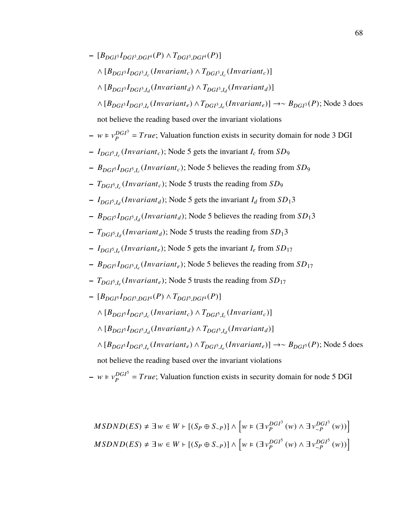**–** [*BDGI*<sup>3</sup> *IDGI*<sup>3</sup> ,*DGI*<sup>4</sup> (*P*) <sup>∧</sup> *<sup>T</sup>DGI*<sup>3</sup> ,*DGI*<sup>4</sup> (*P*)]  $\wedge$   $[B_{DGI}$ <sup>3</sup> $I_{DGI}$ <sup>3</sup>, $I_c$ </sub>(*Invariant<sub>c</sub>*)]  $\wedge$   $T_{DGI}$ <sup>3</sup>, $I_c$ (*Invariant<sub>c</sub>*)]  $\wedge$   $[B_{DGP}I_{DGP}I_{Jd}(Invariant_d) \wedge T_{DGP}I_{Jd}(Invariant_d)]$ ∧ [*BDGI*<sup>3</sup> *IDGI*<sup>3</sup> ,*I*e (*In*v*ariante*) ∧*TDGI*<sup>3</sup> ,*I*e (*In*v*ariante*)] →∼ *BDGI*<sup>3</sup> (*P*); Node 3 does not believe the reading based over the invariant violations

- 
$$
w \in v_P^{DGI^3}
$$
 = True; Valuation function exists in security domain for node 3 DGI

- **–** *IDGI*<sup>5</sup> ,*I*c (*In*v*ariantc*); Node 5 gets the invariant *I<sup>c</sup>* from *SD*<sup>9</sup>
- **–** *BDGI*<sup>5</sup> *IDGI*<sup>5</sup> ,*I*c (*In*v*ariantc*); Node 5 believes the reading from *SD*<sup>9</sup>
- **–** *TDGI*<sup>5</sup> ,*I*c (*In*v*ariantc*); Node 5 trusts the reading from *SD*<sup>9</sup>
- $-I_{DGI^5,I_d}(Invariant_d)$ ; Node 5 gets the invariant  $I_d$  from  $SD_13$
- **–** *BDGI*<sup>5</sup> *IDGI*<sup>5</sup> ,*I*d (*In*v*ariant<sup>d</sup>* ); Node 5 believes the reading from *SD*13
- **–** *TDGI*<sup>5</sup> ,*I*d (*In*v*ariant<sup>d</sup>* ); Node 5 trusts the reading from *SD*13
- **–** *IDGI*<sup>5</sup> ,*I*e (*In*v*ariante*); Node 5 gets the invariant *I<sup>e</sup>* from *SD*<sup>17</sup>
- **–** *BDGI*<sup>5</sup> *IDGI*<sup>5</sup> ,*I*e (*In*v*ariante*); Node 5 believes the reading from *SD*<sup>17</sup>
- **–** *TDGI*<sup>5</sup> ,*I*e (*In*v*ariante*); Node 5 trusts the reading from *SD*<sup>17</sup>
- **–** [*BDGI*<sup>5</sup> *IDGI*<sup>5</sup> ,*DGI*<sup>4</sup> (*P*) <sup>∧</sup> *<sup>T</sup>DGI*<sup>5</sup> ,*DGI*<sup>4</sup> (*P*)]
	- $\wedge$   $[B_{DGI}$ <sup> $I_{DGI}$ 5, $I_c$ </sub>(*Invariant<sub>c</sub>*)  $\wedge$   $T_{DGI}$ 5, $I_c$ (*Invariant<sub>c</sub>*)]</sup>
	- $\wedge$   $[B_{DGI}$ <sup>5</sup> $I_{DGI}$ <sup>5</sup>, $I_d$ </sub>(*Invariant<sub>d</sub>*)  $\wedge$   $T_{DGI}$ <sup>5</sup>, $I_d$ (*Invariant<sub>d</sub>*)]

∧ [*BDGI*<sup>5</sup> *IDGI*<sup>5</sup> ,*I*e (*In*v*ariante*) ∧*TDGI*<sup>5</sup> ,*I*e (*In*v*ariante*)] →∼ *BDGI*<sup>5</sup> (*P*); Node 5 does not believe the reading based over the invariant violations

 $- w \in v_p^{DGI^5}$  $P_P^{DGP} = True$ ; Valuation function exists in security domain for node 5 DGI

$$
MSDND(ES) \neq \exists w \in W \vdash [(S_P \oplus S_{\sim P})] \land \left[ w \in (\exists v_P^{DGI^3}(w) \land \exists v_{\sim P}^{DGI^3}(w)) \right]
$$
  

$$
MSDND(ES) \neq \exists w \in W \vdash [(S_P \oplus S_{\sim P})] \land \left[ w \in (\exists v_P^{DGI^5}(w) \land \exists v_{\sim P}^{DGI^5}(w)) \right]
$$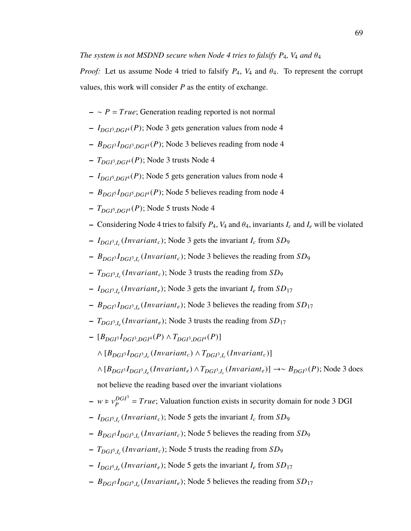*Proof:* Let us assume Node 4 tried to falsify  $P_4$ ,  $V_4$  and  $\theta_4$ . To represent the corrupt values, this work will consider *P* as the entity of exchange.

- **–** ∼ *P* = *True*; Generation reading reported is not normal
- **–** *IDGI*<sup>3</sup> ,*DGI*<sup>4</sup> (*P*); Node 3 gets generation values from node 4
- **–** *BDGI*<sup>3</sup> *IDGI*<sup>3</sup> ,*DGI*<sup>4</sup> (*P*); Node 3 believes reading from node 4
- **–** *TDGI*<sup>3</sup> ,*DGI*<sup>4</sup> (*P*); Node 3 trusts Node 4
- **–** *IDGI*<sup>5</sup> ,*DGI*<sup>4</sup> (*P*); Node 5 gets generation values from node 4
- **–** *BDGI*<sup>5</sup> *IDGI*<sup>5</sup> ,*DGI*<sup>4</sup> (*P*); Node 5 believes reading from node 4
- **–** *TDGI*<sup>5</sup> ,*DGI*<sup>4</sup> (*P*); Node 5 trusts Node 4
- **–** Considering Node 4 tries to falsify  $P_4$ ,  $V_4$  and  $\theta_4$ , invariants  $I_c$  and  $I_e$  will be violated
- **–** *IDGI*<sup>3</sup> ,*I*c (*In*v*ariantc*); Node 3 gets the invariant *I<sup>c</sup>* from *SD*<sup>9</sup>
- **–** *BDGI*<sup>3</sup> *IDGI*<sup>3</sup> ,*I*c (*In*v*ariantc*); Node 3 believes the reading from *SD*<sup>9</sup>
- **–** *TDGI*<sup>3</sup> ,*I*c (*In*v*ariantc*); Node 3 trusts the reading from *SD*<sup>9</sup>
- **–** *IDGI*<sup>3</sup> ,*I*e (*In*v*ariante*); Node 3 gets the invariant *I<sup>e</sup>* from *SD*<sup>17</sup>
- **–** *BDGI*<sup>3</sup> *IDGI*<sup>3</sup> ,*I*e (*In*v*ariante*); Node 3 believes the reading from *SD*<sup>17</sup>
- **–** *TDGI*<sup>3</sup> ,*I*e (*In*v*ariante*); Node 3 trusts the reading from *SD*<sup>17</sup>
- **–** [*BDGI*<sup>3</sup> *IDGI*<sup>3</sup> ,*DGI*<sup>4</sup> (*P*) <sup>∧</sup> *<sup>T</sup>DGI*<sup>3</sup> ,*DGI*<sup>4</sup> (*P*)]
	- $\wedge$   $[B_{DGI}$ <sup> $I_{DGI}$ 3, $I_c$ </sub> (*Invariant<sub>c</sub>*)</sub>  $\wedge$   $T_{DGI}$ 3, $I_c$  (*Invariant<sub>c</sub>*)]</sup>

∧ [*BDGI*<sup>3</sup> *IDGI*<sup>3</sup> ,*I*e (*In*v*ariante*) ∧*TDGI*<sup>3</sup> ,*I*c (*In*v*ariante*)] →∼ *BDGI*<sup>3</sup> (*P*); Node 3 does not believe the reading based over the invariant violations

- $w \in v_p^{DGI^3}$  $P_P^{DGP} = True$ ; Valuation function exists in security domain for node 3 DGI
- **–** *IDGI*<sup>5</sup> ,*I*c (*In*v*ariantc*); Node 5 gets the invariant *I<sup>c</sup>* from *SD*<sup>9</sup>
- **–** *BDGI*<sup>5</sup> *IDGI*<sup>5</sup> ,*I*c (*In*v*ariantc*); Node 5 believes the reading from *SD*<sup>9</sup>
- **–** *TDGI*<sup>5</sup> ,*I*c (*In*v*ariantc*); Node 5 trusts the reading from *SD*<sup>9</sup>
- **–** *IDGI*<sup>5</sup> ,*I*e (*In*v*ariante*); Node 5 gets the invariant *I<sup>e</sup>* from *SD*<sup>17</sup>
- **–** *BDGI*<sup>5</sup> *IDGI*<sup>5</sup> ,*I*e (*In*v*ariante*); Node 5 believes the reading from *SD*<sup>17</sup>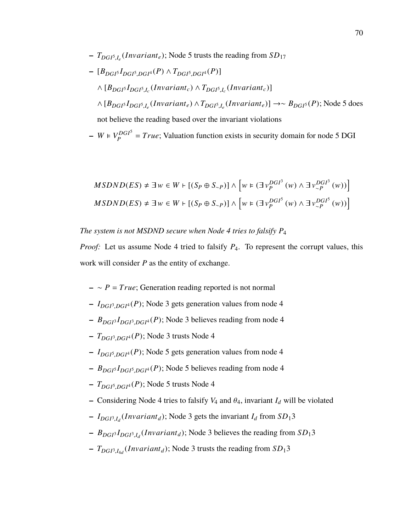**–** *TDGI*<sup>5</sup> ,*I*e (*In*v*ariante*); Node 5 trusts the reading from *SD*<sup>17</sup>

\n- $$
[B_{DGI^5}I_{DGI^5, DGI^4}(P) \wedge T_{DGI^5, DGI^4}(P)]
$$
\n- ∧  $[B_{DGI^5}I_{DGI^5,I_c}(Invariant_c) \wedge T_{DGI^5,I_c}(Invariant_c)]$
\n- ∧  $[B_{DGI^5}I_{DGI^5,I_e}(Invariant_e) \wedge T_{DGI^5,I_e}(Invariant_e)] \rightarrow \sim B_{DGI^5}(P)$ ; Node 5 does not believe the reading based over the invariant violations
\n

 $-V_p^{DGI^5}$  $P_P^{DGP} = True$ ; Valuation function exists in security domain for node 5 DGI

$$
MSDND(ES) \neq \exists w \in W \vdash [(S_P \oplus S_{\sim P})] \land \left[ w \in (\exists v_P^{DGI^3}(w) \land \exists v_{\sim P}^{DGI^3}(w)) \right]
$$
  

$$
MSDND(ES) \neq \exists w \in W \vdash [(S_P \oplus S_{\sim P})] \land \left[ w \in (\exists v_P^{DGI^5}(w) \land \exists v_{\sim P}^{DGI^5}(w)) \right]
$$

*The system is not MSDND secure when Node 4 tries to falsify P*<sup>4</sup>

*Proof:* Let us assume Node 4 tried to falsify  $P_4$ . To represent the corrupt values, this work will consider *P* as the entity of exchange.

- **–** ∼ *P* = *True*; Generation reading reported is not normal
- **–** *IDGI*<sup>3</sup> ,*DGI*<sup>4</sup> (*P*); Node 3 gets generation values from node 4
- **–** *BDGI*<sup>3</sup> *IDGI*<sup>3</sup> ,*DGI*<sup>4</sup> (*P*); Node 3 believes reading from node 4
- **–** *TDGI*<sup>3</sup> ,*DGI*<sup>4</sup> (*P*); Node 3 trusts Node 4
- **–** *IDGI*<sup>5</sup> ,*DGI*<sup>4</sup> (*P*); Node 5 gets generation values from node 4
- **–** *BDGI*<sup>5</sup> *IDGI*<sup>5</sup> ,*DGI*<sup>4</sup> (*P*); Node 5 believes reading from node 4
- **–** *TDGI*<sup>5</sup> ,*DGI*<sup>4</sup> (*P*); Node 5 trusts Node 4
- **–** Considering Node 4 tries to falsify  $V_4$  and  $\theta_4$ , invariant  $I_d$  will be violated
- $-I_{DGI^3,I_d}(Invariant_d)$ ; Node 3 gets the invariant  $I_d$  from  $SD_13$
- **–** *BDGI*<sup>3</sup> *IDGI*<sup>3</sup> ,*I*d (*In*v*ariant<sup>d</sup>* ); Node 3 believes the reading from *SD*13
- **–** *TDGI*<sup>3</sup> ,*I*4d (*In*v*ariant<sup>d</sup>* ); Node 3 trusts the reading from *SD*13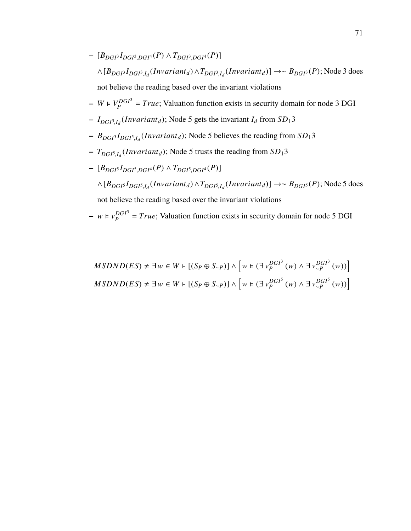- **–** [*BDGI*<sup>3</sup> *IDGI*<sup>3</sup> ,*DGI*<sup>4</sup> (*P*) <sup>∧</sup> *<sup>T</sup>DGI*<sup>3</sup> ,*DGI*<sup>4</sup> (*P*)] ∧[*BDGI*<sup>3</sup> *IDGI*<sup>3</sup> ,*I*d (*In*v*ariant<sup>d</sup>* )∧*TDGI*<sup>3</sup> ,*I*d (*In*v*ariant<sup>d</sup>* )] →∼ *BDGI*<sup>3</sup> (*P*); Node 3 does not believe the reading based over the invariant violations
- $-V_p^{DGI^3}$  $P_P^{DGP} = True$ ; Valuation function exists in security domain for node 3 DGI
- $-I_{DGI<sub>5,I<sub>d</sub></sub>}(Invariant<sub>d</sub>)$ ; Node 5 gets the invariant  $I<sub>d</sub>$  from  $SD<sub>1</sub>3$
- **–** *BDGI*<sup>5</sup> *IDGI*<sup>5</sup> ,*I*d (*In*v*ariant<sup>d</sup>* ); Node 5 believes the reading from *SD*13
- **–** *TDGI*<sup>5</sup> ,*I*d (*In*v*ariant<sup>d</sup>* ); Node 5 trusts the reading from *SD*13
- **–** [*BDGI*<sup>5</sup> *IDGI*<sup>5</sup> ,*DGI*<sup>4</sup> (*P*) <sup>∧</sup> *<sup>T</sup>DGI*<sup>5</sup> ,*DGI*<sup>4</sup> (*P*)] ∧[*BDGI*<sup>5</sup> *IDGI*<sup>5</sup> ,*I*d (*In*v*ariant<sup>d</sup>* )∧*TDGI*<sup>5</sup> ,*I*d (*In*v*ariant<sup>d</sup>* )] →∼ *BDGI*<sup>5</sup> (*P*); Node 5 does

not believe the reading based over the invariant violations

- 
$$
w \in v_P^{DGI^5}
$$
 = True; Valuation function exists in security domain for node 5 DGI

$$
MSDND(ES) \neq \exists w \in W \vdash [(S_P \oplus S_{\sim P})] \land \left[ w \in (\exists v_P^{DGI^3}(w) \land \exists v_{\sim P}^{DGI^3}(w)) \right]
$$
  

$$
MSDND(ES) \neq \exists w \in W \vdash [(S_P \oplus S_{\sim P})] \land \left[ w \in (\exists v_P^{DGI^5}(w) \land \exists v_{\sim P}^{DGI^5}(w)) \right]
$$

f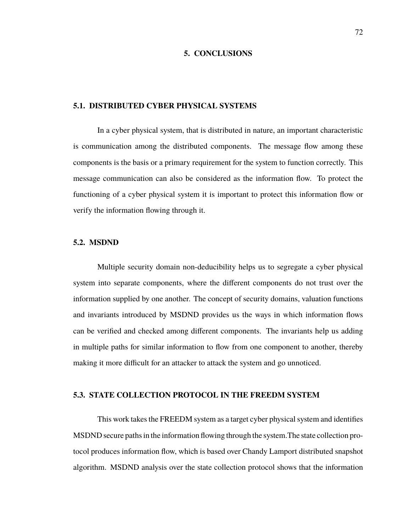### **5. CONCLUSIONS**

### **5.1. DISTRIBUTED CYBER PHYSICAL SYSTEMS**

In a cyber physical system, that is distributed in nature, an important characteristic is communication among the distributed components. The message flow among these components is the basis or a primary requirement for the system to function correctly. This message communication can also be considered as the information flow. To protect the functioning of a cyber physical system it is important to protect this information flow or verify the information flowing through it.

#### **5.2. MSDND**

Multiple security domain non-deducibility helps us to segregate a cyber physical system into separate components, where the different components do not trust over the information supplied by one another. The concept of security domains, valuation functions and invariants introduced by MSDND provides us the ways in which information flows can be verified and checked among different components. The invariants help us adding in multiple paths for similar information to flow from one component to another, thereby making it more difficult for an attacker to attack the system and go unnoticed.

### **5.3. STATE COLLECTION PROTOCOL IN THE FREEDM SYSTEM**

This work takes the FREEDM system as a target cyber physical system and identifies MSDND secure paths in the information flowing through the system.The state collection protocol produces information flow, which is based over Chandy Lamport distributed snapshot algorithm. MSDND analysis over the state collection protocol shows that the information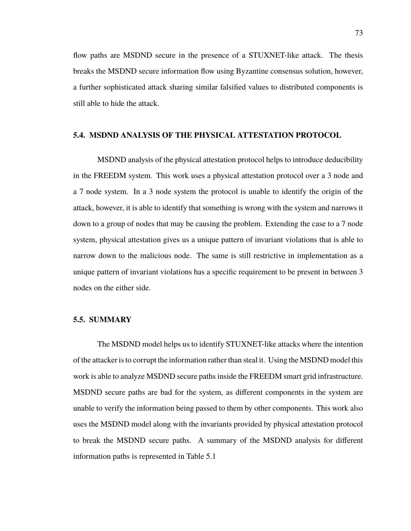flow paths are MSDND secure in the presence of a STUXNET-like attack. The thesis breaks the MSDND secure information flow using Byzantine consensus solution, however, a further sophisticated attack sharing similar falsified values to distributed components is still able to hide the attack.

### **5.4. MSDND ANALYSIS OF THE PHYSICAL ATTESTATION PROTOCOL**

MSDND analysis of the physical attestation protocol helps to introduce deducibility in the FREEDM system. This work uses a physical attestation protocol over a 3 node and a 7 node system. In a 3 node system the protocol is unable to identify the origin of the attack, however, it is able to identify that something is wrong with the system and narrows it down to a group of nodes that may be causing the problem. Extending the case to a 7 node system, physical attestation gives us a unique pattern of invariant violations that is able to narrow down to the malicious node. The same is still restrictive in implementation as a unique pattern of invariant violations has a specific requirement to be present in between 3 nodes on the either side.

#### **5.5. SUMMARY**

The MSDND model helps us to identify STUXNET-like attacks where the intention of the attacker is to corrupt the information rather than steal it. Using the MSDND model this work is able to analyze MSDND secure paths inside the FREEDM smart grid infrastructure. MSDND secure paths are bad for the system, as different components in the system are unable to verify the information being passed to them by other components. This work also uses the MSDND model along with the invariants provided by physical attestation protocol to break the MSDND secure paths. A summary of the MSDND analysis for different information paths is represented in Table 5.1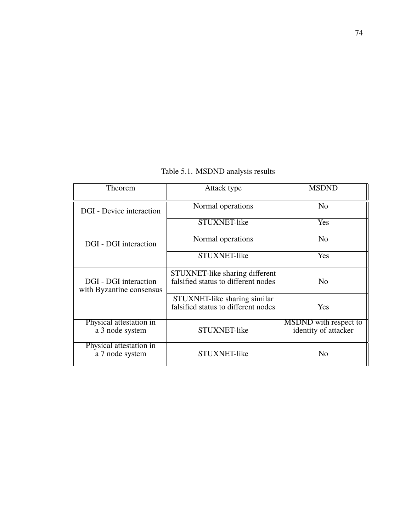Table 5.1. MSDND analysis results

| Theorem                                           | Attack type                                                           | <b>MSDND</b>                                         |
|---------------------------------------------------|-----------------------------------------------------------------------|------------------------------------------------------|
| DGI - Device interaction                          | Normal operations                                                     | N <sub>0</sub>                                       |
|                                                   | STUXNET-like                                                          | <b>Yes</b>                                           |
| DGI - DGI interaction                             | Normal operations                                                     | N <sub>0</sub>                                       |
|                                                   | STUXNET-like                                                          | Yes                                                  |
| DGI - DGI interaction<br>with Byzantine consensus | STUXNET-like sharing different<br>falsified status to different nodes | $\overline{N}$                                       |
|                                                   | STUXNET-like sharing similar<br>falsified status to different nodes   | Yes                                                  |
| Physical attestation in<br>a 3 node system        | STUXNET-like                                                          | <b>MSDND</b> with respect to<br>identity of attacker |
| Physical attestation in<br>a 7 node system        | STUXNET-like                                                          | N <sub>0</sub>                                       |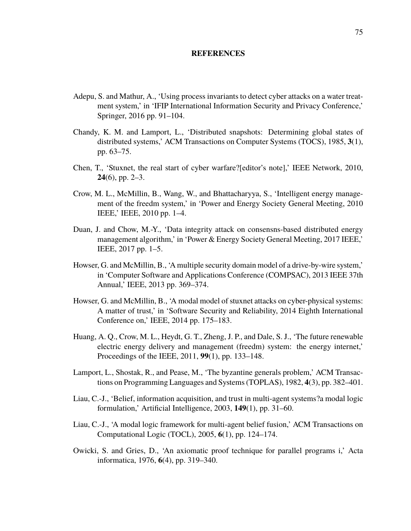### **REFERENCES**

- Adepu, S. and Mathur, A., 'Using process invariants to detect cyber attacks on a water treatment system,' in 'IFIP International Information Security and Privacy Conference,' Springer, 2016 pp. 91–104.
- Chandy, K. M. and Lamport, L., 'Distributed snapshots: Determining global states of distributed systems,' ACM Transactions on Computer Systems (TOCS), 1985, **3**(1), pp. 63–75.
- Chen, T., 'Stuxnet, the real start of cyber warfare?[editor's note],' IEEE Network, 2010, **24**(6), pp. 2–3.
- Crow, M. L., McMillin, B., Wang, W., and Bhattacharyya, S., 'Intelligent energy management of the freedm system,' in 'Power and Energy Society General Meeting, 2010 IEEE,' IEEE, 2010 pp. 1–4.
- Duan, J. and Chow, M.-Y., 'Data integrity attack on consensns-based distributed energy management algorithm,' in 'Power & Energy Society General Meeting, 2017 IEEE,' IEEE, 2017 pp. 1–5.
- Howser, G. and McMillin, B., 'A multiple security domain model of a drive-by-wire system,' in 'Computer Software and Applications Conference (COMPSAC), 2013 IEEE 37th Annual,' IEEE, 2013 pp. 369–374.
- Howser, G. and McMillin, B., 'A modal model of stuxnet attacks on cyber-physical systems: A matter of trust,' in 'Software Security and Reliability, 2014 Eighth International Conference on,' IEEE, 2014 pp. 175–183.
- Huang, A. Q., Crow, M. L., Heydt, G. T., Zheng, J. P., and Dale, S. J., 'The future renewable electric energy delivery and management (freedm) system: the energy internet,' Proceedings of the IEEE, 2011, **99**(1), pp. 133–148.
- Lamport, L., Shostak, R., and Pease, M., 'The byzantine generals problem,' ACM Transactions on Programming Languages and Systems (TOPLAS), 1982, **4**(3), pp. 382–401.
- Liau, C.-J., 'Belief, information acquisition, and trust in multi-agent systems?a modal logic formulation,' Artificial Intelligence, 2003, **149**(1), pp. 31–60.
- Liau, C.-J., 'A modal logic framework for multi-agent belief fusion,' ACM Transactions on Computational Logic (TOCL), 2005, **6**(1), pp. 124–174.
- Owicki, S. and Gries, D., 'An axiomatic proof technique for parallel programs i,' Acta informatica, 1976, **6**(4), pp. 319–340.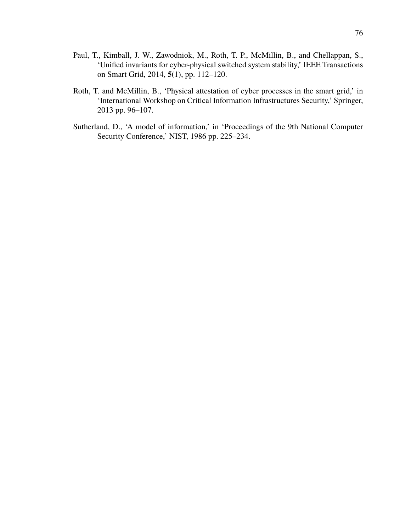- Paul, T., Kimball, J. W., Zawodniok, M., Roth, T. P., McMillin, B., and Chellappan, S., 'Unified invariants for cyber-physical switched system stability,' IEEE Transactions on Smart Grid, 2014, **5**(1), pp. 112–120.
- Roth, T. and McMillin, B., 'Physical attestation of cyber processes in the smart grid,' in 'International Workshop on Critical Information Infrastructures Security,' Springer, 2013 pp. 96–107.
- Sutherland, D., 'A model of information,' in 'Proceedings of the 9th National Computer Security Conference,' NIST, 1986 pp. 225–234.